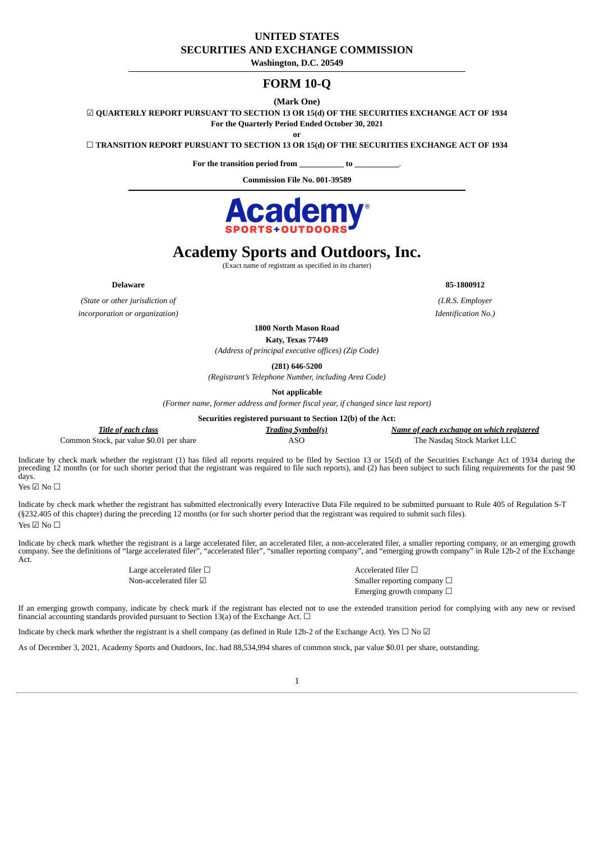# **UNITED STATES SECURITIES AND EXCHANGE COMMISSION**

**Washington, D.C. 20549**

# **FORM 10-Q**

**(Mark One)**

☑ **QUARTERLY REPORT PURSUANT TO SECTION 13 OR 15(d) OF THE SECURITIES EXCHANGE ACT OF 1934 For the Quarterly Period Ended October 30, 2021**

**or**

☐ **TRANSITION REPORT PURSUANT TO SECTION 13 OR 15(d) OF THE SECURITIES EXCHANGE ACT OF 1934**

For the transition period from \_\_\_\_\_\_\_\_\_\_\_\_\_\_\_ to

**Commission File No. 001-39589**



# **Academy Sports and Outdoors, Inc.**

(Exact name of registrant as specified in its charter)

*(State or other jurisdiction of incorporation or organization)*

**Delaware 85-1800912**

*(I.R.S. Employer Identification No.)*

**1800 North Mason Road**

**Katy, Texas 77449**

*(Address of principal executive offices) (Zip Code)*

**(281) 646-5200**

*(Registrant's Telephone Number, including Area Code)*

**Not applicable**

*(Former name, former address and former fiscal year, if changed since last report)*

**Securities registered pursuant to Section 12(b) of the Act:**

*Title of each class Trading Symbol(s) Name of each exchange on which registered*

Common Stock, par value \$0.01 per share ASO ASO The Nasdaq Stock Market LLC

Indicate by check mark whether the registrant (1) has filed all reports required to be filed by Section 13 or 15(d) of the Securities Exchange Act of 1934 during the preceding 12 months (or for such shorter period that the registrant was required to file such reports), and (2) has been subject to such filing requirements for the past 90 days.

Yes ☑ No ☐

Indicate by check mark whether the registrant has submitted electronically every Interactive Data File required to be submitted pursuant to Rule 405 of Regulation S-T (§232.405 of this chapter) during the preceding 12 months (or for such shorter period that the registrant was required to submit such files). Yes ☑ No ☐

Indicate by check mark whether the registrant is a large accelerated filer, an accelerated filer, a non-accelerated filer, a smaller reporting company, or an emerging growth company. See the definitions of "large accelerated filer", "accelerated filer", "smaller reporting company", and "emerging growth company" in Rule 12b-2 of the Exchange Act.

Large accelerated filer □ and a set of a set of a set of a set of a set of a set of a set of a set of a set of a set of a set of a set of a set of a set of a set of a set of a set of a set of a set of a set of a set of a

Non-accelerated filer ☑ Smaller reporting company □ Emerging growth company ☐

If an emerging growth company, indicate by check mark if the registrant has elected not to use the extended transition period for complying with any new or revised financial accounting standards provided pursuant to Section 13(a) of the Exchange Act.  $\Box$ 

Indicate by check mark whether the registrant is a shell company (as defined in Rule 12b-2 of the Exchange Act). Yes  $\Box$  No  $\Box$ 

As of December 3, 2021, Academy Sports and Outdoors, Inc. had 88,534,994 shares of common stock, par value \$0.01 per share, outstanding.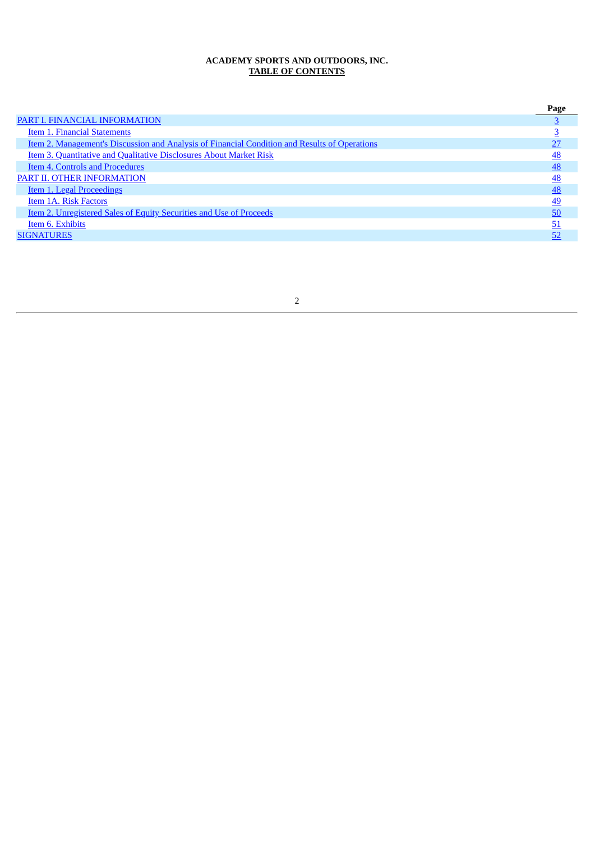# **ACADEMY SPORTS AND OUTDOORS, INC. TABLE OF CONTENTS**

<span id="page-1-0"></span>

|                                                                                               | Page           |
|-----------------------------------------------------------------------------------------------|----------------|
| PART I. FINANCIAL INFORMATION                                                                 |                |
| Item 1. Financial Statements                                                                  |                |
| Item 2. Management's Discussion and Analysis of Financial Condition and Results of Operations | 27             |
| Item 3. Quantitative and Qualitative Disclosures About Market Risk                            | $\frac{48}{1}$ |
| <b>Item 4. Controls and Procedures</b>                                                        | 48             |
| PART II. OTHER INFORMATION                                                                    | 48             |
| Item 1. Legal Proceedings                                                                     | 48             |
| Item 1A. Risk Factors                                                                         | <u>49</u>      |
| Item 2. Unregistered Sales of Equity Securities and Use of Proceeds                           | 50             |
| Item 6. Exhibits                                                                              | 51             |
| <b>SIGNATURES</b>                                                                             |                |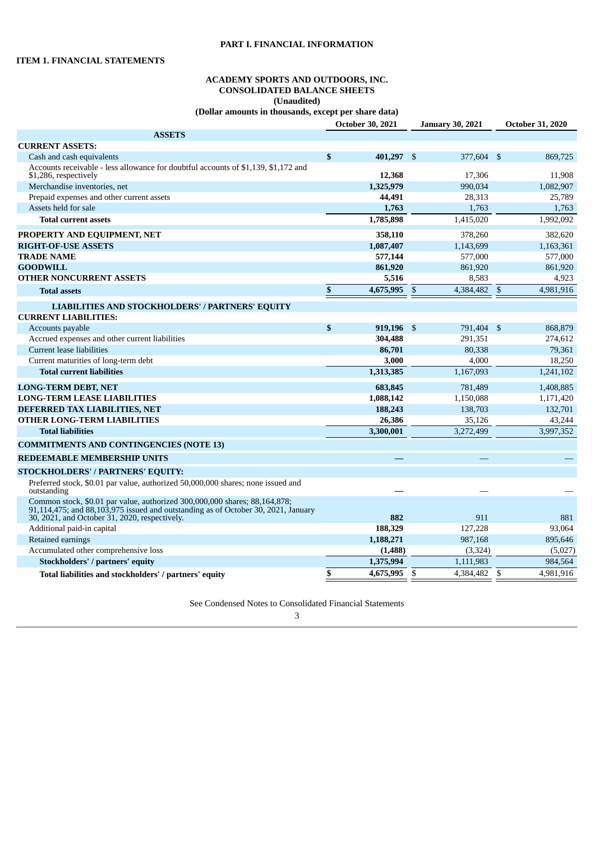# **PART I. FINANCIAL INFORMATION**

# <span id="page-2-0"></span>**ITEM 1. FINANCIAL STATEMENTS**

# **ACADEMY SPORTS AND OUTDOORS, INC. CONSOLIDATED BALANCE SHEETS (Unaudited)**

**(Dollar amounts in thousands, except per share data)**

|                                                                                                                                                                                                                  |              | October 30, 2021 |              | <b>January 30, 2021</b> |     | <b>October 31, 2020</b> |
|------------------------------------------------------------------------------------------------------------------------------------------------------------------------------------------------------------------|--------------|------------------|--------------|-------------------------|-----|-------------------------|
| <b>ASSETS</b>                                                                                                                                                                                                    |              |                  |              |                         |     |                         |
| <b>CURRENT ASSETS:</b>                                                                                                                                                                                           |              |                  |              |                         |     |                         |
| Cash and cash equivalents                                                                                                                                                                                        | \$           | 401,297 \$       |              | 377,604 \$              |     | 869,725                 |
| Accounts receivable - less allowance for doubtful accounts of \$1,139, \$1,172 and<br>\$1,286, respectively                                                                                                      |              | 12,368           |              | 17,306                  |     | 11,908                  |
| Merchandise inventories, net                                                                                                                                                                                     |              | 1,325,979        |              | 990,034                 |     | 1,082,907               |
| Prepaid expenses and other current assets                                                                                                                                                                        |              | 44,491           |              | 28,313                  |     | 25,789                  |
| Assets held for sale                                                                                                                                                                                             |              | 1,763            |              | 1,763                   |     | 1,763                   |
| <b>Total current assets</b>                                                                                                                                                                                      |              | 1,785,898        |              | 1,415,020               |     | 1,992,092               |
| PROPERTY AND EQUIPMENT, NET                                                                                                                                                                                      |              | 358,110          |              | 378,260                 |     | 382,620                 |
| <b>RIGHT-OF-USE ASSETS</b>                                                                                                                                                                                       |              | 1,087,407        |              | 1,143,699               |     | 1,163,361               |
| <b>TRADE NAME</b>                                                                                                                                                                                                |              | 577,144          |              | 577,000                 |     | 577,000                 |
| <b>GOODWILL</b>                                                                                                                                                                                                  |              | 861,920          |              | 861,920                 |     | 861,920                 |
| <b>OTHER NONCURRENT ASSETS</b>                                                                                                                                                                                   |              | 5,516            |              | 8,583                   |     | 4,923                   |
| <b>Total assets</b>                                                                                                                                                                                              | \$           | 4,675,995        | $\mathbf{s}$ | 4,384,482 \$            |     | 4.981.916               |
| <b>LIABILITIES AND STOCKHOLDERS' / PARTNERS' EQUITY</b><br><b>CURRENT LIABILITIES:</b>                                                                                                                           |              |                  |              |                         |     |                         |
| Accounts payable                                                                                                                                                                                                 | $\mathbf{s}$ | 919,196 \$       |              | 791,404 \$              |     | 868,879                 |
| Accrued expenses and other current liabilities                                                                                                                                                                   |              | 304,488          |              | 291.351                 |     | 274.612                 |
| Current lease liabilities                                                                                                                                                                                        |              | 86,701           |              | 80,338                  |     | 79,361                  |
| Current maturities of long-term debt                                                                                                                                                                             |              | 3,000            |              | 4,000                   |     | 18,250                  |
| <b>Total current liabilities</b>                                                                                                                                                                                 |              | 1,313,385        |              | 1,167,093               |     | 1,241,102               |
| <b>LONG-TERM DEBT, NET</b>                                                                                                                                                                                       |              | 683,845          |              | 781,489                 |     | 1,408,885               |
| <b>LONG-TERM LEASE LIABILITIES</b>                                                                                                                                                                               |              | 1,088,142        |              | 1,150,088               |     | 1,171,420               |
| DEFERRED TAX LIABILITIES, NET                                                                                                                                                                                    |              | 188,243          |              | 138,703                 |     | 132,701                 |
| <b>OTHER LONG-TERM LIABILITIES</b>                                                                                                                                                                               |              | 26,386           |              | 35,126                  |     | 43,244                  |
| <b>Total liabilities</b>                                                                                                                                                                                         |              | 3,300,001        |              | 3,272,499               |     | 3,997,352               |
| <b>COMMITMENTS AND CONTINGENCIES (NOTE 13)</b>                                                                                                                                                                   |              |                  |              |                         |     |                         |
| <b>REDEEMABLE MEMBERSHIP UNITS</b>                                                                                                                                                                               |              |                  |              |                         |     |                         |
| STOCKHOLDERS' / PARTNERS' EQUITY:                                                                                                                                                                                |              |                  |              |                         |     |                         |
| Preferred stock, \$0.01 par value, authorized 50,000,000 shares; none issued and<br>outstanding                                                                                                                  |              |                  |              |                         |     |                         |
| Common stock, \$0.01 par value, authorized 300,000,000 shares; 88,164,878;<br>91,114,475; and 88,103,975 issued and outstanding as of October 30, 2021, January<br>30, 2021, and October 31, 2020, respectively. |              | 882              |              | 911                     |     | 881                     |
| Additional paid-in capital                                                                                                                                                                                       |              | 188,329          |              | 127.228                 |     | 93.064                  |
| Retained earnings                                                                                                                                                                                                |              | 1,188,271        |              | 987,168                 |     | 895,646                 |
| Accumulated other comprehensive loss                                                                                                                                                                             |              | (1, 488)         |              | (3, 324)                |     | (5,027)                 |
| Stockholders' / partners' equity                                                                                                                                                                                 |              | 1,375,994        |              | 1,111,983               |     | 984,564                 |
| Total liabilities and stockholders' / partners' equity                                                                                                                                                           | \$           | 4,675,995        | \$           | 4,384,482               | -\$ | 4,981,916               |

See Condensed Notes to Consolidated Financial Statements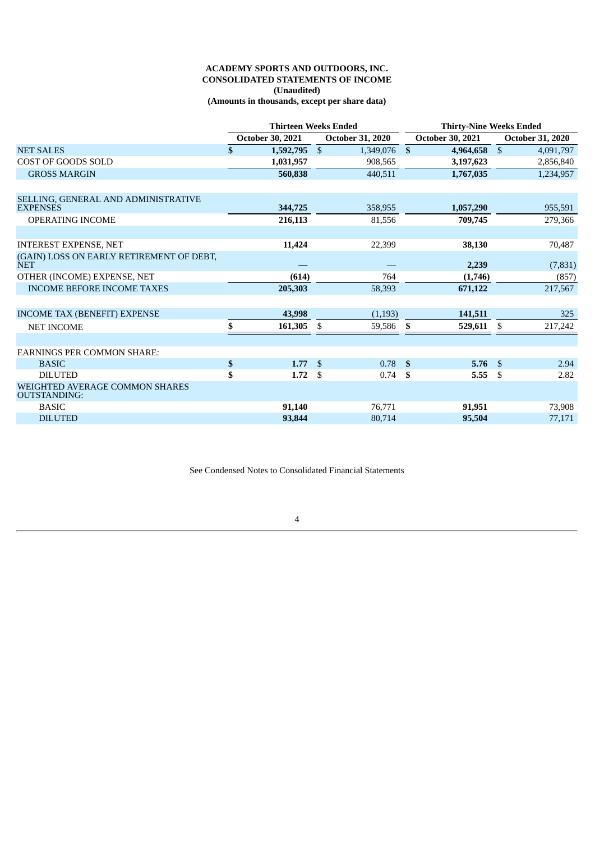# **ACADEMY SPORTS AND OUTDOORS, INC. CONSOLIDATED STATEMENTS OF INCOME (Unaudited) (Amounts in thousands, except per share data)**

|                                                              |                    | <b>Thirteen Weeks Ended</b> |            |                         | <b>Thirty-Nine Weeks Ended</b> |                         |               |                         |
|--------------------------------------------------------------|--------------------|-----------------------------|------------|-------------------------|--------------------------------|-------------------------|---------------|-------------------------|
|                                                              |                    | <b>October 30, 2021</b>     |            | <b>October 31, 2020</b> |                                | <b>October 30, 2021</b> |               | <b>October 31, 2020</b> |
| <b>NET SALES</b>                                             | $\boldsymbol{\$}$  | 1,592,795                   | $\sqrt{3}$ | 1,349,076               | $\boldsymbol{\$}$              | 4,964,658               | $\sqrt{3}$    | 4,091,797               |
| <b>COST OF GOODS SOLD</b>                                    |                    | 1,031,957                   |            | 908,565                 |                                | 3,197,623               |               | 2,856,840               |
| <b>GROSS MARGIN</b>                                          |                    | 560,838                     |            | 440,511                 |                                | 1,767,035               |               | 1,234,957               |
|                                                              |                    |                             |            |                         |                                |                         |               |                         |
| SELLING, GENERAL AND ADMINISTRATIVE<br><b>EXPENSES</b>       |                    | 344,725                     |            | 358,955                 |                                | 1,057,290               |               | 955,591                 |
| <b>OPERATING INCOME</b>                                      |                    | 216,113                     |            | 81,556                  |                                | 709,745                 |               | 279,366                 |
|                                                              |                    |                             |            |                         |                                |                         |               |                         |
| <b>INTEREST EXPENSE, NET</b>                                 |                    | 11,424                      |            | 22,399                  |                                | 38,130                  |               | 70,487                  |
| (GAIN) LOSS ON EARLY RETIREMENT OF DEBT,<br><b>NET</b>       |                    |                             |            |                         |                                | 2,239                   |               | (7, 831)                |
| OTHER (INCOME) EXPENSE, NET                                  |                    | (614)                       |            | 764                     |                                | (1,746)                 |               | (857)                   |
| <b>INCOME BEFORE INCOME TAXES</b>                            |                    | 205,303                     |            | 58,393                  |                                | 671,122                 |               | 217,567                 |
|                                                              |                    |                             |            |                         |                                |                         |               |                         |
| INCOME TAX (BENEFIT) EXPENSE                                 |                    | 43,998                      |            | (1,193)                 |                                | 141,511                 |               | 325                     |
| <b>NET INCOME</b>                                            | \$                 | 161,305                     | \$         | 59,586                  | \$                             | 529,611                 | \$            | 217,242                 |
|                                                              |                    |                             |            |                         |                                |                         |               |                         |
| <b>EARNINGS PER COMMON SHARE:</b>                            |                    |                             |            |                         |                                |                         |               |                         |
| <b>BASIC</b>                                                 | $\pmb{\mathbb{S}}$ | 1.77                        | <b>S</b>   | $0.78$ \$               |                                | $5.76$ \$               |               | 2.94                    |
| <b>DILUTED</b>                                               | \$                 | 1.72                        | - \$       | $0.74$ \$               |                                | 5.55                    | $\mathcal{S}$ | 2.82                    |
| <b>WEIGHTED AVERAGE COMMON SHARES</b><br><b>OUTSTANDING:</b> |                    |                             |            |                         |                                |                         |               |                         |
| <b>BASIC</b>                                                 |                    | 91,140                      |            | 76,771                  |                                | 91,951                  |               | 73,908                  |
| <b>DILUTED</b>                                               |                    | 93,844                      |            | 80,714                  |                                | 95,504                  |               | 77,171                  |

See Condensed Notes to Consolidated Financial Statements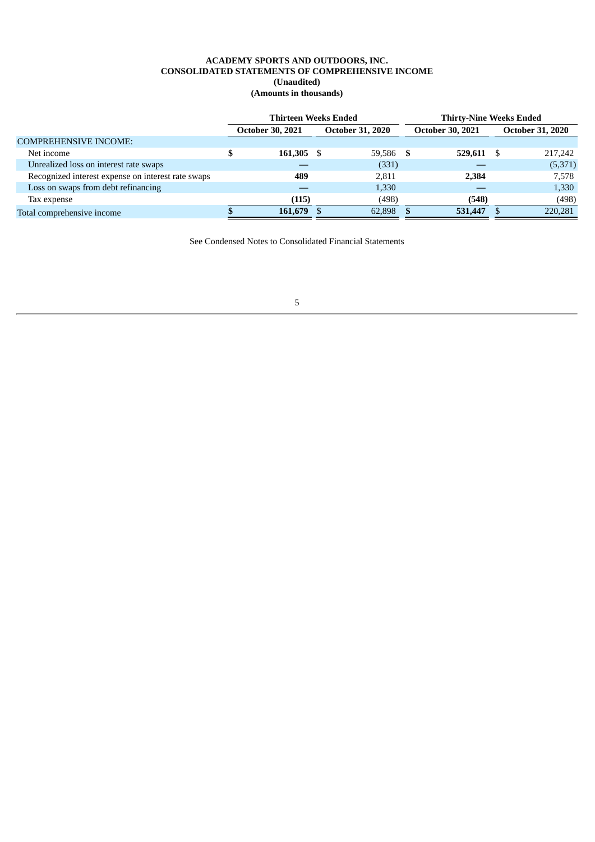# **ACADEMY SPORTS AND OUTDOORS, INC. CONSOLIDATED STATEMENTS OF COMPREHENSIVE INCOME (Unaudited) (Amounts in thousands)**

|                                                    | <b>Thirteen Weeks Ended</b> |      |                         |  | <b>Thirty-Nine Weeks Ended</b> |  |                         |
|----------------------------------------------------|-----------------------------|------|-------------------------|--|--------------------------------|--|-------------------------|
|                                                    | <b>October 30, 2021</b>     |      | <b>October 31, 2020</b> |  | <b>October 30, 2021</b>        |  | <b>October 31, 2020</b> |
| <b>COMPREHENSIVE INCOME:</b>                       |                             |      |                         |  |                                |  |                         |
| Net income                                         | 161,305                     | - \$ | 59,586 \$               |  | 529,611                        |  | 217,242                 |
| Unrealized loss on interest rate swaps             |                             |      | (331)                   |  |                                |  | (5,371)                 |
| Recognized interest expense on interest rate swaps | 489                         |      | 2.811                   |  | 2,384                          |  | 7,578                   |
| Loss on swaps from debt refinancing                |                             |      | 1,330                   |  |                                |  | 1,330                   |
| Tax expense                                        | (115)                       |      | (498)                   |  | (548)                          |  | (498)                   |
| Total comprehensive income                         | 161,679                     |      | 62,898                  |  | 531,447                        |  | 220,281                 |

See Condensed Notes to Consolidated Financial Statements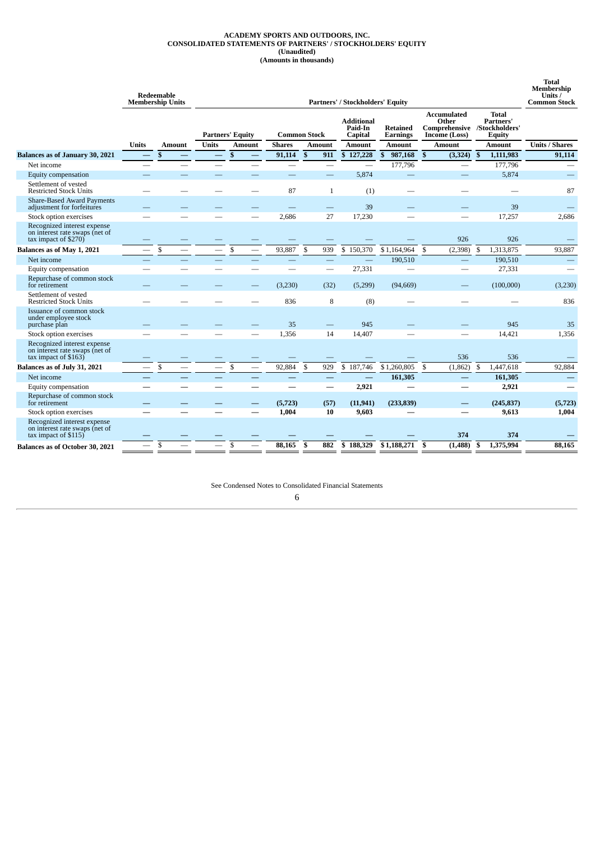#### **ACADEMY SPORTS AND OUTDOORS, INC. CONSOLIDATED STATEMENTS OF PARTNERS' / STOCKHOLDERS' EQUITY (Unaudited) (Amounts in thousands)**

|                                                                                         |                          | Redeemable<br><b>Membership Units</b> |              |                                        |          |                             | Partners' / Stockholders' Equity        |                             |                                              |                                                                            | <b>Total</b><br>Membership<br><b>Units</b><br><b>Common Stock</b> |
|-----------------------------------------------------------------------------------------|--------------------------|---------------------------------------|--------------|----------------------------------------|----------|-----------------------------|-----------------------------------------|-----------------------------|----------------------------------------------|----------------------------------------------------------------------------|-------------------------------------------------------------------|
|                                                                                         |                          |                                       |              | <b>Partners' Equity</b>                |          | <b>Common Stock</b>         | <b>Additional</b><br>Paid-In<br>Capital | Retained<br><b>Earnings</b> | <b>Accumulated</b><br>Other<br>Income (Loss) | Total<br><b>Partners'</b><br>Comprehensive /Stockholders'<br><b>Equity</b> |                                                                   |
|                                                                                         | <b>Units</b>             | <b>Amount</b>                         | <b>Units</b> | <b>Amount</b>                          | Shares   | Amount                      | Amount                                  | <b>Amount</b>               | Amount                                       | <b>Amount</b>                                                              | <b>Units / Shares</b>                                             |
| <b>Balances as of January 30, 2021</b>                                                  |                          | \$                                    |              | \$                                     | 91,114   | $\sqrt{\frac{2}{3}}$<br>911 | \$127,228                               | 987,168<br>$\mathbf{s}$     | $\mathbf{s}$<br>$(3,324)$ \$                 | 1,111,983                                                                  | 91,114                                                            |
| Net income                                                                              |                          |                                       |              | $\sim$                                 |          |                             |                                         | 177,796                     |                                              | 177,796                                                                    |                                                                   |
| Equity compensation                                                                     |                          |                                       |              |                                        |          |                             | 5,874                                   |                             |                                              | 5,874                                                                      |                                                                   |
| Settlement of vested<br><b>Restricted Stock Units</b>                                   |                          |                                       |              |                                        | 87       | $\mathbf{1}$                | (1)                                     |                             |                                              |                                                                            | 87                                                                |
| <b>Share-Based Award Payments</b><br>adjustment for forfeitures                         |                          |                                       |              |                                        |          |                             | 39                                      |                             |                                              | 39                                                                         |                                                                   |
| Stock option exercises                                                                  |                          |                                       |              |                                        | 2,686    | 27                          | 17,230                                  |                             |                                              | 17,257                                                                     | 2,686                                                             |
| Recognized interest expense<br>on interest rate swaps (net of<br>tax impact of $$270$ ) |                          |                                       |              |                                        |          |                             |                                         |                             | 926                                          | 926                                                                        |                                                                   |
| Balances as of May 1, 2021                                                              | $\overline{\phantom{0}}$ | \$                                    |              | \$<br>$\overline{\phantom{0}}$         | 93,887   | \$<br>939                   | \$150,370                               | \$1,164,964                 | \$<br>(2,398)                                | 1,313,875<br>\$                                                            | 93,887                                                            |
| Net income                                                                              |                          |                                       |              | $\overline{\phantom{0}}$               |          |                             |                                         | 190,510                     |                                              | 190,510                                                                    |                                                                   |
| Equity compensation                                                                     |                          |                                       |              |                                        |          |                             | 27,331                                  |                             |                                              | 27,331                                                                     |                                                                   |
| Repurchase of common stock<br>for retirement                                            |                          |                                       |              |                                        | (3,230)  | (32)                        | (5,299)                                 | (94, 669)                   |                                              | (100,000)                                                                  | (3,230)                                                           |
| Settlement of vested<br><b>Restricted Stock Units</b>                                   |                          |                                       |              |                                        | 836      | 8                           | (8)                                     |                             |                                              |                                                                            | 836                                                               |
| Issuance of common stock<br>under employee stock<br>purchase plan                       |                          |                                       |              |                                        | 35       |                             | 945                                     |                             |                                              | 945                                                                        | 35                                                                |
| Stock option exercises                                                                  |                          |                                       |              |                                        | 1,356    | 14                          | 14,407                                  |                             |                                              | 14,421                                                                     | 1,356                                                             |
| Recognized interest expense<br>on interest rate swaps (net of<br>tax impact of $$163$ ) |                          |                                       |              |                                        |          |                             |                                         |                             | 536                                          | 536                                                                        |                                                                   |
| Balances as of July 31, 2021                                                            |                          | \$                                    |              | \$<br>$\overline{\phantom{0}}$         | 92,884   | \$<br>929                   | \$187,746                               | \$1,260,805                 | \$<br>(1,862)                                | <sup>\$</sup><br>1,447,618                                                 | 92,884                                                            |
| Net income                                                                              |                          |                                       |              |                                        |          |                             |                                         | 161,305                     |                                              | 161,305                                                                    |                                                                   |
| Equity compensation                                                                     |                          |                                       |              |                                        |          |                             | 2,921                                   |                             |                                              | 2,921                                                                      |                                                                   |
| Repurchase of common stock<br>for retirement                                            |                          |                                       |              |                                        | (5, 723) | (57)                        | (11, 941)                               | (233, 839)                  |                                              | (245, 837)                                                                 | (5, 723)                                                          |
| Stock option exercises                                                                  |                          |                                       |              |                                        | 1,004    | 10                          | 9,603                                   |                             |                                              | 9,613                                                                      | 1,004                                                             |
| Recognized interest expense<br>on interest rate swaps (net of<br>tax impact of $$115)$  |                          |                                       |              |                                        |          |                             |                                         |                             | 374                                          | 374                                                                        |                                                                   |
| <b>Balances as of October 30, 2021</b>                                                  |                          | \$                                    |              | \$<br>$\overbrace{\phantom{12322111}}$ | 88,165   | <sup>\$</sup>               | 882 \$ 188,329                          | \$1,188,271                 | \$<br>(1, 488)                               | <sup>\$</sup><br>1,375,994                                                 | 88,165                                                            |

See Condensed Notes to Consolidated Financial Statements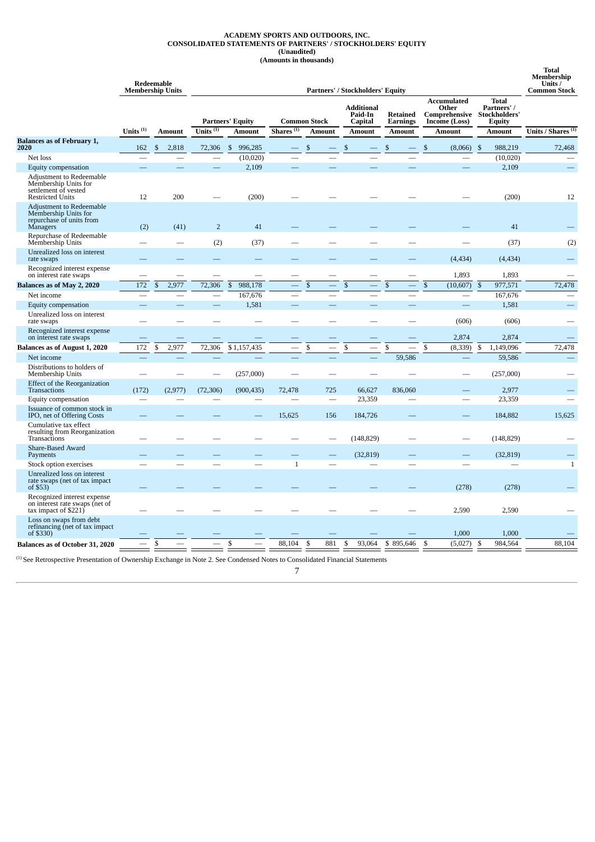#### **ACADEMY SPORTS AND OUTDOORS, INC. CONSOLIDATED STATEMENTS OF PARTNERS' / STOCKHOLDERS' EQUITY (Unaudited) (Amounts in thousands)**

| <b>Accumulated</b><br><b>Total</b><br>Partners' /<br><b>Additional</b><br>Other<br><b>Retained</b><br>Comprehensive<br>Stockholders'<br>Paid-In<br><b>Partners' Equity</b><br><b>Common Stock</b><br>Earnings<br>Capital<br>Income (Loss)<br><b>Equity</b><br>Units / Shares <sup>(1)</sup><br>Units $(1)$<br>Units <sup>(1)</sup><br>Shares $(1)$<br><b>Amount</b><br><b>Amount</b><br><b>Amount</b><br><b>Amount</b><br><b>Amount</b><br><b>Amount</b><br><b>Amount</b><br><b>Balances as of February 1,</b><br>$\mathbb{S}$<br>$\mathbb{S}$<br>\$<br>2,818<br>996,285<br>\$<br>\$<br>\$<br>$(8,066)$ \$<br>988,219<br>72,468<br>2020<br>162<br>72,306<br>(10, 020)<br>(10,020)<br>Net loss<br><b>Equity compensation</b><br>2,109<br>2,109<br><b>Adjustment to Redeemable</b><br>Membership Units for<br>settlement of vested<br><b>Restricted Units</b><br>200<br>(200)<br>12<br>(200)<br>12<br><b>Adjustment to Redeemable</b><br>Membership Units for<br>repurchase of units from<br>(2)<br>(41)<br>$\overline{2}$<br>41<br>41<br>Managers<br>Repurchase of Redeemable<br>Membership Units<br>(2)<br>(37)<br>(37)<br>(2)<br>Unrealized loss on interest<br>(4, 434)<br>(4, 434)<br>rate swaps<br>Recognized interest expense<br>1,893<br>1,893<br>on interest rate swaps<br>\$<br>172<br>\$<br>2,977<br>72,306<br>\$<br>988,178<br>\$<br>\$<br>\$<br>(10,607)<br>$\mathfrak{S}$<br>977,571<br>72,478<br>Balances as of May 2, 2020<br>167,676<br>167,676<br>Net income<br>1,581<br>1,581<br>Equity compensation<br>Unrealized loss on interest<br>(606)<br>(606)<br>rate swaps<br>Recognized interest expense<br>2,874<br>2,874<br>on interest rate swaps<br>\$<br>172<br>\$<br>2,977<br>72,306<br>\$1,157,435<br>\$<br>\$<br><sup>\$</sup><br>(8,339)<br>$\mathfrak{S}$<br>1,149,096<br>72,478<br><b>Balances as of August 1, 2020</b><br>59,586<br>59,586<br>Net income<br>Distributions to holders of<br>Membership Units<br>(257,000)<br>(257,000)<br>$\overbrace{\phantom{aaaaa}}$<br><b>Effect of the Reorganization</b><br>2,977<br>(72, 306)<br>(900, 435)<br>725<br>66,627<br>836,060<br>Transactions<br>(172)<br>(2,977)<br>72,478<br>23,359<br>Equity compensation<br>23,359<br>Issuance of common stock in<br>IPO, net of Offering Costs<br>15,625<br>184,882<br>15,625<br>156<br>184,726<br>Cumulative tax effect<br>resulting from Reorganization<br>(148, 829)<br>Transactions<br>(148, 829)<br>Share-Based Award<br>(32, 819)<br>(32, 819)<br>Payments<br>Stock option exercises<br>$\mathbf{1}$<br>$\mathbf{1}$<br>Unrealized loss on interest<br>rate swaps (net of tax impact<br>of \$53)<br>(278)<br>(278)<br>Recognized interest expense<br>on interest rate swaps (net of<br>tax impact of \$221)<br>2,590<br>2,590<br>Loss on swaps from debt<br>refinancing (net of tax impact<br>1,000<br>1,000<br>of \$330)<br>$\mathbb{S}$<br>\$<br>88,104<br>\$<br>881<br><sup>\$</sup><br>93,064<br>\$895,646<br>\$<br>(5,027)<br>984,564<br>88,104<br>\$<br><b>Balances as of October 31, 2020</b><br>$\qquad \qquad \longleftarrow$ | <b>Membership Units</b> | Redeemable |  |  |  | <b>Partners' / Stockholders' Equity</b> |  |  | <b>Total</b><br>Membership<br>Units /<br><b>Common Stock</b> |
|----------------------------------------------------------------------------------------------------------------------------------------------------------------------------------------------------------------------------------------------------------------------------------------------------------------------------------------------------------------------------------------------------------------------------------------------------------------------------------------------------------------------------------------------------------------------------------------------------------------------------------------------------------------------------------------------------------------------------------------------------------------------------------------------------------------------------------------------------------------------------------------------------------------------------------------------------------------------------------------------------------------------------------------------------------------------------------------------------------------------------------------------------------------------------------------------------------------------------------------------------------------------------------------------------------------------------------------------------------------------------------------------------------------------------------------------------------------------------------------------------------------------------------------------------------------------------------------------------------------------------------------------------------------------------------------------------------------------------------------------------------------------------------------------------------------------------------------------------------------------------------------------------------------------------------------------------------------------------------------------------------------------------------------------------------------------------------------------------------------------------------------------------------------------------------------------------------------------------------------------------------------------------------------------------------------------------------------------------------------------------------------------------------------------------------------------------------------------------------------------------------------------------------------------------------------------------------------------------------------------------------------------------------------------------------------------------------------------------------------------------------------------------------------------------------------------------------------------------------------------------------------------------------------------------------------------------------------------------------------------------------------------------------------------------------|-------------------------|------------|--|--|--|-----------------------------------------|--|--|--------------------------------------------------------------|
|                                                                                                                                                                                                                                                                                                                                                                                                                                                                                                                                                                                                                                                                                                                                                                                                                                                                                                                                                                                                                                                                                                                                                                                                                                                                                                                                                                                                                                                                                                                                                                                                                                                                                                                                                                                                                                                                                                                                                                                                                                                                                                                                                                                                                                                                                                                                                                                                                                                                                                                                                                                                                                                                                                                                                                                                                                                                                                                                                                                                                                                          |                         |            |  |  |  |                                         |  |  |                                                              |
|                                                                                                                                                                                                                                                                                                                                                                                                                                                                                                                                                                                                                                                                                                                                                                                                                                                                                                                                                                                                                                                                                                                                                                                                                                                                                                                                                                                                                                                                                                                                                                                                                                                                                                                                                                                                                                                                                                                                                                                                                                                                                                                                                                                                                                                                                                                                                                                                                                                                                                                                                                                                                                                                                                                                                                                                                                                                                                                                                                                                                                                          |                         |            |  |  |  |                                         |  |  |                                                              |
|                                                                                                                                                                                                                                                                                                                                                                                                                                                                                                                                                                                                                                                                                                                                                                                                                                                                                                                                                                                                                                                                                                                                                                                                                                                                                                                                                                                                                                                                                                                                                                                                                                                                                                                                                                                                                                                                                                                                                                                                                                                                                                                                                                                                                                                                                                                                                                                                                                                                                                                                                                                                                                                                                                                                                                                                                                                                                                                                                                                                                                                          |                         |            |  |  |  |                                         |  |  |                                                              |
|                                                                                                                                                                                                                                                                                                                                                                                                                                                                                                                                                                                                                                                                                                                                                                                                                                                                                                                                                                                                                                                                                                                                                                                                                                                                                                                                                                                                                                                                                                                                                                                                                                                                                                                                                                                                                                                                                                                                                                                                                                                                                                                                                                                                                                                                                                                                                                                                                                                                                                                                                                                                                                                                                                                                                                                                                                                                                                                                                                                                                                                          |                         |            |  |  |  |                                         |  |  |                                                              |
|                                                                                                                                                                                                                                                                                                                                                                                                                                                                                                                                                                                                                                                                                                                                                                                                                                                                                                                                                                                                                                                                                                                                                                                                                                                                                                                                                                                                                                                                                                                                                                                                                                                                                                                                                                                                                                                                                                                                                                                                                                                                                                                                                                                                                                                                                                                                                                                                                                                                                                                                                                                                                                                                                                                                                                                                                                                                                                                                                                                                                                                          |                         |            |  |  |  |                                         |  |  |                                                              |
|                                                                                                                                                                                                                                                                                                                                                                                                                                                                                                                                                                                                                                                                                                                                                                                                                                                                                                                                                                                                                                                                                                                                                                                                                                                                                                                                                                                                                                                                                                                                                                                                                                                                                                                                                                                                                                                                                                                                                                                                                                                                                                                                                                                                                                                                                                                                                                                                                                                                                                                                                                                                                                                                                                                                                                                                                                                                                                                                                                                                                                                          |                         |            |  |  |  |                                         |  |  |                                                              |
|                                                                                                                                                                                                                                                                                                                                                                                                                                                                                                                                                                                                                                                                                                                                                                                                                                                                                                                                                                                                                                                                                                                                                                                                                                                                                                                                                                                                                                                                                                                                                                                                                                                                                                                                                                                                                                                                                                                                                                                                                                                                                                                                                                                                                                                                                                                                                                                                                                                                                                                                                                                                                                                                                                                                                                                                                                                                                                                                                                                                                                                          |                         |            |  |  |  |                                         |  |  |                                                              |
|                                                                                                                                                                                                                                                                                                                                                                                                                                                                                                                                                                                                                                                                                                                                                                                                                                                                                                                                                                                                                                                                                                                                                                                                                                                                                                                                                                                                                                                                                                                                                                                                                                                                                                                                                                                                                                                                                                                                                                                                                                                                                                                                                                                                                                                                                                                                                                                                                                                                                                                                                                                                                                                                                                                                                                                                                                                                                                                                                                                                                                                          |                         |            |  |  |  |                                         |  |  |                                                              |
|                                                                                                                                                                                                                                                                                                                                                                                                                                                                                                                                                                                                                                                                                                                                                                                                                                                                                                                                                                                                                                                                                                                                                                                                                                                                                                                                                                                                                                                                                                                                                                                                                                                                                                                                                                                                                                                                                                                                                                                                                                                                                                                                                                                                                                                                                                                                                                                                                                                                                                                                                                                                                                                                                                                                                                                                                                                                                                                                                                                                                                                          |                         |            |  |  |  |                                         |  |  |                                                              |
|                                                                                                                                                                                                                                                                                                                                                                                                                                                                                                                                                                                                                                                                                                                                                                                                                                                                                                                                                                                                                                                                                                                                                                                                                                                                                                                                                                                                                                                                                                                                                                                                                                                                                                                                                                                                                                                                                                                                                                                                                                                                                                                                                                                                                                                                                                                                                                                                                                                                                                                                                                                                                                                                                                                                                                                                                                                                                                                                                                                                                                                          |                         |            |  |  |  |                                         |  |  |                                                              |
|                                                                                                                                                                                                                                                                                                                                                                                                                                                                                                                                                                                                                                                                                                                                                                                                                                                                                                                                                                                                                                                                                                                                                                                                                                                                                                                                                                                                                                                                                                                                                                                                                                                                                                                                                                                                                                                                                                                                                                                                                                                                                                                                                                                                                                                                                                                                                                                                                                                                                                                                                                                                                                                                                                                                                                                                                                                                                                                                                                                                                                                          |                         |            |  |  |  |                                         |  |  |                                                              |
|                                                                                                                                                                                                                                                                                                                                                                                                                                                                                                                                                                                                                                                                                                                                                                                                                                                                                                                                                                                                                                                                                                                                                                                                                                                                                                                                                                                                                                                                                                                                                                                                                                                                                                                                                                                                                                                                                                                                                                                                                                                                                                                                                                                                                                                                                                                                                                                                                                                                                                                                                                                                                                                                                                                                                                                                                                                                                                                                                                                                                                                          |                         |            |  |  |  |                                         |  |  |                                                              |
|                                                                                                                                                                                                                                                                                                                                                                                                                                                                                                                                                                                                                                                                                                                                                                                                                                                                                                                                                                                                                                                                                                                                                                                                                                                                                                                                                                                                                                                                                                                                                                                                                                                                                                                                                                                                                                                                                                                                                                                                                                                                                                                                                                                                                                                                                                                                                                                                                                                                                                                                                                                                                                                                                                                                                                                                                                                                                                                                                                                                                                                          |                         |            |  |  |  |                                         |  |  |                                                              |
|                                                                                                                                                                                                                                                                                                                                                                                                                                                                                                                                                                                                                                                                                                                                                                                                                                                                                                                                                                                                                                                                                                                                                                                                                                                                                                                                                                                                                                                                                                                                                                                                                                                                                                                                                                                                                                                                                                                                                                                                                                                                                                                                                                                                                                                                                                                                                                                                                                                                                                                                                                                                                                                                                                                                                                                                                                                                                                                                                                                                                                                          |                         |            |  |  |  |                                         |  |  |                                                              |
|                                                                                                                                                                                                                                                                                                                                                                                                                                                                                                                                                                                                                                                                                                                                                                                                                                                                                                                                                                                                                                                                                                                                                                                                                                                                                                                                                                                                                                                                                                                                                                                                                                                                                                                                                                                                                                                                                                                                                                                                                                                                                                                                                                                                                                                                                                                                                                                                                                                                                                                                                                                                                                                                                                                                                                                                                                                                                                                                                                                                                                                          |                         |            |  |  |  |                                         |  |  |                                                              |
|                                                                                                                                                                                                                                                                                                                                                                                                                                                                                                                                                                                                                                                                                                                                                                                                                                                                                                                                                                                                                                                                                                                                                                                                                                                                                                                                                                                                                                                                                                                                                                                                                                                                                                                                                                                                                                                                                                                                                                                                                                                                                                                                                                                                                                                                                                                                                                                                                                                                                                                                                                                                                                                                                                                                                                                                                                                                                                                                                                                                                                                          |                         |            |  |  |  |                                         |  |  |                                                              |
|                                                                                                                                                                                                                                                                                                                                                                                                                                                                                                                                                                                                                                                                                                                                                                                                                                                                                                                                                                                                                                                                                                                                                                                                                                                                                                                                                                                                                                                                                                                                                                                                                                                                                                                                                                                                                                                                                                                                                                                                                                                                                                                                                                                                                                                                                                                                                                                                                                                                                                                                                                                                                                                                                                                                                                                                                                                                                                                                                                                                                                                          |                         |            |  |  |  |                                         |  |  |                                                              |
|                                                                                                                                                                                                                                                                                                                                                                                                                                                                                                                                                                                                                                                                                                                                                                                                                                                                                                                                                                                                                                                                                                                                                                                                                                                                                                                                                                                                                                                                                                                                                                                                                                                                                                                                                                                                                                                                                                                                                                                                                                                                                                                                                                                                                                                                                                                                                                                                                                                                                                                                                                                                                                                                                                                                                                                                                                                                                                                                                                                                                                                          |                         |            |  |  |  |                                         |  |  |                                                              |
|                                                                                                                                                                                                                                                                                                                                                                                                                                                                                                                                                                                                                                                                                                                                                                                                                                                                                                                                                                                                                                                                                                                                                                                                                                                                                                                                                                                                                                                                                                                                                                                                                                                                                                                                                                                                                                                                                                                                                                                                                                                                                                                                                                                                                                                                                                                                                                                                                                                                                                                                                                                                                                                                                                                                                                                                                                                                                                                                                                                                                                                          |                         |            |  |  |  |                                         |  |  |                                                              |
|                                                                                                                                                                                                                                                                                                                                                                                                                                                                                                                                                                                                                                                                                                                                                                                                                                                                                                                                                                                                                                                                                                                                                                                                                                                                                                                                                                                                                                                                                                                                                                                                                                                                                                                                                                                                                                                                                                                                                                                                                                                                                                                                                                                                                                                                                                                                                                                                                                                                                                                                                                                                                                                                                                                                                                                                                                                                                                                                                                                                                                                          |                         |            |  |  |  |                                         |  |  |                                                              |
|                                                                                                                                                                                                                                                                                                                                                                                                                                                                                                                                                                                                                                                                                                                                                                                                                                                                                                                                                                                                                                                                                                                                                                                                                                                                                                                                                                                                                                                                                                                                                                                                                                                                                                                                                                                                                                                                                                                                                                                                                                                                                                                                                                                                                                                                                                                                                                                                                                                                                                                                                                                                                                                                                                                                                                                                                                                                                                                                                                                                                                                          |                         |            |  |  |  |                                         |  |  |                                                              |
|                                                                                                                                                                                                                                                                                                                                                                                                                                                                                                                                                                                                                                                                                                                                                                                                                                                                                                                                                                                                                                                                                                                                                                                                                                                                                                                                                                                                                                                                                                                                                                                                                                                                                                                                                                                                                                                                                                                                                                                                                                                                                                                                                                                                                                                                                                                                                                                                                                                                                                                                                                                                                                                                                                                                                                                                                                                                                                                                                                                                                                                          |                         |            |  |  |  |                                         |  |  |                                                              |
|                                                                                                                                                                                                                                                                                                                                                                                                                                                                                                                                                                                                                                                                                                                                                                                                                                                                                                                                                                                                                                                                                                                                                                                                                                                                                                                                                                                                                                                                                                                                                                                                                                                                                                                                                                                                                                                                                                                                                                                                                                                                                                                                                                                                                                                                                                                                                                                                                                                                                                                                                                                                                                                                                                                                                                                                                                                                                                                                                                                                                                                          |                         |            |  |  |  |                                         |  |  |                                                              |
|                                                                                                                                                                                                                                                                                                                                                                                                                                                                                                                                                                                                                                                                                                                                                                                                                                                                                                                                                                                                                                                                                                                                                                                                                                                                                                                                                                                                                                                                                                                                                                                                                                                                                                                                                                                                                                                                                                                                                                                                                                                                                                                                                                                                                                                                                                                                                                                                                                                                                                                                                                                                                                                                                                                                                                                                                                                                                                                                                                                                                                                          |                         |            |  |  |  |                                         |  |  |                                                              |
|                                                                                                                                                                                                                                                                                                                                                                                                                                                                                                                                                                                                                                                                                                                                                                                                                                                                                                                                                                                                                                                                                                                                                                                                                                                                                                                                                                                                                                                                                                                                                                                                                                                                                                                                                                                                                                                                                                                                                                                                                                                                                                                                                                                                                                                                                                                                                                                                                                                                                                                                                                                                                                                                                                                                                                                                                                                                                                                                                                                                                                                          |                         |            |  |  |  |                                         |  |  |                                                              |
|                                                                                                                                                                                                                                                                                                                                                                                                                                                                                                                                                                                                                                                                                                                                                                                                                                                                                                                                                                                                                                                                                                                                                                                                                                                                                                                                                                                                                                                                                                                                                                                                                                                                                                                                                                                                                                                                                                                                                                                                                                                                                                                                                                                                                                                                                                                                                                                                                                                                                                                                                                                                                                                                                                                                                                                                                                                                                                                                                                                                                                                          |                         |            |  |  |  |                                         |  |  |                                                              |
|                                                                                                                                                                                                                                                                                                                                                                                                                                                                                                                                                                                                                                                                                                                                                                                                                                                                                                                                                                                                                                                                                                                                                                                                                                                                                                                                                                                                                                                                                                                                                                                                                                                                                                                                                                                                                                                                                                                                                                                                                                                                                                                                                                                                                                                                                                                                                                                                                                                                                                                                                                                                                                                                                                                                                                                                                                                                                                                                                                                                                                                          |                         |            |  |  |  |                                         |  |  |                                                              |
|                                                                                                                                                                                                                                                                                                                                                                                                                                                                                                                                                                                                                                                                                                                                                                                                                                                                                                                                                                                                                                                                                                                                                                                                                                                                                                                                                                                                                                                                                                                                                                                                                                                                                                                                                                                                                                                                                                                                                                                                                                                                                                                                                                                                                                                                                                                                                                                                                                                                                                                                                                                                                                                                                                                                                                                                                                                                                                                                                                                                                                                          |                         |            |  |  |  |                                         |  |  |                                                              |

 $<sup>(1)</sup>$  See Retrospective Presentation of Ownership Exchange in Note 2. See Condensed Notes to Consolidated Financial Statements</sup>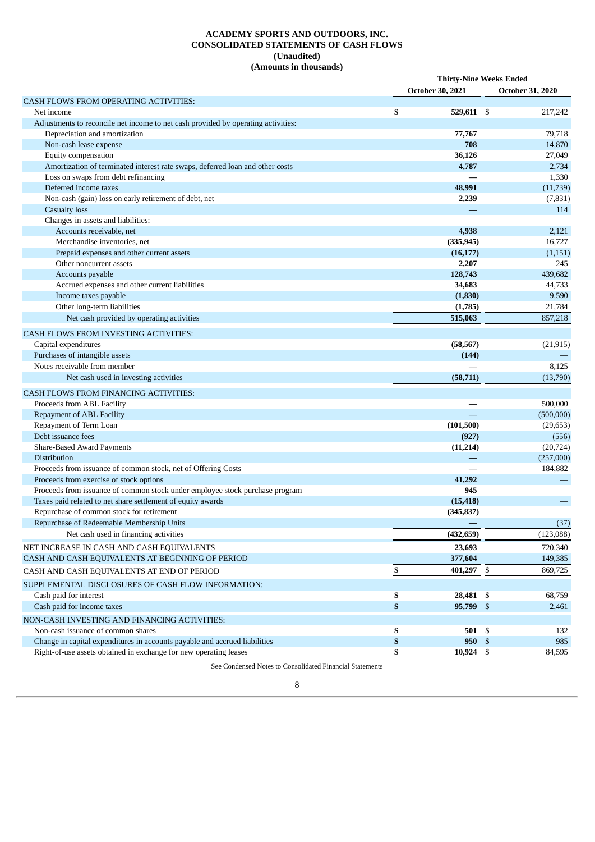# **ACADEMY SPORTS AND OUTDOORS, INC. CONSOLIDATED STATEMENTS OF CASH FLOWS (Unaudited) (Amounts in thousands)**

|                                                                                   | <b>Thirty-Nine Weeks Ended</b> |                    |                  |           |  |
|-----------------------------------------------------------------------------------|--------------------------------|--------------------|------------------|-----------|--|
|                                                                                   |                                | October 30, 2021   | October 31, 2020 |           |  |
| CASH FLOWS FROM OPERATING ACTIVITIES:                                             |                                |                    |                  |           |  |
| Net income                                                                        | \$                             | 529,611 \$         |                  | 217,242   |  |
| Adjustments to reconcile net income to net cash provided by operating activities: |                                |                    |                  |           |  |
| Depreciation and amortization                                                     |                                | 77,767             |                  | 79,718    |  |
| Non-cash lease expense                                                            |                                | 708                |                  | 14,870    |  |
| Equity compensation                                                               |                                | 36,126             |                  | 27,049    |  |
| Amortization of terminated interest rate swaps, deferred loan and other costs     |                                | 4,787              |                  | 2,734     |  |
| Loss on swaps from debt refinancing                                               |                                |                    |                  | 1,330     |  |
| Deferred income taxes                                                             |                                | 48,991             |                  | (11, 739) |  |
| Non-cash (gain) loss on early retirement of debt, net                             |                                | 2,239              |                  | (7, 831)  |  |
| <b>Casualty loss</b>                                                              |                                |                    |                  | 114       |  |
| Changes in assets and liabilities:                                                |                                |                    |                  |           |  |
| Accounts receivable, net                                                          |                                | 4,938              |                  | 2,121     |  |
| Merchandise inventories, net                                                      |                                | (335, 945)         |                  | 16,727    |  |
| Prepaid expenses and other current assets                                         |                                | (16, 177)          |                  | (1, 151)  |  |
| Other noncurrent assets                                                           |                                | 2,207              |                  | 245       |  |
| Accounts payable                                                                  |                                | 128,743            |                  | 439,682   |  |
| Accrued expenses and other current liabilities                                    |                                | 34,683             |                  | 44,733    |  |
| Income taxes payable                                                              |                                | (1,830)            |                  | 9,590     |  |
| Other long-term liabilities                                                       |                                | (1,785)            |                  | 21,784    |  |
| Net cash provided by operating activities                                         |                                | 515,063            |                  | 857,218   |  |
| CASH FLOWS FROM INVESTING ACTIVITIES:                                             |                                |                    |                  |           |  |
| Capital expenditures                                                              |                                | (58, 567)          |                  | (21, 915) |  |
| Purchases of intangible assets                                                    |                                | (144)              |                  |           |  |
| Notes receivable from member                                                      |                                |                    |                  | 8,125     |  |
| Net cash used in investing activities                                             |                                | (58, 711)          |                  | (13,790)  |  |
| CASH FLOWS FROM FINANCING ACTIVITIES:                                             |                                |                    |                  |           |  |
| Proceeds from ABL Facility                                                        |                                |                    |                  | 500,000   |  |
| Repayment of ABL Facility                                                         |                                |                    |                  | (500,000) |  |
| Repayment of Term Loan                                                            |                                | (101, 500)         |                  | (29, 653) |  |
| Debt issuance fees                                                                |                                | (927)              |                  | (556)     |  |
| Share-Based Award Payments                                                        |                                | (11,214)           |                  | (20, 724) |  |
| Distribution                                                                      |                                |                    |                  | (257,000) |  |
| Proceeds from issuance of common stock, net of Offering Costs                     |                                |                    |                  | 184,882   |  |
| Proceeds from exercise of stock options                                           |                                | 41,292             |                  |           |  |
| Proceeds from issuance of common stock under employee stock purchase program      |                                | 945                |                  |           |  |
| Taxes paid related to net share settlement of equity awards                       |                                | (15, 418)          |                  |           |  |
| Repurchase of common stock for retirement                                         |                                | (345, 837)         |                  |           |  |
| Repurchase of Redeemable Membership Units                                         |                                |                    |                  | (37)      |  |
| Net cash used in financing activities                                             |                                | (432, 659)         |                  | (123,088) |  |
| NET INCREASE IN CASH AND CASH EQUIVALENTS                                         |                                | 23,693             |                  | 720,340   |  |
| CASH AND CASH EQUIVALENTS AT BEGINNING OF PERIOD                                  |                                | 377,604            |                  | 149,385   |  |
| CASH AND CASH EQUIVALENTS AT END OF PERIOD                                        | \$                             | 401,297 \$         |                  | 869,725   |  |
| SUPPLEMENTAL DISCLOSURES OF CASH FLOW INFORMATION:                                |                                |                    |                  |           |  |
| Cash paid for interest                                                            | \$                             | 28,481 \$          |                  | 68,759    |  |
| Cash paid for income taxes                                                        | \$                             | 95,799 \$          |                  | 2,461     |  |
|                                                                                   |                                |                    |                  |           |  |
| NON-CASH INVESTING AND FINANCING ACTIVITIES:                                      |                                |                    |                  |           |  |
| Non-cash issuance of common shares                                                | \$                             | 501S               |                  | 132       |  |
| Change in capital expenditures in accounts payable and accrued liabilities        | \$<br>\$                       | 950<br>$10,924$ \$ | - \$             | 985       |  |
| Right-of-use assets obtained in exchange for new operating leases                 |                                |                    |                  | 84,595    |  |

See Condensed Notes to Consolidated Financial Statements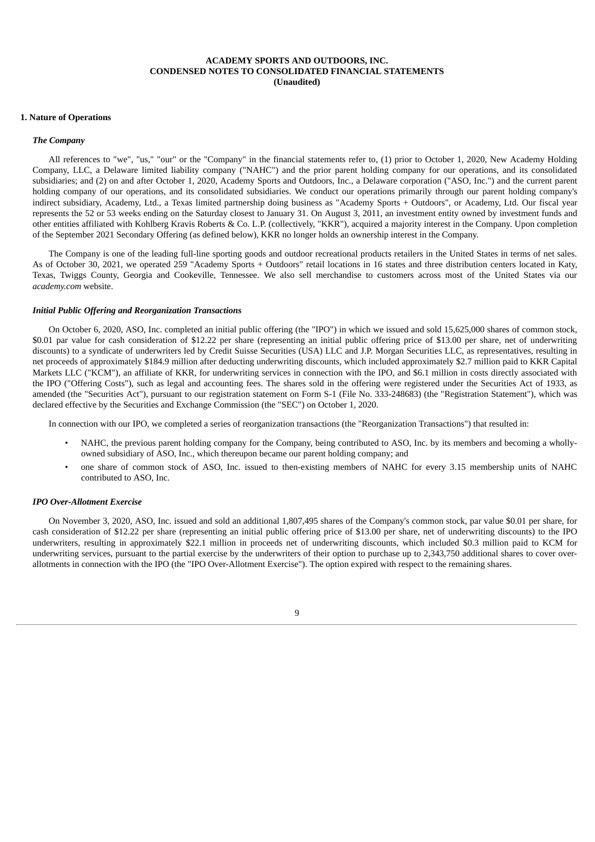# **ACADEMY SPORTS AND OUTDOORS, INC. CONDENSED NOTES TO CONSOLIDATED FINANCIAL STATEMENTS (Unaudited)**

### **1. Nature of Operations**

# *The Company*

All references to "we", "us," "our" or the "Company" in the financial statements refer to, (1) prior to October 1, 2020, New Academy Holding Company, LLC, a Delaware limited liability company ("NAHC") and the prior parent holding company for our operations, and its consolidated subsidiaries; and (2) on and after October 1, 2020, Academy Sports and Outdoors, Inc., a Delaware corporation ("ASO, Inc.") and the current parent holding company of our operations, and its consolidated subsidiaries. We conduct our operations primarily through our parent holding company's indirect subsidiary, Academy, Ltd., a Texas limited partnership doing business as "Academy Sports + Outdoors", or Academy, Ltd. Our fiscal year represents the 52 or 53 weeks ending on the Saturday closest to January 31. On August 3, 2011, an investment entity owned by investment funds and other entities affiliated with Kohlberg Kravis Roberts & Co. L.P. (collectively, "KKR"), acquired a majority interest in the Company. Upon completion of the September 2021 Secondary Offering (as defined below), KKR no longer holds an ownership interest in the Company.

The Company is one of the leading full-line sporting goods and outdoor recreational products retailers in the United States in terms of net sales. As of October 30, 2021, we operated 259 "Academy Sports + Outdoors" retail locations in 16 states and three distribution centers located in Katy, Texas, Twiggs County, Georgia and Cookeville, Tennessee. We also sell merchandise to customers across most of the United States via our *academy.com* website.

# *Initial Public Offering and Reorganization Transactions*

On October 6, 2020, ASO, Inc. completed an initial public offering (the "IPO") in which we issued and sold 15,625,000 shares of common stock, \$0.01 par value for cash consideration of \$12.22 per share (representing an initial public offering price of \$13.00 per share, net of underwriting discounts) to a syndicate of underwriters led by Credit Suisse Securities (USA) LLC and J.P. Morgan Securities LLC, as representatives, resulting in net proceeds of approximately \$184.9 million after deducting underwriting discounts, which included approximately \$2.7 million paid to KKR Capital Markets LLC ("KCM"), an affiliate of KKR, for underwriting services in connection with the IPO, and \$6.1 million in costs directly associated with the IPO ("Offering Costs"), such as legal and accounting fees. The shares sold in the offering were registered under the Securities Act of 1933, as amended (the "Securities Act"), pursuant to our registration statement on Form S-1 (File No. 333-248683) (the "Registration Statement"), which was declared effective by the Securities and Exchange Commission (the "SEC") on October 1, 2020.

In connection with our IPO, we completed a series of reorganization transactions (the "Reorganization Transactions") that resulted in:

- NAHC, the previous parent holding company for the Company, being contributed to ASO, Inc. by its members and becoming a whollyowned subsidiary of ASO, Inc., which thereupon became our parent holding company; and
- one share of common stock of ASO, Inc. issued to then-existing members of NAHC for every 3.15 membership units of NAHC contributed to ASO, Inc.

### *IPO Over-Allotment Exercise*

On November 3, 2020, ASO, Inc. issued and sold an additional 1,807,495 shares of the Company's common stock, par value \$0.01 per share, for cash consideration of \$12.22 per share (representing an initial public offering price of \$13.00 per share, net of underwriting discounts) to the IPO underwriters, resulting in approximately \$22.1 million in proceeds net of underwriting discounts, which included \$0.3 million paid to KCM for underwriting services, pursuant to the partial exercise by the underwriters of their option to purchase up to 2,343,750 additional shares to cover overallotments in connection with the IPO (the "IPO Over-Allotment Exercise"). The option expired with respect to the remaining shares.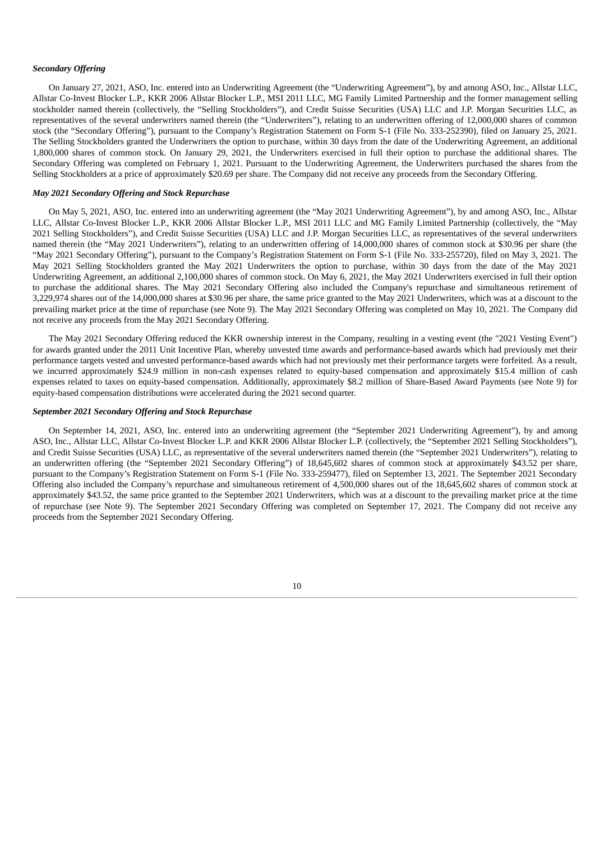### *Secondary Offering*

On January 27, 2021, ASO, Inc. entered into an Underwriting Agreement (the "Underwriting Agreement"), by and among ASO, Inc., Allstar LLC, Allstar Co-Invest Blocker L.P., KKR 2006 Allstar Blocker L.P., MSI 2011 LLC, MG Family Limited Partnership and the former management selling stockholder named therein (collectively, the "Selling Stockholders"), and Credit Suisse Securities (USA) LLC and J.P. Morgan Securities LLC, as representatives of the several underwriters named therein (the "Underwriters"), relating to an underwritten offering of 12,000,000 shares of common stock (the "Secondary Offering"), pursuant to the Company's Registration Statement on Form S-1 (File No. 333-252390), filed on January 25, 2021. The Selling Stockholders granted the Underwriters the option to purchase, within 30 days from the date of the Underwriting Agreement, an additional 1,800,000 shares of common stock. On January 29, 2021, the Underwriters exercised in full their option to purchase the additional shares. The Secondary Offering was completed on February 1, 2021. Pursuant to the Underwriting Agreement, the Underwriters purchased the shares from the Selling Stockholders at a price of approximately \$20.69 per share. The Company did not receive any proceeds from the Secondary Offering.

#### *May 2021 Secondary Offering and Stock Repurchase*

On May 5, 2021, ASO, Inc. entered into an underwriting agreement (the "May 2021 Underwriting Agreement"), by and among ASO, Inc., Allstar LLC, Allstar Co-Invest Blocker L.P., KKR 2006 Allstar Blocker L.P., MSI 2011 LLC and MG Family Limited Partnership (collectively, the "May 2021 Selling Stockholders"), and Credit Suisse Securities (USA) LLC and J.P. Morgan Securities LLC, as representatives of the several underwriters named therein (the "May 2021 Underwriters"), relating to an underwritten offering of 14,000,000 shares of common stock at \$30.96 per share (the "May 2021 Secondary Offering"), pursuant to the Company's Registration Statement on Form S-1 (File No. 333-255720), filed on May 3, 2021. The May 2021 Selling Stockholders granted the May 2021 Underwriters the option to purchase, within 30 days from the date of the May 2021 Underwriting Agreement, an additional 2,100,000 shares of common stock. On May 6, 2021, the May 2021 Underwriters exercised in full their option to purchase the additional shares. The May 2021 Secondary Offering also included the Company's repurchase and simultaneous retirement of 3,229,974 shares out of the 14,000,000 shares at \$30.96 per share, the same price granted to the May 2021 Underwriters, which was at a discount to the prevailing market price at the time of repurchase (see Note 9). The May 2021 Secondary Offering was completed on May 10, 2021. The Company did not receive any proceeds from the May 2021 Secondary Offering.

The May 2021 Secondary Offering reduced the KKR ownership interest in the Company, resulting in a vesting event (the "2021 Vesting Event") for awards granted under the 2011 Unit Incentive Plan, whereby unvested time awards and performance-based awards which had previously met their performance targets vested and unvested performance-based awards which had not previously met their performance targets were forfeited. As a result, we incurred approximately \$24.9 million in non-cash expenses related to equity-based compensation and approximately \$15.4 million of cash expenses related to taxes on equity-based compensation. Additionally, approximately \$8.2 million of Share-Based Award Payments (see Note 9) for equity-based compensation distributions were accelerated during the 2021 second quarter.

#### *September 2021 Secondary Offering and Stock Repurchase*

On September 14, 2021, ASO, Inc. entered into an underwriting agreement (the "September 2021 Underwriting Agreement"), by and among ASO, Inc., Allstar LLC, Allstar Co-Invest Blocker L.P. and KKR 2006 Allstar Blocker L.P. (collectively, the "September 2021 Selling Stockholders"), and Credit Suisse Securities (USA) LLC, as representative of the several underwriters named therein (the "September 2021 Underwriters"), relating to an underwritten offering (the "September 2021 Secondary Offering") of 18,645,602 shares of common stock at approximately \$43.52 per share, pursuant to the Company's Registration Statement on Form S-1 (File No. 333-259477), filed on September 13, 2021. The September 2021 Secondary Offering also included the Company's repurchase and simultaneous retirement of 4,500,000 shares out of the 18,645,602 shares of common stock at approximately \$43.52, the same price granted to the September 2021 Underwriters, which was at a discount to the prevailing market price at the time of repurchase (see Note 9). The September 2021 Secondary Offering was completed on September 17, 2021. The Company did not receive any proceeds from the September 2021 Secondary Offering.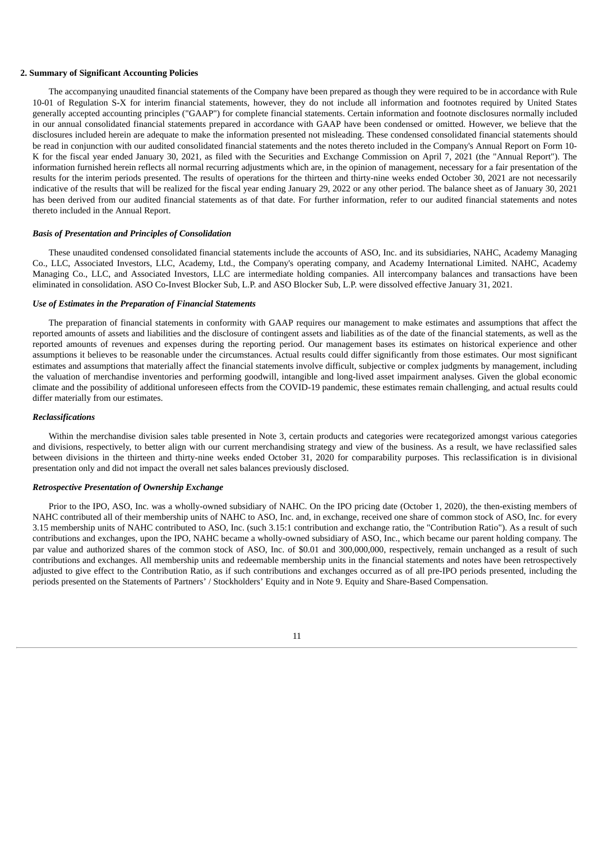# **2. Summary of Significant Accounting Policies**

The accompanying unaudited financial statements of the Company have been prepared as though they were required to be in accordance with Rule 10-01 of Regulation S-X for interim financial statements, however, they do not include all information and footnotes required by United States generally accepted accounting principles ("GAAP") for complete financial statements. Certain information and footnote disclosures normally included in our annual consolidated financial statements prepared in accordance with GAAP have been condensed or omitted. However, we believe that the disclosures included herein are adequate to make the information presented not misleading. These condensed consolidated financial statements should be read in conjunction with our audited consolidated financial statements and the notes thereto included in the Company's Annual Report on Form 10- K for the fiscal year ended January 30, 2021, as filed with the Securities and Exchange Commission on April 7, 2021 (the "Annual Report"). The information furnished herein reflects all normal recurring adjustments which are, in the opinion of management, necessary for a fair presentation of the results for the interim periods presented. The results of operations for the thirteen and thirty-nine weeks ended October 30, 2021 are not necessarily indicative of the results that will be realized for the fiscal year ending January 29, 2022 or any other period. The balance sheet as of January 30, 2021 has been derived from our audited financial statements as of that date. For further information, refer to our audited financial statements and notes thereto included in the Annual Report.

#### *Basis of Presentation and Principles of Consolidation*

These unaudited condensed consolidated financial statements include the accounts of ASO, Inc. and its subsidiaries, NAHC, Academy Managing Co., LLC, Associated Investors, LLC, Academy, Ltd., the Company's operating company, and Academy International Limited. NAHC, Academy Managing Co., LLC, and Associated Investors, LLC are intermediate holding companies. All intercompany balances and transactions have been eliminated in consolidation. ASO Co-Invest Blocker Sub, L.P. and ASO Blocker Sub, L.P. were dissolved effective January 31, 2021.

# *Use of Estimates in the Preparation of Financial Statements*

The preparation of financial statements in conformity with GAAP requires our management to make estimates and assumptions that affect the reported amounts of assets and liabilities and the disclosure of contingent assets and liabilities as of the date of the financial statements, as well as the reported amounts of revenues and expenses during the reporting period. Our management bases its estimates on historical experience and other assumptions it believes to be reasonable under the circumstances. Actual results could differ significantly from those estimates. Our most significant estimates and assumptions that materially affect the financial statements involve difficult, subjective or complex judgments by management, including the valuation of merchandise inventories and performing goodwill, intangible and long-lived asset impairment analyses. Given the global economic climate and the possibility of additional unforeseen effects from the COVID-19 pandemic, these estimates remain challenging, and actual results could differ materially from our estimates.

#### *Reclassifications*

Within the merchandise division sales table presented in Note 3, certain products and categories were recategorized amongst various categories and divisions, respectively, to better align with our current merchandising strategy and view of the business. As a result, we have reclassified sales between divisions in the thirteen and thirty-nine weeks ended October 31, 2020 for comparability purposes. This reclassification is in divisional presentation only and did not impact the overall net sales balances previously disclosed.

# *Retrospective Presentation of Ownership Exchange*

Prior to the IPO, ASO, Inc. was a wholly-owned subsidiary of NAHC. On the IPO pricing date (October 1, 2020), the then-existing members of NAHC contributed all of their membership units of NAHC to ASO, Inc. and, in exchange, received one share of common stock of ASO, Inc. for every 3.15 membership units of NAHC contributed to ASO, Inc. (such 3.15:1 contribution and exchange ratio, the "Contribution Ratio"). As a result of such contributions and exchanges, upon the IPO, NAHC became a wholly-owned subsidiary of ASO, Inc., which became our parent holding company. The par value and authorized shares of the common stock of ASO, Inc. of \$0.01 and 300,000,000, respectively, remain unchanged as a result of such contributions and exchanges. All membership units and redeemable membership units in the financial statements and notes have been retrospectively adjusted to give effect to the Contribution Ratio, as if such contributions and exchanges occurred as of all pre-IPO periods presented, including the periods presented on the Statements of Partners' / Stockholders' Equity and in Note 9. Equity and Share-Based Compensation.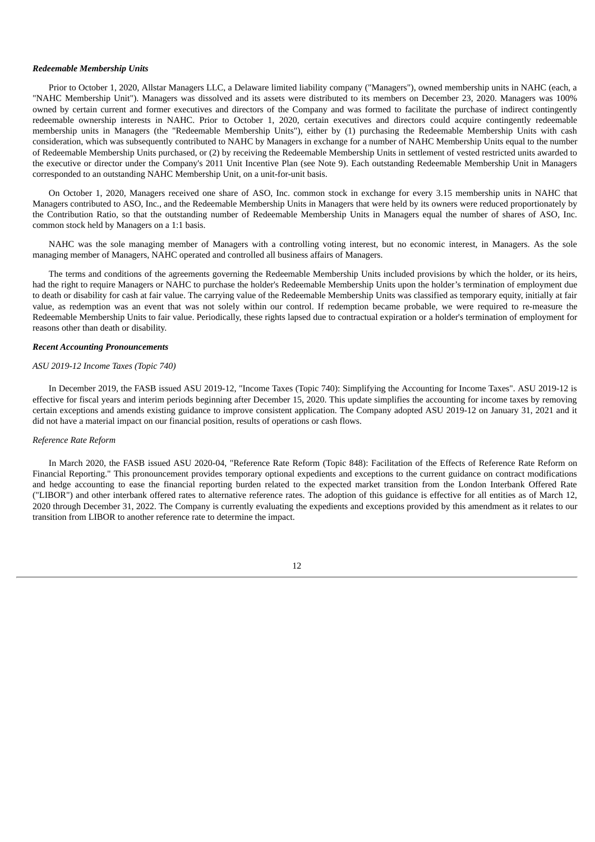#### *Redeemable Membership Units*

Prior to October 1, 2020, Allstar Managers LLC, a Delaware limited liability company ("Managers"), owned membership units in NAHC (each, a "NAHC Membership Unit"). Managers was dissolved and its assets were distributed to its members on December 23, 2020. Managers was 100% owned by certain current and former executives and directors of the Company and was formed to facilitate the purchase of indirect contingently redeemable ownership interests in NAHC. Prior to October 1, 2020, certain executives and directors could acquire contingently redeemable membership units in Managers (the "Redeemable Membership Units"), either by (1) purchasing the Redeemable Membership Units with cash consideration, which was subsequently contributed to NAHC by Managers in exchange for a number of NAHC Membership Units equal to the number of Redeemable Membership Units purchased, or (2) by receiving the Redeemable Membership Units in settlement of vested restricted units awarded to the executive or director under the Company's 2011 Unit Incentive Plan (see Note 9). Each outstanding Redeemable Membership Unit in Managers corresponded to an outstanding NAHC Membership Unit, on a unit-for-unit basis.

On October 1, 2020, Managers received one share of ASO, Inc. common stock in exchange for every 3.15 membership units in NAHC that Managers contributed to ASO, Inc., and the Redeemable Membership Units in Managers that were held by its owners were reduced proportionately by the Contribution Ratio, so that the outstanding number of Redeemable Membership Units in Managers equal the number of shares of ASO, Inc. common stock held by Managers on a 1:1 basis.

NAHC was the sole managing member of Managers with a controlling voting interest, but no economic interest, in Managers. As the sole managing member of Managers, NAHC operated and controlled all business affairs of Managers.

The terms and conditions of the agreements governing the Redeemable Membership Units included provisions by which the holder, or its heirs, had the right to require Managers or NAHC to purchase the holder's Redeemable Membership Units upon the holder's termination of employment due to death or disability for cash at fair value. The carrying value of the Redeemable Membership Units was classified as temporary equity, initially at fair value, as redemption was an event that was not solely within our control. If redemption became probable, we were required to re-measure the Redeemable Membership Units to fair value. Periodically, these rights lapsed due to contractual expiration or a holder's termination of employment for reasons other than death or disability.

# *Recent Accounting Pronouncements*

### *ASU 2019-12 Income Taxes (Topic 740)*

In December 2019, the FASB issued ASU 2019-12, "Income Taxes (Topic 740): Simplifying the Accounting for Income Taxes". ASU 2019-12 is effective for fiscal years and interim periods beginning after December 15, 2020. This update simplifies the accounting for income taxes by removing certain exceptions and amends existing guidance to improve consistent application. The Company adopted ASU 2019-12 on January 31, 2021 and it did not have a material impact on our financial position, results of operations or cash flows.

#### *Reference Rate Reform*

In March 2020, the FASB issued ASU 2020-04, "Reference Rate Reform (Topic 848): Facilitation of the Effects of Reference Rate Reform on Financial Reporting." This pronouncement provides temporary optional expedients and exceptions to the current guidance on contract modifications and hedge accounting to ease the financial reporting burden related to the expected market transition from the London Interbank Offered Rate ("LIBOR") and other interbank offered rates to alternative reference rates. The adoption of this guidance is effective for all entities as of March 12, 2020 through December 31, 2022. The Company is currently evaluating the expedients and exceptions provided by this amendment as it relates to our transition from LIBOR to another reference rate to determine the impact.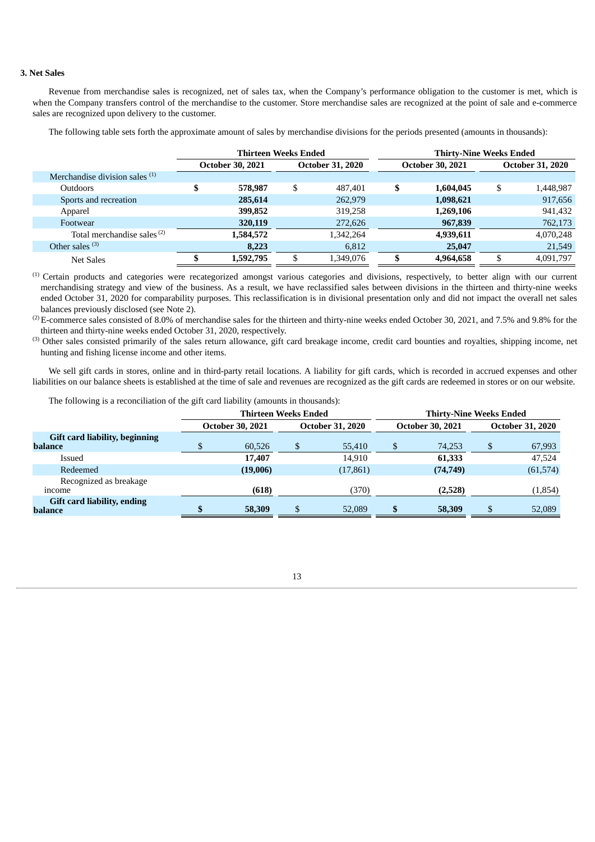# **3. Net Sales**

Revenue from merchandise sales is recognized, net of sales tax, when the Company's performance obligation to the customer is met, which is when the Company transfers control of the merchandise to the customer. Store merchandise sales are recognized at the point of sale and e-commerce sales are recognized upon delivery to the customer.

The following table sets forth the approximate amount of sales by merchandise divisions for the periods presented (amounts in thousands):

|                                        |    | <b>Thirteen Weeks Ended</b> |    |                         | <b>Thirty-Nine Weeks Ended</b> |                         |                         |           |  |
|----------------------------------------|----|-----------------------------|----|-------------------------|--------------------------------|-------------------------|-------------------------|-----------|--|
|                                        |    | <b>October 30, 2021</b>     |    | <b>October 31, 2020</b> |                                | <b>October 30, 2021</b> | <b>October 31, 2020</b> |           |  |
| Merchandise division sales $(1)$       |    |                             |    |                         |                                |                         |                         |           |  |
| <b>Outdoors</b>                        | ۰D | 578,987                     | \$ | 487.401                 | \$                             | 1,604,045               | \$                      | 1,448,987 |  |
| Sports and recreation                  |    | 285,614                     |    | 262,979                 |                                | 1,098,621               |                         | 917,656   |  |
| Apparel                                |    | 399,852                     |    | 319,258                 |                                | 1,269,106               |                         | 941,432   |  |
| Footwear                               |    | 320,119                     |    | 272,626                 |                                | 967,839                 |                         | 762,173   |  |
| Total merchandise sales <sup>(2)</sup> |    | 1,584,572                   |    | 1,342,264               |                                | 4,939,611               |                         | 4,070,248 |  |
| Other sales $(3)$                      |    | 8,223                       |    | 6,812                   |                                | 25,047                  |                         | 21,549    |  |
| <b>Net Sales</b>                       |    | 1,592,795                   |    | 1,349,076               |                                | 4,964,658               |                         | 4,091,797 |  |

 $<sup>(1)</sup>$  Certain products and categories were recategorized amongst various categories and divisions, respectively, to better align with our current</sup> merchandising strategy and view of the business. As a result, we have reclassified sales between divisions in the thirteen and thirty-nine weeks ended October 31, 2020 for comparability purposes. This reclassification is in divisional presentation only and did not impact the overall net sales balances previously disclosed (see Note 2).

<sup>(2)</sup> E-commerce sales consisted of 8.0% of merchandise sales for the thirteen and thirty-nine weeks ended October 30, 2021, and 7.5% and 9.8% for the thirteen and thirty-nine weeks ended October 31, 2020, respectively.

 $(3)$  Other sales consisted primarily of the sales return allowance, gift card breakage income, credit card bounties and royalties, shipping income, net hunting and fishing license income and other items.

We sell gift cards in stores, online and in third-party retail locations. A liability for gift cards, which is recorded in accrued expenses and other liabilities on our balance sheets is established at the time of sale and revenues are recognized as the gift cards are redeemed in stores or on our website.

The following is a reconciliation of the gift card liability (amounts in thousands):

|                                                  | <b>Thirteen Weeks Ended</b> |                         |  |                         |     | <b>Thirty-Nine Weeks Ended</b> |                         |           |  |  |  |
|--------------------------------------------------|-----------------------------|-------------------------|--|-------------------------|-----|--------------------------------|-------------------------|-----------|--|--|--|
|                                                  |                             | <b>October 30, 2021</b> |  | <b>October 31, 2020</b> |     | <b>October 30, 2021</b>        | <b>October 31, 2020</b> |           |  |  |  |
| <b>Gift card liability, beginning</b><br>balance |                             | 60,526                  |  | 55,410                  | \$  | 74,253                         |                         | 67,993    |  |  |  |
| Issued                                           |                             | 17,407                  |  | 14,910                  |     | 61,333                         |                         | 47.524    |  |  |  |
| Redeemed                                         |                             | (19,006)                |  | (17, 861)               |     | (74, 749)                      |                         | (61, 574) |  |  |  |
| Recognized as breakage<br>income                 |                             | (618)                   |  | (370)                   |     | (2,528)                        |                         | (1,854)   |  |  |  |
| Gift card liability, ending<br>balance           |                             | 58,309                  |  | 52,089                  | \$. | 58,309                         |                         | 52,089    |  |  |  |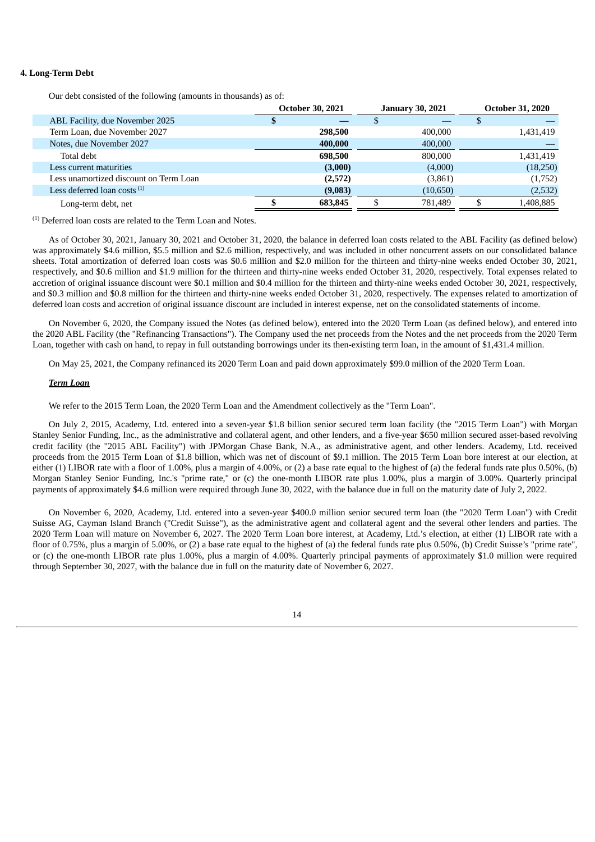# **4. Long-Term Debt**

Our debt consisted of the following (amounts in thousands) as of:

|                                        | <b>October 30, 2021</b> | <b>January 30, 2021</b> | <b>October 31, 2020</b> |
|----------------------------------------|-------------------------|-------------------------|-------------------------|
| ABL Facility, due November 2025        |                         |                         |                         |
| Term Loan, due November 2027           | 298,500                 | 400,000                 | 1,431,419               |
| Notes, due November 2027               | 400,000                 | 400,000                 |                         |
| Total debt                             | 698,500                 | 800,000                 | 1,431,419               |
| Less current maturities                | (3,000)                 | (4,000)                 | (18,250)                |
| Less unamortized discount on Term Loan | (2,572)                 | (3, 861)                | (1,752)                 |
| Less deferred loan costs $(1)$         | (9,083)                 | (10,650)                | (2,532)                 |
| Long-term debt, net                    | 683,845                 | 781,489                 | 1,408,885               |

 $<sup>(1)</sup>$  Deferred loan costs are related to the Term Loan and Notes.</sup>

As of October 30, 2021, January 30, 2021 and October 31, 2020, the balance in deferred loan costs related to the ABL Facility (as defined below) was approximately \$4.6 million, \$5.5 million and \$2.6 million, respectively, and was included in other noncurrent assets on our consolidated balance sheets. Total amortization of deferred loan costs was \$0.6 million and \$2.0 million for the thirteen and thirty-nine weeks ended October 30, 2021, respectively, and \$0.6 million and \$1.9 million for the thirteen and thirty-nine weeks ended October 31, 2020, respectively. Total expenses related to accretion of original issuance discount were \$0.1 million and \$0.4 million for the thirteen and thirty-nine weeks ended October 30, 2021, respectively, and \$0.3 million and \$0.8 million for the thirteen and thirty-nine weeks ended October 31, 2020, respectively. The expenses related to amortization of deferred loan costs and accretion of original issuance discount are included in interest expense, net on the consolidated statements of income.

On November 6, 2020, the Company issued the Notes (as defined below), entered into the 2020 Term Loan (as defined below), and entered into the 2020 ABL Facility (the "Refinancing Transactions"). The Company used the net proceeds from the Notes and the net proceeds from the 2020 Term Loan, together with cash on hand, to repay in full outstanding borrowings under its then-existing term loan, in the amount of \$1,431.4 million.

On May 25, 2021, the Company refinanced its 2020 Term Loan and paid down approximately \$99.0 million of the 2020 Term Loan.

#### *Term Loan*

We refer to the 2015 Term Loan, the 2020 Term Loan and the Amendment collectively as the "Term Loan".

On July 2, 2015, Academy, Ltd. entered into a seven-year \$1.8 billion senior secured term loan facility (the "2015 Term Loan") with Morgan Stanley Senior Funding, Inc., as the administrative and collateral agent, and other lenders, and a five-year \$650 million secured asset-based revolving credit facility (the "2015 ABL Facility") with JPMorgan Chase Bank, N.A., as administrative agent, and other lenders. Academy, Ltd. received proceeds from the 2015 Term Loan of \$1.8 billion, which was net of discount of \$9.1 million. The 2015 Term Loan bore interest at our election, at either (1) LIBOR rate with a floor of 1.00%, plus a margin of 4.00%, or (2) a base rate equal to the highest of (a) the federal funds rate plus 0.50%, (b) Morgan Stanley Senior Funding, Inc.'s "prime rate," or (c) the one-month LIBOR rate plus 1.00%, plus a margin of 3.00%. Quarterly principal payments of approximately \$4.6 million were required through June 30, 2022, with the balance due in full on the maturity date of July 2, 2022.

On November 6, 2020, Academy, Ltd. entered into a seven-year \$400.0 million senior secured term loan (the "2020 Term Loan") with Credit Suisse AG, Cayman Island Branch ("Credit Suisse"), as the administrative agent and collateral agent and the several other lenders and parties. The 2020 Term Loan will mature on November 6, 2027. The 2020 Term Loan bore interest, at Academy, Ltd.'s election, at either (1) LIBOR rate with a floor of 0.75%, plus a margin of 5.00%, or (2) a base rate equal to the highest of (a) the federal funds rate plus 0.50%, (b) Credit Suisse's "prime rate", or (c) the one-month LIBOR rate plus 1.00%, plus a margin of 4.00%. Quarterly principal payments of approximately \$1.0 million were required through September 30, 2027, with the balance due in full on the maturity date of November 6, 2027.

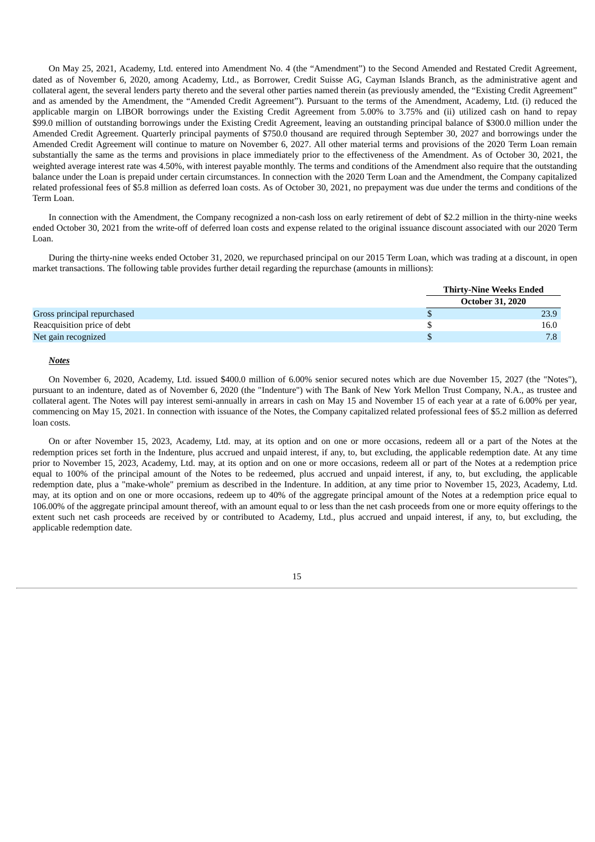On May 25, 2021, Academy, Ltd. entered into Amendment No. 4 (the "Amendment") to the Second Amended and Restated Credit Agreement, dated as of November 6, 2020, among Academy, Ltd., as Borrower, Credit Suisse AG, Cayman Islands Branch, as the administrative agent and collateral agent, the several lenders party thereto and the several other parties named therein (as previously amended, the "Existing Credit Agreement" and as amended by the Amendment, the "Amended Credit Agreement"). Pursuant to the terms of the Amendment, Academy, Ltd. (i) reduced the applicable margin on LIBOR borrowings under the Existing Credit Agreement from 5.00% to 3.75% and (ii) utilized cash on hand to repay \$99.0 million of outstanding borrowings under the Existing Credit Agreement, leaving an outstanding principal balance of \$300.0 million under the Amended Credit Agreement. Quarterly principal payments of \$750.0 thousand are required through September 30, 2027 and borrowings under the Amended Credit Agreement will continue to mature on November 6, 2027. All other material terms and provisions of the 2020 Term Loan remain substantially the same as the terms and provisions in place immediately prior to the effectiveness of the Amendment. As of October 30, 2021, the weighted average interest rate was 4.50%, with interest payable monthly. The terms and conditions of the Amendment also require that the outstanding balance under the Loan is prepaid under certain circumstances. In connection with the 2020 Term Loan and the Amendment, the Company capitalized related professional fees of \$5.8 million as deferred loan costs. As of October 30, 2021, no prepayment was due under the terms and conditions of the Term Loan.

In connection with the Amendment, the Company recognized a non-cash loss on early retirement of debt of \$2.2 million in the thirty-nine weeks ended October 30, 2021 from the write-off of deferred loan costs and expense related to the original issuance discount associated with our 2020 Term Loan.

During the thirty-nine weeks ended October 31, 2020, we repurchased principal on our 2015 Term Loan, which was trading at a discount, in open market transactions. The following table provides further detail regarding the repurchase (amounts in millions):

|                             | <b>Thirty-Nine Weeks Ended</b> |
|-----------------------------|--------------------------------|
|                             | <b>October 31, 2020</b>        |
| Gross principal repurchased | 23.9                           |
| Reacquisition price of debt | 16.0                           |
| Net gain recognized         | 7.8                            |

#### *Notes*

On November 6, 2020, Academy, Ltd. issued \$400.0 million of 6.00% senior secured notes which are due November 15, 2027 (the "Notes"), pursuant to an indenture, dated as of November 6, 2020 (the "Indenture") with The Bank of New York Mellon Trust Company, N.A., as trustee and collateral agent. The Notes will pay interest semi-annually in arrears in cash on May 15 and November 15 of each year at a rate of 6.00% per year, commencing on May 15, 2021. In connection with issuance of the Notes, the Company capitalized related professional fees of \$5.2 million as deferred loan costs.

On or after November 15, 2023, Academy, Ltd. may, at its option and on one or more occasions, redeem all or a part of the Notes at the redemption prices set forth in the Indenture, plus accrued and unpaid interest, if any, to, but excluding, the applicable redemption date. At any time prior to November 15, 2023, Academy, Ltd. may, at its option and on one or more occasions, redeem all or part of the Notes at a redemption price equal to 100% of the principal amount of the Notes to be redeemed, plus accrued and unpaid interest, if any, to, but excluding, the applicable redemption date, plus a "make-whole" premium as described in the Indenture. In addition, at any time prior to November 15, 2023, Academy, Ltd. may, at its option and on one or more occasions, redeem up to 40% of the aggregate principal amount of the Notes at a redemption price equal to 106.00% of the aggregate principal amount thereof, with an amount equal to or less than the net cash proceeds from one or more equity offerings to the extent such net cash proceeds are received by or contributed to Academy, Ltd., plus accrued and unpaid interest, if any, to, but excluding, the applicable redemption date.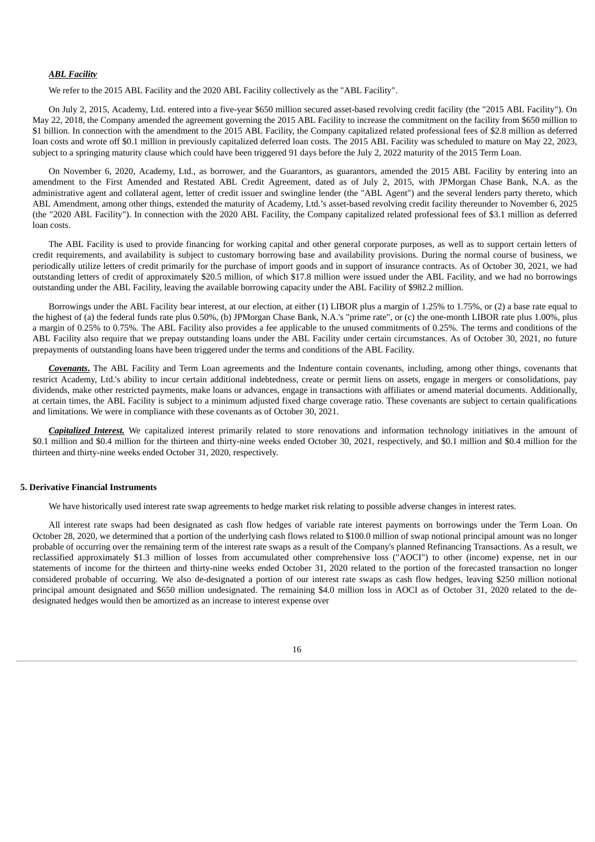### *ABL Facility*

We refer to the 2015 ABL Facility and the 2020 ABL Facility collectively as the "ABL Facility".

On July 2, 2015, Academy, Ltd. entered into a five-year \$650 million secured asset-based revolving credit facility (the "2015 ABL Facility"). On May 22, 2018, the Company amended the agreement governing the 2015 ABL Facility to increase the commitment on the facility from \$650 million to \$1 billion. In connection with the amendment to the 2015 ABL Facility, the Company capitalized related professional fees of \$2.8 million as deferred loan costs and wrote off \$0.1 million in previously capitalized deferred loan costs. The 2015 ABL Facility was scheduled to mature on May 22, 2023, subject to a springing maturity clause which could have been triggered 91 days before the July 2, 2022 maturity of the 2015 Term Loan.

On November 6, 2020, Academy, Ltd., as borrower, and the Guarantors, as guarantors, amended the 2015 ABL Facility by entering into an amendment to the First Amended and Restated ABL Credit Agreement, dated as of July 2, 2015, with JPMorgan Chase Bank, N.A. as the administrative agent and collateral agent, letter of credit issuer and swingline lender (the "ABL Agent") and the several lenders party thereto, which ABL Amendment, among other things, extended the maturity of Academy, Ltd.'s asset-based revolving credit facility thereunder to November 6, 2025 (the "2020 ABL Facility"). In connection with the 2020 ABL Facility, the Company capitalized related professional fees of \$3.1 million as deferred loan costs.

The ABL Facility is used to provide financing for working capital and other general corporate purposes, as well as to support certain letters of credit requirements, and availability is subject to customary borrowing base and availability provisions. During the normal course of business, we periodically utilize letters of credit primarily for the purchase of import goods and in support of insurance contracts. As of October 30, 2021, we had outstanding letters of credit of approximately \$20.5 million, of which \$17.8 million were issued under the ABL Facility, and we had no borrowings outstanding under the ABL Facility, leaving the available borrowing capacity under the ABL Facility of \$982.2 million.

Borrowings under the ABL Facility bear interest, at our election, at either (1) LIBOR plus a margin of 1.25% to 1.75%, or (2) a base rate equal to the highest of (a) the federal funds rate plus 0.50%, (b) JPMorgan Chase Bank, N.A.'s "prime rate", or (c) the one-month LIBOR rate plus 1.00%, plus a margin of 0.25% to 0.75%. The ABL Facility also provides a fee applicable to the unused commitments of 0.25%. The terms and conditions of the ABL Facility also require that we prepay outstanding loans under the ABL Facility under certain circumstances. As of October 30, 2021, no future prepayments of outstanding loans have been triggered under the terms and conditions of the ABL Facility.

*Covenants***.** The ABL Facility and Term Loan agreements and the Indenture contain covenants, including, among other things, covenants that restrict Academy, Ltd.'s ability to incur certain additional indebtedness, create or permit liens on assets, engage in mergers or consolidations, pay dividends, make other restricted payments, make loans or advances, engage in transactions with affiliates or amend material documents. Additionally, at certain times, the ABL Facility is subject to a minimum adjusted fixed charge coverage ratio. These covenants are subject to certain qualifications and limitations. We were in compliance with these covenants as of October 30, 2021.

*Capitalized Interest.* We capitalized interest primarily related to store renovations and information technology initiatives in the amount of \$0.1 million and \$0.4 million for the thirteen and thirty-nine weeks ended October 30, 2021, respectively, and \$0.1 million and \$0.4 million for the thirteen and thirty-nine weeks ended October 31, 2020, respectively.

#### **5. Derivative Financial Instruments**

We have historically used interest rate swap agreements to hedge market risk relating to possible adverse changes in interest rates.

All interest rate swaps had been designated as cash flow hedges of variable rate interest payments on borrowings under the Term Loan. On October 28, 2020, we determined that a portion of the underlying cash flows related to \$100.0 million of swap notional principal amount was no longer probable of occurring over the remaining term of the interest rate swaps as a result of the Company's planned Refinancing Transactions. As a result, we reclassified approximately \$1.3 million of losses from accumulated other comprehensive loss ("AOCI") to other (income) expense, net in our statements of income for the thirteen and thirty-nine weeks ended October 31, 2020 related to the portion of the forecasted transaction no longer considered probable of occurring. We also de-designated a portion of our interest rate swaps as cash flow hedges, leaving \$250 million notional principal amount designated and \$650 million undesignated. The remaining \$4.0 million loss in AOCI as of October 31, 2020 related to the dedesignated hedges would then be amortized as an increase to interest expense over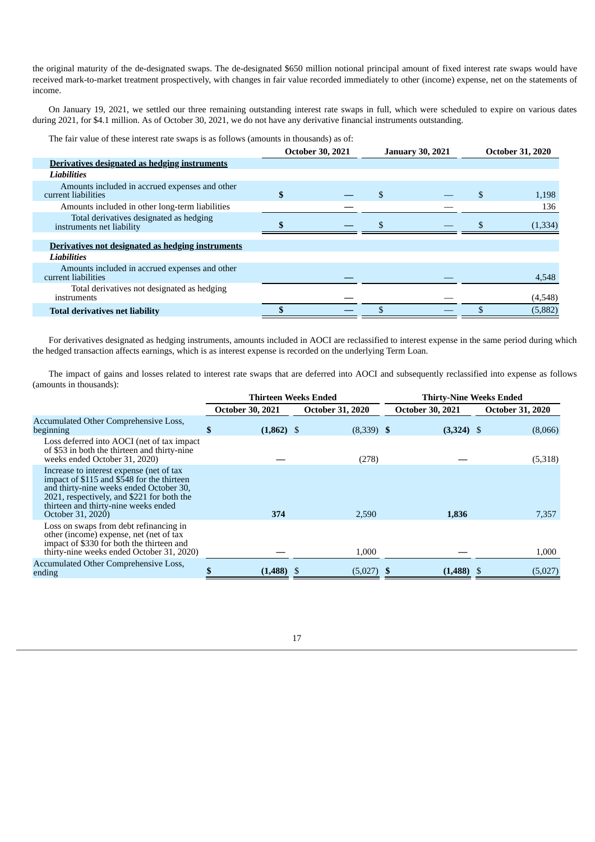the original maturity of the de-designated swaps. The de-designated \$650 million notional principal amount of fixed interest rate swaps would have received mark-to-market treatment prospectively, with changes in fair value recorded immediately to other (income) expense, net on the statements of income.

On January 19, 2021, we settled our three remaining outstanding interest rate swaps in full, which were scheduled to expire on various dates during 2021, for \$4.1 million. As of October 30, 2021, we do not have any derivative financial instruments outstanding.

The fair value of these interest rate swaps is as follows (amounts in thousands) as of:

|                                                                       | <b>October 30, 2021</b> | <b>January 30, 2021</b> | <b>October 31, 2020</b> |          |  |
|-----------------------------------------------------------------------|-------------------------|-------------------------|-------------------------|----------|--|
| Derivatives designated as hedging instruments                         |                         |                         |                         |          |  |
| <b>Liabilities</b>                                                    |                         |                         |                         |          |  |
| Amounts included in accrued expenses and other<br>current liabilities | \$                      |                         |                         | 1,198    |  |
| Amounts included in other long-term liabilities                       |                         |                         |                         | 136      |  |
| Total derivatives designated as hedging<br>instruments net liability  |                         |                         |                         | (1, 334) |  |
|                                                                       |                         |                         |                         |          |  |
| Derivatives not designated as hedging instruments                     |                         |                         |                         |          |  |
| <b>Liabilities</b>                                                    |                         |                         |                         |          |  |
| Amounts included in accrued expenses and other<br>current liabilities |                         |                         |                         | 4,548    |  |
| Total derivatives not designated as hedging<br>instruments            |                         |                         |                         | (4,548)  |  |
| <b>Total derivatives net liability</b>                                |                         |                         |                         | (5,882)  |  |

For derivatives designated as hedging instruments, amounts included in AOCI are reclassified to interest expense in the same period during which the hedged transaction affects earnings, which is as interest expense is recorded on the underlying Term Loan.

The impact of gains and losses related to interest rate swaps that are deferred into AOCI and subsequently reclassified into expense as follows (amounts in thousands):

|                                                                                                                                                                                                                                              | <b>Thirteen Weeks Ended</b> |                         |      |                         |  | <b>Thirty-Nine Weeks Ended</b> |  |                         |  |
|----------------------------------------------------------------------------------------------------------------------------------------------------------------------------------------------------------------------------------------------|-----------------------------|-------------------------|------|-------------------------|--|--------------------------------|--|-------------------------|--|
|                                                                                                                                                                                                                                              |                             | <b>October 30, 2021</b> |      | <b>October 31, 2020</b> |  | <b>October 30, 2021</b>        |  | <b>October 31, 2020</b> |  |
| Accumulated Other Comprehensive Loss,<br>beginning                                                                                                                                                                                           | \$                          | $(1,862)$ \$            |      | $(8,339)$ \$            |  | $(3,324)$ \$                   |  | (8,066)                 |  |
| Loss deferred into AOCI (net of tax impact<br>of \$53 in both the thirteen and thirty-nine<br>weeks ended October 31, 2020)                                                                                                                  |                             |                         |      | (278)                   |  |                                |  | (5,318)                 |  |
| Increase to interest expense (net of tax<br>impact of \$115 and \$548 for the thirteen<br>and thirty-nine weeks ended October 30,<br>2021, respectively, and \$221 for both the<br>thirteen and thirty-nine weeks ended<br>October 31, 2020) |                             | 374                     |      | 2,590                   |  | 1,836                          |  | 7,357                   |  |
| Loss on swaps from debt refinancing in<br>other (income) expense, net (net of tax<br>impact of \$330 for both the thirteen and<br>thirty-nine weeks ended October 31, 2020)                                                                  |                             |                         |      | 1,000                   |  |                                |  | 1,000                   |  |
| Accumulated Other Comprehensive Loss,<br>ending                                                                                                                                                                                              |                             | (1,488)                 | - \$ | $(5,027)$ \$            |  | $(1,488)$ \$                   |  | (5,027)                 |  |

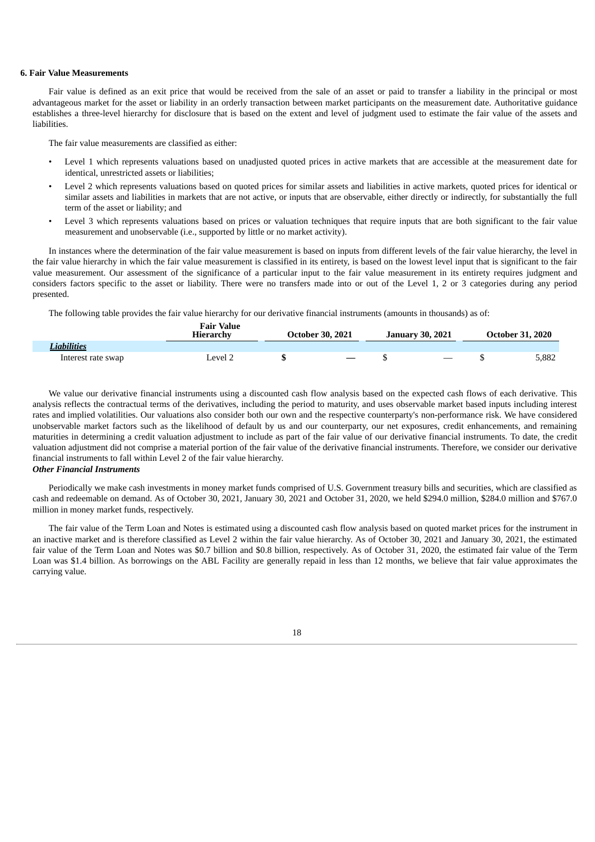# **6. Fair Value Measurements**

Fair value is defined as an exit price that would be received from the sale of an asset or paid to transfer a liability in the principal or most advantageous market for the asset or liability in an orderly transaction between market participants on the measurement date. Authoritative guidance establishes a three-level hierarchy for disclosure that is based on the extent and level of judgment used to estimate the fair value of the assets and liabilities.

The fair value measurements are classified as either:

- Level 1 which represents valuations based on unadjusted quoted prices in active markets that are accessible at the measurement date for identical, unrestricted assets or liabilities;
- Level 2 which represents valuations based on quoted prices for similar assets and liabilities in active markets, quoted prices for identical or similar assets and liabilities in markets that are not active, or inputs that are observable, either directly or indirectly, for substantially the full term of the asset or liability; and
- Level 3 which represents valuations based on prices or valuation techniques that require inputs that are both significant to the fair value measurement and unobservable (i.e., supported by little or no market activity).

In instances where the determination of the fair value measurement is based on inputs from different levels of the fair value hierarchy, the level in the fair value hierarchy in which the fair value measurement is classified in its entirety, is based on the lowest level input that is significant to the fair value measurement. Our assessment of the significance of a particular input to the fair value measurement in its entirety requires judgment and considers factors specific to the asset or liability. There were no transfers made into or out of the Level 1, 2 or 3 categories during any period presented.

The following table provides the fair value hierarchy for our derivative financial instruments (amounts in thousands) as of:

|                    | <b>Fair Value</b><br>Hierarchy | <b>October 30, 2021</b> | <b>January 30, 2021</b> | <b>October 31, 2020</b> |
|--------------------|--------------------------------|-------------------------|-------------------------|-------------------------|
| <b>Liabilities</b> |                                |                         |                         |                         |
| Interest rate swap | Level 2                        |                         |                         | 5,882                   |

We value our derivative financial instruments using a discounted cash flow analysis based on the expected cash flows of each derivative. This analysis reflects the contractual terms of the derivatives, including the period to maturity, and uses observable market based inputs including interest rates and implied volatilities. Our valuations also consider both our own and the respective counterparty's non-performance risk. We have considered unobservable market factors such as the likelihood of default by us and our counterparty, our net exposures, credit enhancements, and remaining maturities in determining a credit valuation adjustment to include as part of the fair value of our derivative financial instruments. To date, the credit valuation adjustment did not comprise a material portion of the fair value of the derivative financial instruments. Therefore, we consider our derivative financial instruments to fall within Level 2 of the fair value hierarchy.

# *Other Financial Instruments*

Periodically we make cash investments in money market funds comprised of U.S. Government treasury bills and securities, which are classified as cash and redeemable on demand. As of October 30, 2021, January 30, 2021 and October 31, 2020, we held \$294.0 million, \$284.0 million and \$767.0 million in money market funds, respectively.

The fair value of the Term Loan and Notes is estimated using a discounted cash flow analysis based on quoted market prices for the instrument in an inactive market and is therefore classified as Level 2 within the fair value hierarchy. As of October 30, 2021 and January 30, 2021, the estimated fair value of the Term Loan and Notes was \$0.7 billion and \$0.8 billion, respectively. As of October 31, 2020, the estimated fair value of the Term Loan was \$1.4 billion. As borrowings on the ABL Facility are generally repaid in less than 12 months, we believe that fair value approximates the carrying value.

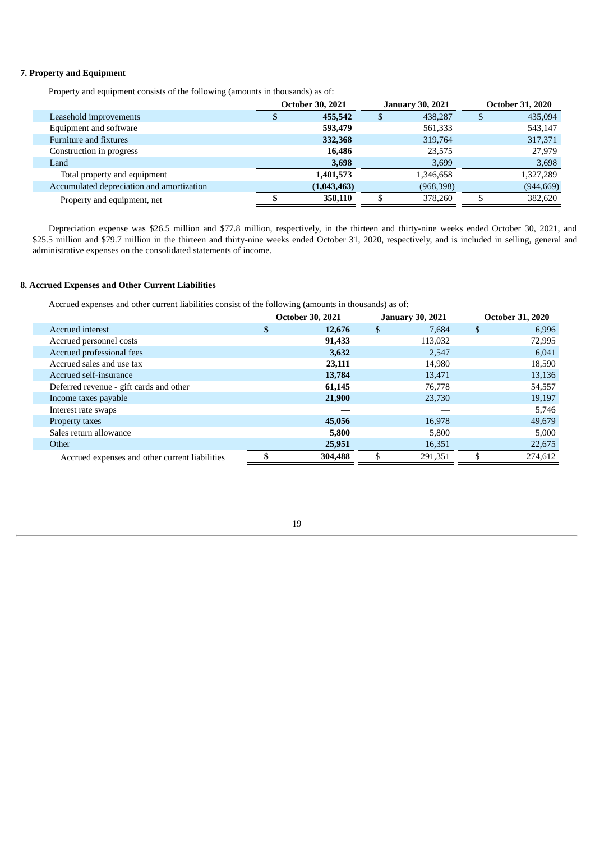# **7. Property and Equipment**

Property and equipment consists of the following (amounts in thousands) as of:

|                                           | <b>October 30, 2021</b> |             |   | <b>January 30, 2021</b> | <b>October 31, 2020</b> |            |  |
|-------------------------------------------|-------------------------|-------------|---|-------------------------|-------------------------|------------|--|
| Leasehold improvements                    |                         | 455,542     | D | 438,287                 | S                       | 435,094    |  |
| Equipment and software                    |                         | 593,479     |   | 561,333                 |                         | 543,147    |  |
| Furniture and fixtures                    |                         | 332,368     |   | 319,764                 |                         | 317,371    |  |
| Construction in progress                  |                         | 16,486      |   | 23,575                  |                         | 27,979     |  |
| Land                                      |                         | 3,698       |   | 3,699                   |                         | 3,698      |  |
| Total property and equipment              |                         | 1,401,573   |   | 1,346,658               |                         | 1,327,289  |  |
| Accumulated depreciation and amortization |                         | (1,043,463) |   | (968, 398)              |                         | (944, 669) |  |
| Property and equipment, net               |                         | 358,110     |   | 378,260                 |                         | 382,620    |  |

Depreciation expense was \$26.5 million and \$77.8 million, respectively, in the thirteen and thirty-nine weeks ended October 30, 2021, and \$25.5 million and \$79.7 million in the thirteen and thirty-nine weeks ended October 31, 2020, respectively, and is included in selling, general and administrative expenses on the consolidated statements of income.

# **8. Accrued Expenses and Other Current Liabilities**

Accrued expenses and other current liabilities consist of the following (amounts in thousands) as of:

|                                                | <b>October 30, 2021</b> |         |    | <b>January 30, 2021</b> | <b>October 31, 2020</b> |         |
|------------------------------------------------|-------------------------|---------|----|-------------------------|-------------------------|---------|
| <b>Accrued</b> interest                        |                         | 12,676  | J. | 7.684                   | S                       | 6.996   |
| Accrued personnel costs                        |                         | 91,433  |    | 113,032                 |                         | 72,995  |
| Accrued professional fees                      |                         | 3,632   |    | 2,547                   |                         | 6,041   |
| Accrued sales and use tax                      |                         | 23,111  |    | 14,980                  |                         | 18,590  |
| Accrued self-insurance                         |                         | 13,784  |    | 13,471                  |                         | 13,136  |
| Deferred revenue - gift cards and other        |                         | 61,145  |    | 76,778                  |                         | 54,557  |
| Income taxes payable                           |                         | 21,900  |    | 23,730                  |                         | 19,197  |
| Interest rate swaps                            |                         |         |    |                         |                         | 5,746   |
| Property taxes                                 |                         | 45,056  |    | 16,978                  |                         | 49,679  |
| Sales return allowance                         |                         | 5,800   |    | 5,800                   |                         | 5,000   |
| Other                                          |                         | 25,951  |    | 16,351                  |                         | 22,675  |
| Accrued expenses and other current liabilities |                         | 304,488 |    | 291,351                 |                         | 274,612 |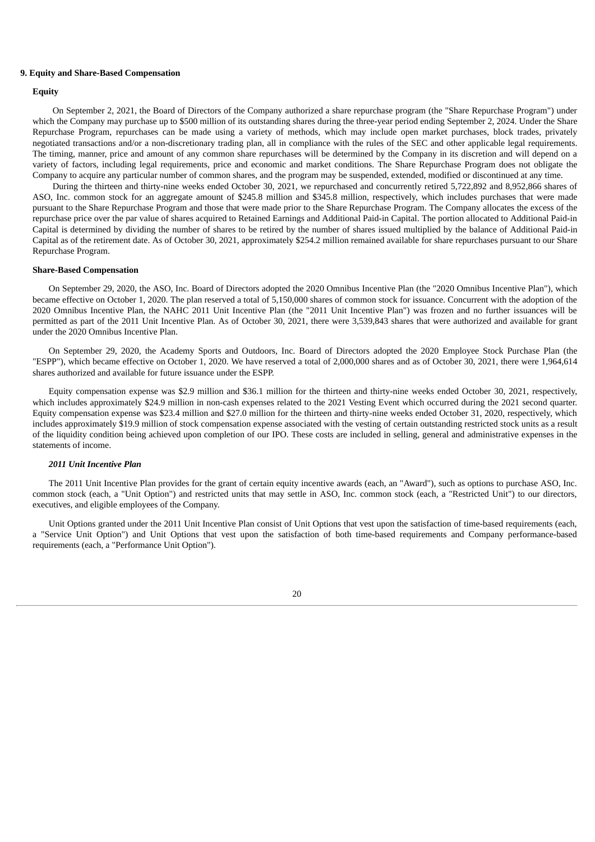# **9. Equity and Share-Based Compensation**

#### **Equity**

On September 2, 2021, the Board of Directors of the Company authorized a share repurchase program (the "Share Repurchase Program") under which the Company may purchase up to \$500 million of its outstanding shares during the three-year period ending September 2, 2024. Under the Share Repurchase Program, repurchases can be made using a variety of methods, which may include open market purchases, block trades, privately negotiated transactions and/or a non-discretionary trading plan, all in compliance with the rules of the SEC and other applicable legal requirements. The timing, manner, price and amount of any common share repurchases will be determined by the Company in its discretion and will depend on a variety of factors, including legal requirements, price and economic and market conditions. The Share Repurchase Program does not obligate the Company to acquire any particular number of common shares, and the program may be suspended, extended, modified or discontinued at any time.

During the thirteen and thirty-nine weeks ended October 30, 2021, we repurchased and concurrently retired 5,722,892 and 8,952,866 shares of ASO, Inc. common stock for an aggregate amount of \$245.8 million and \$345.8 million, respectively, which includes purchases that were made pursuant to the Share Repurchase Program and those that were made prior to the Share Repurchase Program. The Company allocates the excess of the repurchase price over the par value of shares acquired to Retained Earnings and Additional Paid-in Capital. The portion allocated to Additional Paid-in Capital is determined by dividing the number of shares to be retired by the number of shares issued multiplied by the balance of Additional Paid-in Capital as of the retirement date. As of October 30, 2021, approximately \$254.2 million remained available for share repurchases pursuant to our Share Repurchase Program.

# **Share-Based Compensation**

On September 29, 2020, the ASO, Inc. Board of Directors adopted the 2020 Omnibus Incentive Plan (the "2020 Omnibus Incentive Plan"), which became effective on October 1, 2020. The plan reserved a total of 5,150,000 shares of common stock for issuance. Concurrent with the adoption of the 2020 Omnibus Incentive Plan, the NAHC 2011 Unit Incentive Plan (the "2011 Unit Incentive Plan") was frozen and no further issuances will be permitted as part of the 2011 Unit Incentive Plan. As of October 30, 2021, there were 3,539,843 shares that were authorized and available for grant under the 2020 Omnibus Incentive Plan.

On September 29, 2020, the Academy Sports and Outdoors, Inc. Board of Directors adopted the 2020 Employee Stock Purchase Plan (the "ESPP"), which became effective on October 1, 2020. We have reserved a total of 2,000,000 shares and as of October 30, 2021, there were 1,964,614 shares authorized and available for future issuance under the ESPP.

Equity compensation expense was \$2.9 million and \$36.1 million for the thirteen and thirty-nine weeks ended October 30, 2021, respectively, which includes approximately \$24.9 million in non-cash expenses related to the 2021 Vesting Event which occurred during the 2021 second quarter. Equity compensation expense was \$23.4 million and \$27.0 million for the thirteen and thirty-nine weeks ended October 31, 2020, respectively, which includes approximately \$19.9 million of stock compensation expense associated with the vesting of certain outstanding restricted stock units as a result of the liquidity condition being achieved upon completion of our IPO. These costs are included in selling, general and administrative expenses in the statements of income.

# *2011 Unit Incentive Plan*

The 2011 Unit Incentive Plan provides for the grant of certain equity incentive awards (each, an "Award"), such as options to purchase ASO, Inc. common stock (each, a "Unit Option") and restricted units that may settle in ASO, Inc. common stock (each, a "Restricted Unit") to our directors, executives, and eligible employees of the Company.

Unit Options granted under the 2011 Unit Incentive Plan consist of Unit Options that vest upon the satisfaction of time-based requirements (each, a "Service Unit Option") and Unit Options that vest upon the satisfaction of both time-based requirements and Company performance-based requirements (each, a "Performance Unit Option").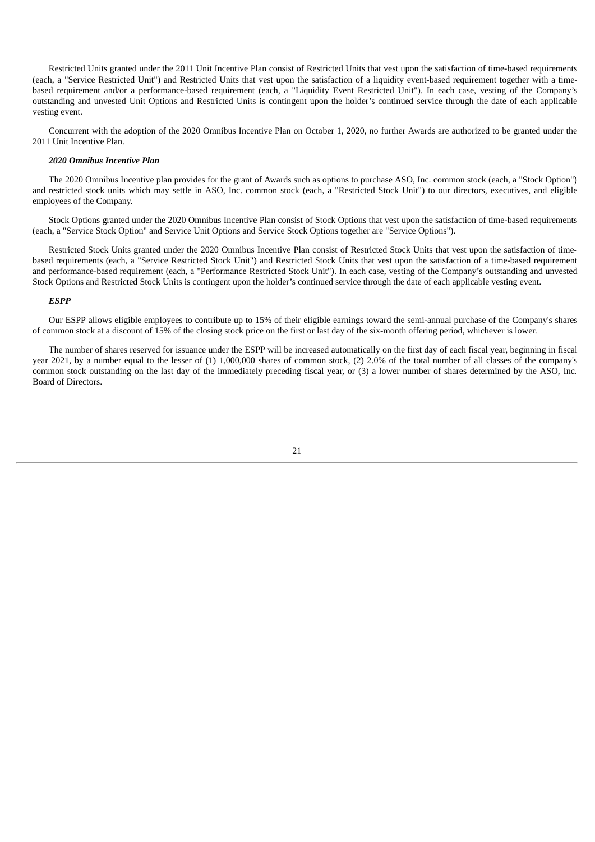Restricted Units granted under the 2011 Unit Incentive Plan consist of Restricted Units that vest upon the satisfaction of time-based requirements (each, a "Service Restricted Unit") and Restricted Units that vest upon the satisfaction of a liquidity event-based requirement together with a timebased requirement and/or a performance-based requirement (each, a "Liquidity Event Restricted Unit"). In each case, vesting of the Company's outstanding and unvested Unit Options and Restricted Units is contingent upon the holder's continued service through the date of each applicable vesting event.

Concurrent with the adoption of the 2020 Omnibus Incentive Plan on October 1, 2020, no further Awards are authorized to be granted under the 2011 Unit Incentive Plan.

# *2020 Omnibus Incentive Plan*

The 2020 Omnibus Incentive plan provides for the grant of Awards such as options to purchase ASO, Inc. common stock (each, a "Stock Option") and restricted stock units which may settle in ASO, Inc. common stock (each, a "Restricted Stock Unit") to our directors, executives, and eligible employees of the Company.

Stock Options granted under the 2020 Omnibus Incentive Plan consist of Stock Options that vest upon the satisfaction of time-based requirements (each, a "Service Stock Option" and Service Unit Options and Service Stock Options together are "Service Options").

Restricted Stock Units granted under the 2020 Omnibus Incentive Plan consist of Restricted Stock Units that vest upon the satisfaction of timebased requirements (each, a "Service Restricted Stock Unit") and Restricted Stock Units that vest upon the satisfaction of a time-based requirement and performance-based requirement (each, a "Performance Restricted Stock Unit"). In each case, vesting of the Company's outstanding and unvested Stock Options and Restricted Stock Units is contingent upon the holder's continued service through the date of each applicable vesting event.

# *ESPP*

Our ESPP allows eligible employees to contribute up to 15% of their eligible earnings toward the semi-annual purchase of the Company's shares of common stock at a discount of 15% of the closing stock price on the first or last day of the six-month offering period, whichever is lower.

The number of shares reserved for issuance under the ESPP will be increased automatically on the first day of each fiscal year, beginning in fiscal year 2021, by a number equal to the lesser of (1) 1,000,000 shares of common stock, (2) 2.0% of the total number of all classes of the company's common stock outstanding on the last day of the immediately preceding fiscal year, or (3) a lower number of shares determined by the ASO, Inc. Board of Directors.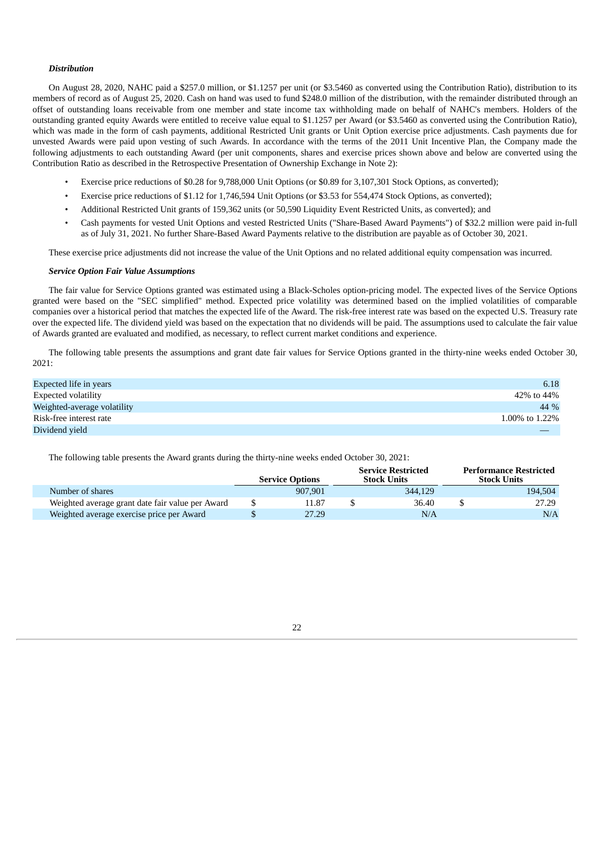#### *Distribution*

On August 28, 2020, NAHC paid a \$257.0 million, or \$1.1257 per unit (or \$3.5460 as converted using the Contribution Ratio), distribution to its members of record as of August 25, 2020. Cash on hand was used to fund \$248.0 million of the distribution, with the remainder distributed through an offset of outstanding loans receivable from one member and state income tax withholding made on behalf of NAHC's members. Holders of the outstanding granted equity Awards were entitled to receive value equal to \$1.1257 per Award (or \$3.5460 as converted using the Contribution Ratio), which was made in the form of cash payments, additional Restricted Unit grants or Unit Option exercise price adjustments. Cash payments due for unvested Awards were paid upon vesting of such Awards. In accordance with the terms of the 2011 Unit Incentive Plan, the Company made the following adjustments to each outstanding Award (per unit components, shares and exercise prices shown above and below are converted using the Contribution Ratio as described in the Retrospective Presentation of Ownership Exchange in Note 2):

- Exercise price reductions of \$0.28 for 9,788,000 Unit Options (or \$0.89 for 3,107,301 Stock Options, as converted);
- Exercise price reductions of \$1.12 for 1,746,594 Unit Options (or \$3.53 for 554,474 Stock Options, as converted);
- Additional Restricted Unit grants of 159,362 units (or 50,590 Liquidity Event Restricted Units, as converted); and
- Cash payments for vested Unit Options and vested Restricted Units ("Share-Based Award Payments") of \$32.2 million were paid in-full as of July 31, 2021. No further Share-Based Award Payments relative to the distribution are payable as of October 30, 2021.

These exercise price adjustments did not increase the value of the Unit Options and no related additional equity compensation was incurred.

#### *Service Option Fair Value Assumptions*

The fair value for Service Options granted was estimated using a Black-Scholes option-pricing model. The expected lives of the Service Options granted were based on the "SEC simplified" method. Expected price volatility was determined based on the implied volatilities of comparable companies over a historical period that matches the expected life of the Award. The risk-free interest rate was based on the expected U.S. Treasury rate over the expected life. The dividend yield was based on the expectation that no dividends will be paid. The assumptions used to calculate the fair value of Awards granted are evaluated and modified, as necessary, to reflect current market conditions and experience.

The following table presents the assumptions and grant date fair values for Service Options granted in the thirty-nine weeks ended October 30, 2021:

| Expected life in years      | 6.18           |
|-----------------------------|----------------|
| Expected volatility         | 42% to 44%     |
| Weighted-average volatility | 44 %           |
| Risk-free interest rate     | 1.00% to 1.22% |
| Dividend yield              |                |

The following table presents the Award grants during the thirty-nine weeks ended October 30, 2021:

|                                                  | <b>Service Options</b> | <b>Service Restricted</b><br><b>Stock Units</b> | <b>Performance Restricted</b><br><b>Stock Units</b> |         |  |
|--------------------------------------------------|------------------------|-------------------------------------------------|-----------------------------------------------------|---------|--|
| Number of shares                                 | 907.901                | 344,129                                         |                                                     | 194.504 |  |
| Weighted average grant date fair value per Award | 1.87                   | 36.40                                           |                                                     | 27.29   |  |
| Weighted average exercise price per Award        | 27.29                  | N/A                                             |                                                     | N/A     |  |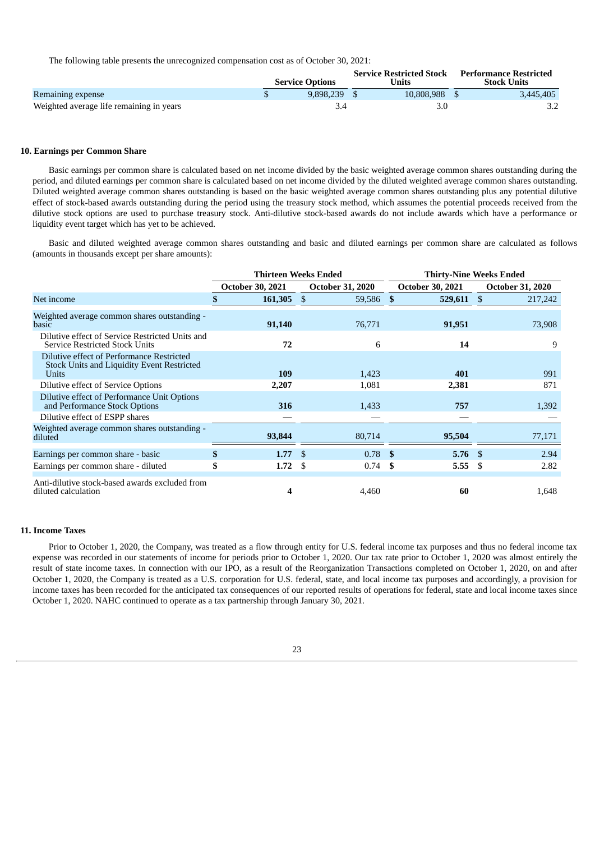The following table presents the unrecognized compensation cost as of October 30, 2021:

|                                          | <b>Service Options</b> | <b>Service Restricted Stock</b><br>Units | Performance Restricted<br><b>Stock Units</b> |           |
|------------------------------------------|------------------------|------------------------------------------|----------------------------------------------|-----------|
| Remaining expense                        | 9.898.239              | 10,808,988                               |                                              | 3.445.405 |
| Weighted average life remaining in years |                        |                                          |                                              |           |

# **10. Earnings per Common Share**

Basic earnings per common share is calculated based on net income divided by the basic weighted average common shares outstanding during the period, and diluted earnings per common share is calculated based on net income divided by the diluted weighted average common shares outstanding. Diluted weighted average common shares outstanding is based on the basic weighted average common shares outstanding plus any potential dilutive effect of stock-based awards outstanding during the period using the treasury stock method, which assumes the potential proceeds received from the dilutive stock options are used to purchase treasury stock. Anti-dilutive stock-based awards do not include awards which have a performance or liquidity event target which has yet to be achieved.

Basic and diluted weighted average common shares outstanding and basic and diluted earnings per common share are calculated as follows (amounts in thousands except per share amounts):

|                                                                                                  |                         | <b>Thirteen Weeks Ended</b> |                         | <b>Thirty-Nine Weeks Ended</b> |                         |      |                         |
|--------------------------------------------------------------------------------------------------|-------------------------|-----------------------------|-------------------------|--------------------------------|-------------------------|------|-------------------------|
|                                                                                                  | <b>October 30, 2021</b> |                             | <b>October 31, 2020</b> |                                | <b>October 30, 2021</b> |      | <b>October 31, 2020</b> |
| Net income                                                                                       | $161,305$ \$            |                             | 59,586                  | - \$                           | 529,611                 | \$   | 217,242                 |
| Weighted average common shares outstanding -<br>basic                                            | 91,140                  |                             | 76,771                  |                                | 91,951                  |      | 73,908                  |
| Dilutive effect of Service Restricted Units and<br><b>Service Restricted Stock Units</b>         |                         | 72                          | 6                       |                                | 14                      |      | 9                       |
| Dilutive effect of Performance Restricted<br>Stock Units and Liquidity Event Restricted<br>Units |                         | 109                         | 1,423                   |                                | 401                     |      | 991                     |
| Dilutive effect of Service Options                                                               |                         | 2,207                       | 1,081                   |                                | 2,381                   |      | 871                     |
| Dilutive effect of Performance Unit Options<br>and Performance Stock Options                     |                         | 316                         | 1,433                   |                                | 757                     |      | 1,392                   |
| Dilutive effect of ESPP shares                                                                   |                         |                             |                         |                                |                         |      |                         |
| Weighted average common shares outstanding -<br>diluted                                          | 93,844                  |                             | 80,714                  |                                | 95,504                  |      | 77,171                  |
| Earnings per common share - basic                                                                | \$                      | 1.77                        | $0.78$ \$<br>-\$        |                                | $5.76$ \$               |      | 2.94                    |
| Earnings per common share - diluted                                                              | \$                      | 1.72                        | $0.74$ \$<br>-S         |                                | 5.55                    | - \$ | 2.82                    |
| Anti-dilutive stock-based awards excluded from<br>diluted calculation                            |                         | 4                           | 4,460                   |                                | 60                      |      | 1,648                   |

# **11. Income Taxes**

Prior to October 1, 2020, the Company, was treated as a flow through entity for U.S. federal income tax purposes and thus no federal income tax expense was recorded in our statements of income for periods prior to October 1, 2020. Our tax rate prior to October 1, 2020 was almost entirely the result of state income taxes. In connection with our IPO, as a result of the Reorganization Transactions completed on October 1, 2020, on and after October 1, 2020, the Company is treated as a U.S. corporation for U.S. federal, state, and local income tax purposes and accordingly, a provision for income taxes has been recorded for the anticipated tax consequences of our reported results of operations for federal, state and local income taxes since October 1, 2020. NAHC continued to operate as a tax partnership through January 30, 2021.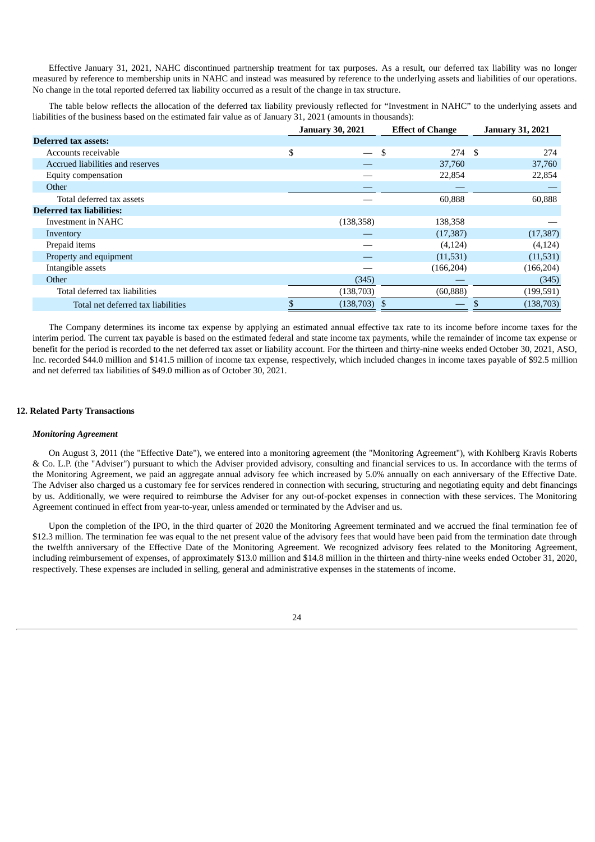Effective January 31, 2021, NAHC discontinued partnership treatment for tax purposes. As a result, our deferred tax liability was no longer measured by reference to membership units in NAHC and instead was measured by reference to the underlying assets and liabilities of our operations. No change in the total reported deferred tax liability occurred as a result of the change in tax structure.

The table below reflects the allocation of the deferred tax liability previously reflected for "Investment in NAHC" to the underlying assets and liabilities of the business based on the estimated fair value as of January 31, 2021 (amounts in thousands):

|                                    | <b>January 30, 2021</b> | <b>Effect of Change</b> | <b>January 31, 2021</b> |  |
|------------------------------------|-------------------------|-------------------------|-------------------------|--|
| <b>Deferred tax assets:</b>        |                         |                         |                         |  |
| Accounts receivable                | \$                      | 274S<br>-\$             | 274                     |  |
| Accrued liabilities and reserves   |                         | 37,760                  | 37,760                  |  |
| Equity compensation                |                         | 22,854                  | 22,854                  |  |
| Other                              |                         |                         |                         |  |
| Total deferred tax assets          |                         | 60,888                  | 60,888                  |  |
| <b>Deferred tax liabilities:</b>   |                         |                         |                         |  |
| Investment in NAHC                 | (138, 358)              | 138,358                 |                         |  |
| Inventory                          |                         | (17, 387)               | (17, 387)               |  |
| Prepaid items                      |                         | (4, 124)                | (4, 124)                |  |
| Property and equipment             |                         | (11,531)                | (11,531)                |  |
| Intangible assets                  |                         | (166, 204)              | (166, 204)              |  |
| Other                              | (345)                   |                         | (345)                   |  |
| Total deferred tax liabilities     | (138,703)               | (60, 888)               | (199, 591)              |  |
| Total net deferred tax liabilities | $(138,703)$ \$          |                         | (138, 703)              |  |

The Company determines its income tax expense by applying an estimated annual effective tax rate to its income before income taxes for the interim period. The current tax payable is based on the estimated federal and state income tax payments, while the remainder of income tax expense or benefit for the period is recorded to the net deferred tax asset or liability account. For the thirteen and thirty-nine weeks ended October 30, 2021, ASO, Inc. recorded \$44.0 million and \$141.5 million of income tax expense, respectively, which included changes in income taxes payable of \$92.5 million and net deferred tax liabilities of \$49.0 million as of October 30, 2021.

# **12. Related Party Transactions**

# *Monitoring Agreement*

On August 3, 2011 (the "Effective Date"), we entered into a monitoring agreement (the "Monitoring Agreement"), with Kohlberg Kravis Roberts & Co. L.P. (the "Adviser") pursuant to which the Adviser provided advisory, consulting and financial services to us. In accordance with the terms of the Monitoring Agreement, we paid an aggregate annual advisory fee which increased by 5.0% annually on each anniversary of the Effective Date. The Adviser also charged us a customary fee for services rendered in connection with securing, structuring and negotiating equity and debt financings by us. Additionally, we were required to reimburse the Adviser for any out-of-pocket expenses in connection with these services. The Monitoring Agreement continued in effect from year-to-year, unless amended or terminated by the Adviser and us.

Upon the completion of the IPO, in the third quarter of 2020 the Monitoring Agreement terminated and we accrued the final termination fee of \$12.3 million. The termination fee was equal to the net present value of the advisory fees that would have been paid from the termination date through the twelfth anniversary of the Effective Date of the Monitoring Agreement. We recognized advisory fees related to the Monitoring Agreement, including reimbursement of expenses, of approximately \$13.0 million and \$14.8 million in the thirteen and thirty-nine weeks ended October 31, 2020, respectively. These expenses are included in selling, general and administrative expenses in the statements of income.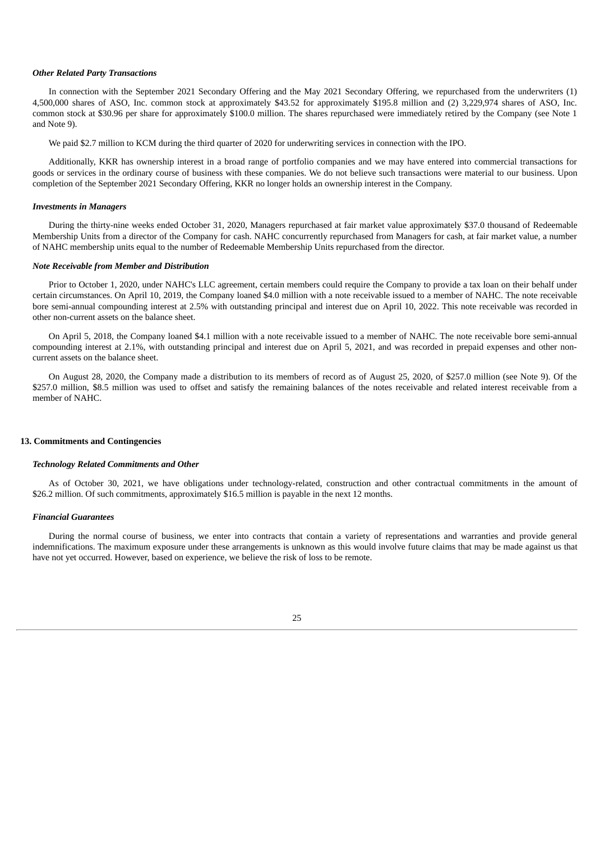# *Other Related Party Transactions*

In connection with the September 2021 Secondary Offering and the May 2021 Secondary Offering, we repurchased from the underwriters (1) 4,500,000 shares of ASO, Inc. common stock at approximately \$43.52 for approximately \$195.8 million and (2) 3,229,974 shares of ASO, Inc. common stock at \$30.96 per share for approximately \$100.0 million. The shares repurchased were immediately retired by the Company (see Note 1 and Note 9).

We paid \$2.7 million to KCM during the third quarter of 2020 for underwriting services in connection with the IPO.

Additionally, KKR has ownership interest in a broad range of portfolio companies and we may have entered into commercial transactions for goods or services in the ordinary course of business with these companies. We do not believe such transactions were material to our business. Upon completion of the September 2021 Secondary Offering, KKR no longer holds an ownership interest in the Company.

#### *Investments in Managers*

During the thirty-nine weeks ended October 31, 2020, Managers repurchased at fair market value approximately \$37.0 thousand of Redeemable Membership Units from a director of the Company for cash. NAHC concurrently repurchased from Managers for cash, at fair market value, a number of NAHC membership units equal to the number of Redeemable Membership Units repurchased from the director.

### *Note Receivable from Member and Distribution*

Prior to October 1, 2020, under NAHC's LLC agreement, certain members could require the Company to provide a tax loan on their behalf under certain circumstances. On April 10, 2019, the Company loaned \$4.0 million with a note receivable issued to a member of NAHC. The note receivable bore semi-annual compounding interest at 2.5% with outstanding principal and interest due on April 10, 2022. This note receivable was recorded in other non-current assets on the balance sheet.

On April 5, 2018, the Company loaned \$4.1 million with a note receivable issued to a member of NAHC. The note receivable bore semi-annual compounding interest at 2.1%, with outstanding principal and interest due on April 5, 2021, and was recorded in prepaid expenses and other noncurrent assets on the balance sheet.

On August 28, 2020, the Company made a distribution to its members of record as of August 25, 2020, of \$257.0 million (see Note 9). Of the \$257.0 million, \$8.5 million was used to offset and satisfy the remaining balances of the notes receivable and related interest receivable from a member of NAHC.

### **13. Commitments and Contingencies**

### *Technology Related Commitments and Other*

As of October 30, 2021, we have obligations under technology-related, construction and other contractual commitments in the amount of \$26.2 million. Of such commitments, approximately \$16.5 million is payable in the next 12 months.

# *Financial Guarantees*

During the normal course of business, we enter into contracts that contain a variety of representations and warranties and provide general indemnifications. The maximum exposure under these arrangements is unknown as this would involve future claims that may be made against us that have not yet occurred. However, based on experience, we believe the risk of loss to be remote.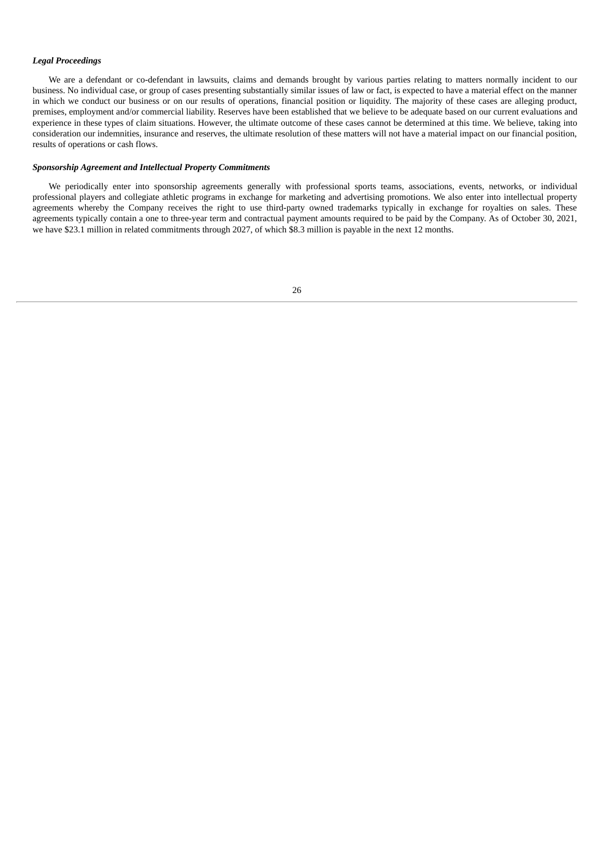# *Legal Proceedings*

We are a defendant or co-defendant in lawsuits, claims and demands brought by various parties relating to matters normally incident to our business. No individual case, or group of cases presenting substantially similar issues of law or fact, is expected to have a material effect on the manner in which we conduct our business or on our results of operations, financial position or liquidity. The majority of these cases are alleging product, premises, employment and/or commercial liability. Reserves have been established that we believe to be adequate based on our current evaluations and experience in these types of claim situations. However, the ultimate outcome of these cases cannot be determined at this time. We believe, taking into consideration our indemnities, insurance and reserves, the ultimate resolution of these matters will not have a material impact on our financial position, results of operations or cash flows.

#### *Sponsorship Agreement and Intellectual Property Commitments*

<span id="page-25-0"></span>We periodically enter into sponsorship agreements generally with professional sports teams, associations, events, networks, or individual professional players and collegiate athletic programs in exchange for marketing and advertising promotions. We also enter into intellectual property agreements whereby the Company receives the right to use third-party owned trademarks typically in exchange for royalties on sales. These agreements typically contain a one to three-year term and contractual payment amounts required to be paid by the Company. As of October 30, 2021, we have \$23.1 million in related commitments through 2027, of which \$8.3 million is payable in the next 12 months.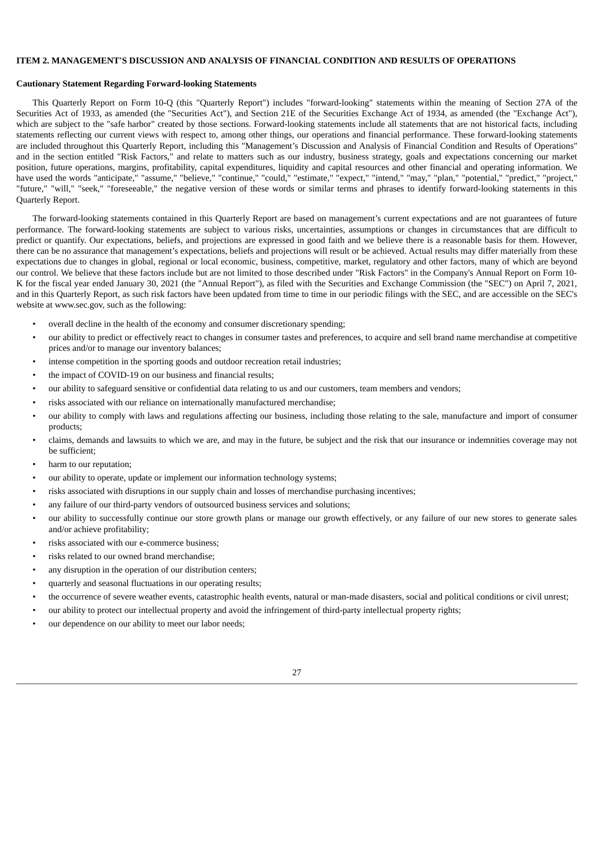# **ITEM 2. MANAGEMENT'S DISCUSSION AND ANALYSIS OF FINANCIAL CONDITION AND RESULTS OF OPERATIONS**

### **Cautionary Statement Regarding Forward-looking Statements**

This Quarterly Report on Form 10-Q (this "Quarterly Report") includes "forward-looking" statements within the meaning of Section 27A of the Securities Act of 1933, as amended (the "Securities Act"), and Section 21E of the Securities Exchange Act of 1934, as amended (the "Exchange Act"), which are subject to the "safe harbor" created by those sections. Forward-looking statements include all statements that are not historical facts, including statements reflecting our current views with respect to, among other things, our operations and financial performance. These forward-looking statements are included throughout this Quarterly Report, including this "Management's Discussion and Analysis of Financial Condition and Results of Operations" and in the section entitled "Risk Factors," and relate to matters such as our industry, business strategy, goals and expectations concerning our market position, future operations, margins, profitability, capital expenditures, liquidity and capital resources and other financial and operating information. We have used the words "anticipate," "assume," "believe," "continue," "could," "estimate," "expect," "intend," "may," "plan," "potential," "predict," "project," "future," "will," "seek," "foreseeable," the negative version of these words or similar terms and phrases to identify forward-looking statements in this Quarterly Report.

The forward-looking statements contained in this Quarterly Report are based on management's current expectations and are not guarantees of future performance. The forward-looking statements are subject to various risks, uncertainties, assumptions or changes in circumstances that are difficult to predict or quantify. Our expectations, beliefs, and projections are expressed in good faith and we believe there is a reasonable basis for them. However, there can be no assurance that management's expectations, beliefs and projections will result or be achieved. Actual results may differ materially from these expectations due to changes in global, regional or local economic, business, competitive, market, regulatory and other factors, many of which are beyond our control. We believe that these factors include but are not limited to those described under "Risk Factors" in the Company's Annual Report on Form 10- K for the fiscal year ended January 30, 2021 (the "Annual Report"), as filed with the Securities and Exchange Commission (the "SEC") on April 7, 2021, and in this Quarterly Report, as such risk factors have been updated from time to time in our periodic filings with the SEC, and are accessible on the SEC's website at www.sec.gov, such as the following:

- overall decline in the health of the economy and consumer discretionary spending;
- our ability to predict or effectively react to changes in consumer tastes and preferences, to acquire and sell brand name merchandise at competitive prices and/or to manage our inventory balances;
- intense competition in the sporting goods and outdoor recreation retail industries;
- the impact of COVID-19 on our business and financial results;
- our ability to safeguard sensitive or confidential data relating to us and our customers, team members and vendors;
- risks associated with our reliance on internationally manufactured merchandise;
- our ability to comply with laws and regulations affecting our business, including those relating to the sale, manufacture and import of consumer products;
- claims, demands and lawsuits to which we are, and may in the future, be subject and the risk that our insurance or indemnities coverage may not be sufficient;
- harm to our reputation;
- our ability to operate, update or implement our information technology systems;
- risks associated with disruptions in our supply chain and losses of merchandise purchasing incentives;
- any failure of our third-party vendors of outsourced business services and solutions;
- our ability to successfully continue our store growth plans or manage our growth effectively, or any failure of our new stores to generate sales and/or achieve profitability;
- risks associated with our e-commerce business;
- risks related to our owned brand merchandise;
- any disruption in the operation of our distribution centers;
- quarterly and seasonal fluctuations in our operating results;
- the occurrence of severe weather events, catastrophic health events, natural or man-made disasters, social and political conditions or civil unrest;
- our ability to protect our intellectual property and avoid the infringement of third-party intellectual property rights;
- our dependence on our ability to meet our labor needs;
- 27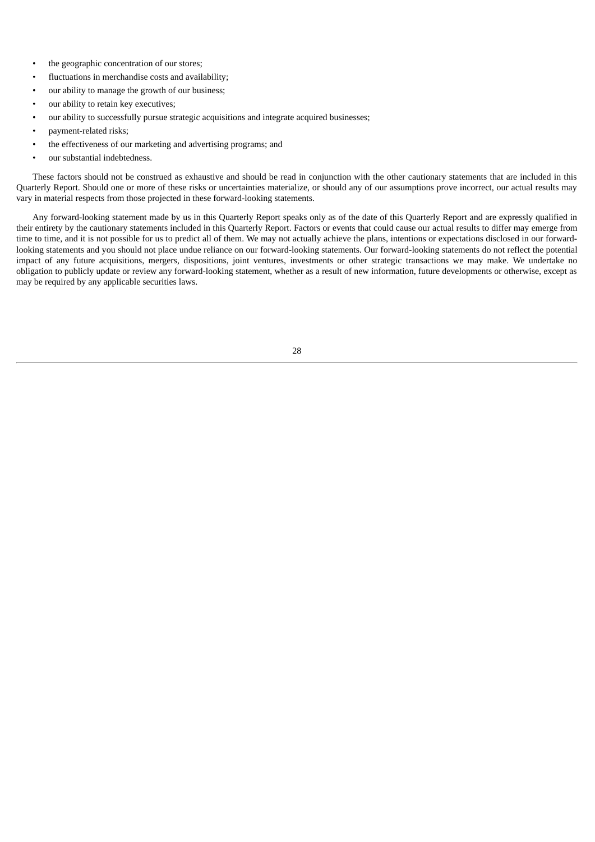- the geographic concentration of our stores;
- fluctuations in merchandise costs and availability;
- our ability to manage the growth of our business;
- our ability to retain key executives;
- our ability to successfully pursue strategic acquisitions and integrate acquired businesses;
- payment-related risks;
- the effectiveness of our marketing and advertising programs; and
- our substantial indebtedness.

These factors should not be construed as exhaustive and should be read in conjunction with the other cautionary statements that are included in this Quarterly Report. Should one or more of these risks or uncertainties materialize, or should any of our assumptions prove incorrect, our actual results may vary in material respects from those projected in these forward-looking statements.

Any forward-looking statement made by us in this Quarterly Report speaks only as of the date of this Quarterly Report and are expressly qualified in their entirety by the cautionary statements included in this Quarterly Report. Factors or events that could cause our actual results to differ may emerge from time to time, and it is not possible for us to predict all of them. We may not actually achieve the plans, intentions or expectations disclosed in our forwardlooking statements and you should not place undue reliance on our forward-looking statements. Our forward-looking statements do not reflect the potential impact of any future acquisitions, mergers, dispositions, joint ventures, investments or other strategic transactions we may make. We undertake no obligation to publicly update or review any forward-looking statement, whether as a result of new information, future developments or otherwise, except as may be required by any applicable securities laws.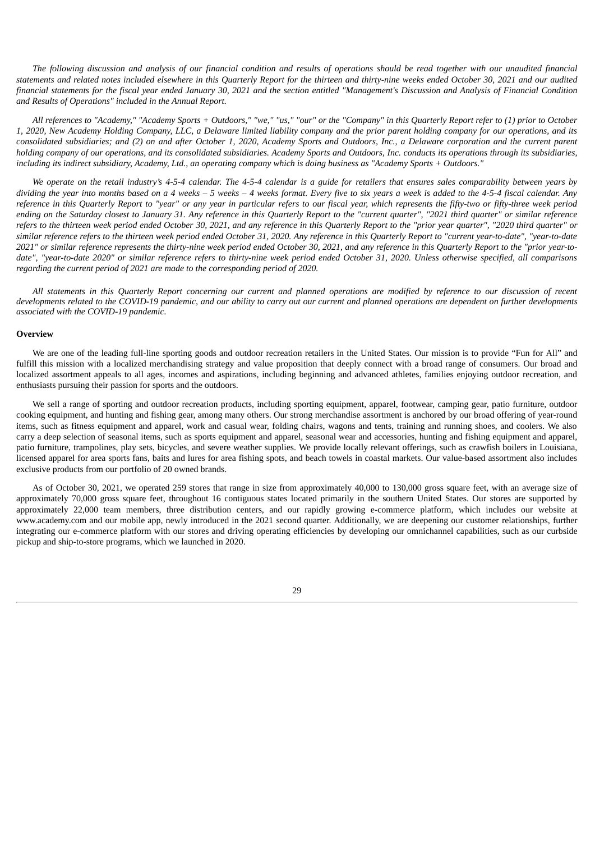The following discussion and analysis of our financial condition and results of operations should be read together with our unaudited financial statements and related notes included elsewhere in this Quarterly Report for the thirteen and thirty-nine weeks ended October 30, 2021 and our audited financial statements for the fiscal year ended January 30, 2021 and the section entitled "Management's Discussion and Analysis of Financial Condition *and Results of Operations" included in the Annual Report.*

All references to "Academy," "Academy Sports + Outdoors," "we," "us," "our" or the "Company" in this Quarterly Report refer to (1) prior to October 1, 2020, New Academy Holding Company, LLC, a Delaware limited liability company and the prior parent holding company for our operations, and its consolidated subsidiaries; and (2) on and after October 1, 2020, Academy Sports and Outdoors, Inc., a Delaware corporation and the current parent holding company of our operations, and its consolidated subsidiaries. Academy Sports and Outdoors. Inc. conducts its operations through its subsidiaries. including its indirect subsidiary, Academy, Ltd., an operating company which is doing business as "Academy Sports + Outdoors."

We operate on the retail industry's 4-5-4 calendar. The 4-5-4 calendar is a quide for retailers that ensures sales comparability between years by dividing the year into months based on a 4 weeks  $-5$  weeks  $-4$  weeks format. Every five to six years a week is added to the 4-5-4 fiscal calendar. Any reference in this Quarterly Report to "year" or any year in particular refers to our fiscal year, which represents the fifty-two or fifty-three week period ending on the Saturday closest to January 31. Any reference in this Quarterly Report to the "current quarter", "2021 third quarter" or similar reference refers to the thirteen week period ended October 30, 2021, and any reference in this Quarterly Report to the "prior year quarter", "2020 third quarter" or similar reference refers to the thirteen week period ended October 31, 2020. Any reference in this Quarterly Report to "current year-to-date", "year-to-date 2021" or similar reference represents the thirty-nine week period ended October 30, 2021, and any reference in this Quarterly Report to the "prior year-todate", "year-to-date 2020" or similar reference refers to thirty-nine week period ended October 31, 2020. Unless otherwise specified, all comparisons *regarding the current period of 2021 are made to the corresponding period of 2020.*

All statements in this Quarterly Report concerning our current and planned operations are modified by reference to our discussion of recent developments related to the COVID-19 pandemic, and our ability to carry out our current and planned operations are dependent on further developments *associated with the COVID-19 pandemic.*

# **Overview**

We are one of the leading full-line sporting goods and outdoor recreation retailers in the United States. Our mission is to provide "Fun for All" and fulfill this mission with a localized merchandising strategy and value proposition that deeply connect with a broad range of consumers. Our broad and localized assortment appeals to all ages, incomes and aspirations, including beginning and advanced athletes, families enjoying outdoor recreation, and enthusiasts pursuing their passion for sports and the outdoors.

We sell a range of sporting and outdoor recreation products, including sporting equipment, apparel, footwear, camping gear, patio furniture, outdoor cooking equipment, and hunting and fishing gear, among many others. Our strong merchandise assortment is anchored by our broad offering of year-round items, such as fitness equipment and apparel, work and casual wear, folding chairs, wagons and tents, training and running shoes, and coolers. We also carry a deep selection of seasonal items, such as sports equipment and apparel, seasonal wear and accessories, hunting and fishing equipment and apparel, patio furniture, trampolines, play sets, bicycles, and severe weather supplies. We provide locally relevant offerings, such as crawfish boilers in Louisiana, licensed apparel for area sports fans, baits and lures for area fishing spots, and beach towels in coastal markets. Our value-based assortment also includes exclusive products from our portfolio of 20 owned brands.

As of October 30, 2021, we operated 259 stores that range in size from approximately 40,000 to 130,000 gross square feet, with an average size of approximately 70,000 gross square feet, throughout 16 contiguous states located primarily in the southern United States. Our stores are supported by approximately 22,000 team members, three distribution centers, and our rapidly growing e-commerce platform, which includes our website at www.academy.com and our mobile app, newly introduced in the 2021 second quarter. Additionally, we are deepening our customer relationships, further integrating our e-commerce platform with our stores and driving operating efficiencies by developing our omnichannel capabilities, such as our curbside pickup and ship-to-store programs, which we launched in 2020.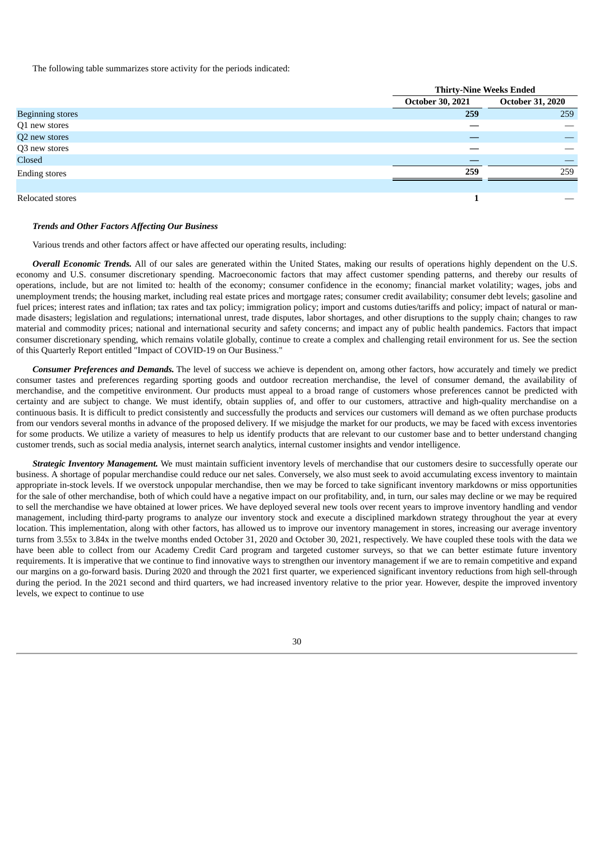The following table summarizes store activity for the periods indicated:

|                         | <b>Thirty-Nine Weeks Ended</b> |                         |
|-------------------------|--------------------------------|-------------------------|
|                         | <b>October 30, 2021</b>        | <b>October 31, 2020</b> |
| <b>Beginning stores</b> | 259                            | 259                     |
| Q1 new stores           |                                |                         |
| Q2 new stores           |                                |                         |
| Q3 new stores           |                                |                         |
| Closed                  |                                |                         |
| <b>Ending stores</b>    | 259                            | 259                     |
|                         |                                |                         |
| Relocated stores        |                                |                         |

#### *Trends and Other Factors Affecting Our Business*

Various trends and other factors affect or have affected our operating results, including:

*Overall Economic Trends.* All of our sales are generated within the United States, making our results of operations highly dependent on the U.S. economy and U.S. consumer discretionary spending. Macroeconomic factors that may affect customer spending patterns, and thereby our results of operations, include, but are not limited to: health of the economy; consumer confidence in the economy; financial market volatility; wages, jobs and unemployment trends; the housing market, including real estate prices and mortgage rates; consumer credit availability; consumer debt levels; gasoline and fuel prices; interest rates and inflation; tax rates and tax policy; immigration policy; import and customs duties/tariffs and policy; impact of natural or manmade disasters; legislation and regulations; international unrest, trade disputes, labor shortages, and other disruptions to the supply chain; changes to raw material and commodity prices; national and international security and safety concerns; and impact any of public health pandemics. Factors that impact consumer discretionary spending, which remains volatile globally, continue to create a complex and challenging retail environment for us. See the section of this Quarterly Report entitled "Impact of COVID-19 on Our Business."

*Consumer Preferences and Demands.* The level of success we achieve is dependent on, among other factors, how accurately and timely we predict consumer tastes and preferences regarding sporting goods and outdoor recreation merchandise, the level of consumer demand, the availability of merchandise, and the competitive environment. Our products must appeal to a broad range of customers whose preferences cannot be predicted with certainty and are subject to change. We must identify, obtain supplies of, and offer to our customers, attractive and high-quality merchandise on a continuous basis. It is difficult to predict consistently and successfully the products and services our customers will demand as we often purchase products from our vendors several months in advance of the proposed delivery. If we misjudge the market for our products, we may be faced with excess inventories for some products. We utilize a variety of measures to help us identify products that are relevant to our customer base and to better understand changing customer trends, such as social media analysis, internet search analytics, internal customer insights and vendor intelligence.

*Strategic Inventory Management.* We must maintain sufficient inventory levels of merchandise that our customers desire to successfully operate our business. A shortage of popular merchandise could reduce our net sales. Conversely, we also must seek to avoid accumulating excess inventory to maintain appropriate in-stock levels. If we overstock unpopular merchandise, then we may be forced to take significant inventory markdowns or miss opportunities for the sale of other merchandise, both of which could have a negative impact on our profitability, and, in turn, our sales may decline or we may be required to sell the merchandise we have obtained at lower prices. We have deployed several new tools over recent years to improve inventory handling and vendor management, including third-party programs to analyze our inventory stock and execute a disciplined markdown strategy throughout the year at every location. This implementation, along with other factors, has allowed us to improve our inventory management in stores, increasing our average inventory turns from 3.55x to 3.84x in the twelve months ended October 31, 2020 and October 30, 2021, respectively. We have coupled these tools with the data we have been able to collect from our Academy Credit Card program and targeted customer surveys, so that we can better estimate future inventory requirements. It is imperative that we continue to find innovative ways to strengthen our inventory management if we are to remain competitive and expand our margins on a go-forward basis. During 2020 and through the 2021 first quarter, we experienced significant inventory reductions from high sell-through during the period. In the 2021 second and third quarters, we had increased inventory relative to the prior year. However, despite the improved inventory levels, we expect to continue to use

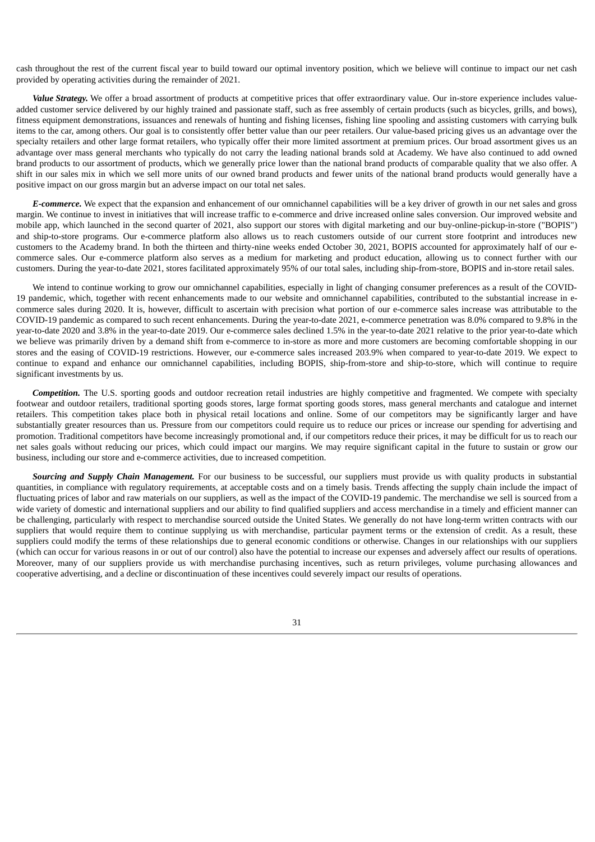cash throughout the rest of the current fiscal year to build toward our optimal inventory position, which we believe will continue to impact our net cash provided by operating activities during the remainder of 2021.

*Value Strategy.* We offer a broad assortment of products at competitive prices that offer extraordinary value. Our in-store experience includes valueadded customer service delivered by our highly trained and passionate staff, such as free assembly of certain products (such as bicycles, grills, and bows), fitness equipment demonstrations, issuances and renewals of hunting and fishing licenses, fishing line spooling and assisting customers with carrying bulk items to the car, among others. Our goal is to consistently offer better value than our peer retailers. Our value-based pricing gives us an advantage over the specialty retailers and other large format retailers, who typically offer their more limited assortment at premium prices. Our broad assortment gives us an advantage over mass general merchants who typically do not carry the leading national brands sold at Academy. We have also continued to add owned brand products to our assortment of products, which we generally price lower than the national brand products of comparable quality that we also offer. A shift in our sales mix in which we sell more units of our owned brand products and fewer units of the national brand products would generally have a positive impact on our gross margin but an adverse impact on our total net sales.

*E-commerce.* We expect that the expansion and enhancement of our omnichannel capabilities will be a key driver of growth in our net sales and gross margin. We continue to invest in initiatives that will increase traffic to e-commerce and drive increased online sales conversion. Our improved website and mobile app, which launched in the second quarter of 2021, also support our stores with digital marketing and our buy-online-pickup-in-store ("BOPIS") and ship-to-store programs. Our e-commerce platform also allows us to reach customers outside of our current store footprint and introduces new customers to the Academy brand. In both the thirteen and thirty-nine weeks ended October 30, 2021, BOPIS accounted for approximately half of our ecommerce sales. Our e-commerce platform also serves as a medium for marketing and product education, allowing us to connect further with our customers. During the year-to-date 2021, stores facilitated approximately 95% of our total sales, including ship-from-store, BOPIS and in-store retail sales.

We intend to continue working to grow our omnichannel capabilities, especially in light of changing consumer preferences as a result of the COVID-19 pandemic, which, together with recent enhancements made to our website and omnichannel capabilities, contributed to the substantial increase in ecommerce sales during 2020. It is, however, difficult to ascertain with precision what portion of our e-commerce sales increase was attributable to the COVID-19 pandemic as compared to such recent enhancements. During the year-to-date 2021, e-commerce penetration was 8.0% compared to 9.8% in the year-to-date 2020 and 3.8% in the year-to-date 2019. Our e-commerce sales declined 1.5% in the year-to-date 2021 relative to the prior year-to-date which we believe was primarily driven by a demand shift from e-commerce to in-store as more and more customers are becoming comfortable shopping in our stores and the easing of COVID-19 restrictions. However, our e-commerce sales increased 203.9% when compared to year-to-date 2019. We expect to continue to expand and enhance our omnichannel capabilities, including BOPIS, ship-from-store and ship-to-store, which will continue to require significant investments by us.

*Competition.* The U.S. sporting goods and outdoor recreation retail industries are highly competitive and fragmented. We compete with specialty footwear and outdoor retailers, traditional sporting goods stores, large format sporting goods stores, mass general merchants and catalogue and internet retailers. This competition takes place both in physical retail locations and online. Some of our competitors may be significantly larger and have substantially greater resources than us. Pressure from our competitors could require us to reduce our prices or increase our spending for advertising and promotion. Traditional competitors have become increasingly promotional and, if our competitors reduce their prices, it may be difficult for us to reach our net sales goals without reducing our prices, which could impact our margins. We may require significant capital in the future to sustain or grow our business, including our store and e-commerce activities, due to increased competition.

*Sourcing and Supply Chain Management.* For our business to be successful, our suppliers must provide us with quality products in substantial quantities, in compliance with regulatory requirements, at acceptable costs and on a timely basis. Trends affecting the supply chain include the impact of fluctuating prices of labor and raw materials on our suppliers, as well as the impact of the COVID-19 pandemic. The merchandise we sell is sourced from a wide variety of domestic and international suppliers and our ability to find qualified suppliers and access merchandise in a timely and efficient manner can be challenging, particularly with respect to merchandise sourced outside the United States. We generally do not have long-term written contracts with our suppliers that would require them to continue supplying us with merchandise, particular payment terms or the extension of credit. As a result, these suppliers could modify the terms of these relationships due to general economic conditions or otherwise. Changes in our relationships with our suppliers (which can occur for various reasons in or out of our control) also have the potential to increase our expenses and adversely affect our results of operations. Moreover, many of our suppliers provide us with merchandise purchasing incentives, such as return privileges, volume purchasing allowances and cooperative advertising, and a decline or discontinuation of these incentives could severely impact our results of operations.

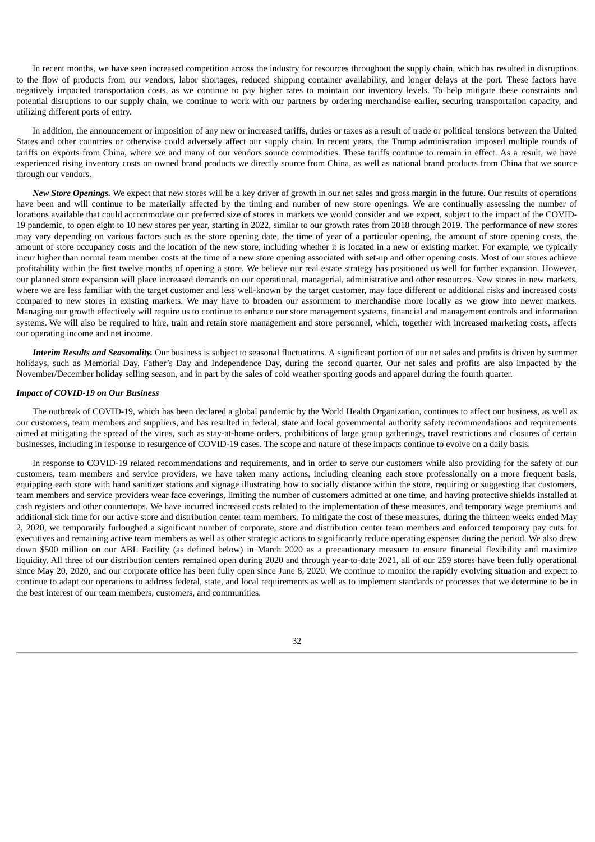In recent months, we have seen increased competition across the industry for resources throughout the supply chain, which has resulted in disruptions to the flow of products from our vendors, labor shortages, reduced shipping container availability, and longer delays at the port. These factors have negatively impacted transportation costs, as we continue to pay higher rates to maintain our inventory levels. To help mitigate these constraints and potential disruptions to our supply chain, we continue to work with our partners by ordering merchandise earlier, securing transportation capacity, and utilizing different ports of entry.

In addition, the announcement or imposition of any new or increased tariffs, duties or taxes as a result of trade or political tensions between the United States and other countries or otherwise could adversely affect our supply chain. In recent years, the Trump administration imposed multiple rounds of tariffs on exports from China, where we and many of our vendors source commodities. These tariffs continue to remain in effect. As a result, we have experienced rising inventory costs on owned brand products we directly source from China, as well as national brand products from China that we source through our vendors.

*New Store Openings.* We expect that new stores will be a key driver of growth in our net sales and gross margin in the future. Our results of operations have been and will continue to be materially affected by the timing and number of new store openings. We are continually assessing the number of locations available that could accommodate our preferred size of stores in markets we would consider and we expect, subject to the impact of the COVID-19 pandemic, to open eight to 10 new stores per year, starting in 2022, similar to our growth rates from 2018 through 2019. The performance of new stores may vary depending on various factors such as the store opening date, the time of year of a particular opening, the amount of store opening costs, the amount of store occupancy costs and the location of the new store, including whether it is located in a new or existing market. For example, we typically incur higher than normal team member costs at the time of a new store opening associated with set-up and other opening costs. Most of our stores achieve profitability within the first twelve months of opening a store. We believe our real estate strategy has positioned us well for further expansion. However, our planned store expansion will place increased demands on our operational, managerial, administrative and other resources. New stores in new markets, where we are less familiar with the target customer and less well-known by the target customer, may face different or additional risks and increased costs compared to new stores in existing markets. We may have to broaden our assortment to merchandise more locally as we grow into newer markets. Managing our growth effectively will require us to continue to enhance our store management systems, financial and management controls and information systems. We will also be required to hire, train and retain store management and store personnel, which, together with increased marketing costs, affects our operating income and net income.

*Interim Results and Seasonality.* Our business is subject to seasonal fluctuations. A significant portion of our net sales and profits is driven by summer holidays, such as Memorial Day, Father's Day and Independence Day, during the second quarter. Our net sales and profits are also impacted by the November/December holiday selling season, and in part by the sales of cold weather sporting goods and apparel during the fourth quarter.

# *Impact of COVID-19 on Our Business*

The outbreak of COVID-19, which has been declared a global pandemic by the World Health Organization, continues to affect our business, as well as our customers, team members and suppliers, and has resulted in federal, state and local governmental authority safety recommendations and requirements aimed at mitigating the spread of the virus, such as stay-at-home orders, prohibitions of large group gatherings, travel restrictions and closures of certain businesses, including in response to resurgence of COVID-19 cases. The scope and nature of these impacts continue to evolve on a daily basis.

In response to COVID-19 related recommendations and requirements, and in order to serve our customers while also providing for the safety of our customers, team members and service providers, we have taken many actions, including cleaning each store professionally on a more frequent basis, equipping each store with hand sanitizer stations and signage illustrating how to socially distance within the store, requiring or suggesting that customers, team members and service providers wear face coverings, limiting the number of customers admitted at one time, and having protective shields installed at cash registers and other countertops. We have incurred increased costs related to the implementation of these measures, and temporary wage premiums and additional sick time for our active store and distribution center team members. To mitigate the cost of these measures, during the thirteen weeks ended May 2, 2020, we temporarily furloughed a significant number of corporate, store and distribution center team members and enforced temporary pay cuts for executives and remaining active team members as well as other strategic actions to significantly reduce operating expenses during the period. We also drew down \$500 million on our ABL Facility (as defined below) in March 2020 as a precautionary measure to ensure financial flexibility and maximize liquidity. All three of our distribution centers remained open during 2020 and through year-to-date 2021, all of our 259 stores have been fully operational since May 20, 2020, and our corporate office has been fully open since June 8, 2020. We continue to monitor the rapidly evolving situation and expect to continue to adapt our operations to address federal, state, and local requirements as well as to implement standards or processes that we determine to be in the best interest of our team members, customers, and communities.

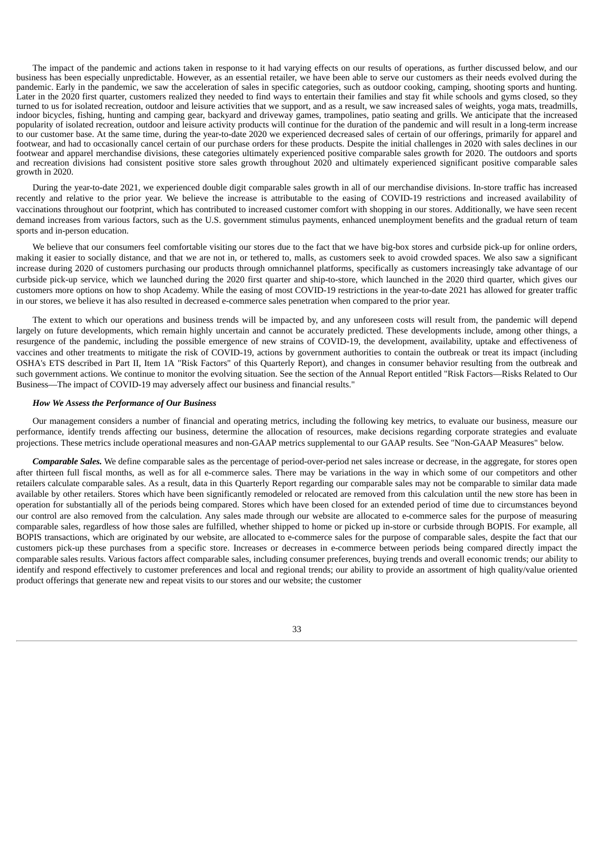The impact of the pandemic and actions taken in response to it had varying effects on our results of operations, as further discussed below, and our business has been especially unpredictable. However, as an essential retailer, we have been able to serve our customers as their needs evolved during the pandemic. Early in the pandemic, we saw the acceleration of sales in specific categories, such as outdoor cooking, camping, shooting sports and hunting. Later in the 2020 first quarter, customers realized they needed to find ways to entertain their families and stay fit while schools and gyms closed, so they turned to us for isolated recreation, outdoor and leisure activities that we support, and as a result, we saw increased sales of weights, yoga mats, treadmills, indoor bicycles, fishing, hunting and camping gear, backyard and driveway games, trampolines, patio seating and grills. We anticipate that the increased popularity of isolated recreation, outdoor and leisure activity products will continue for the duration of the pandemic and will result in a long-term increase to our customer base. At the same time, during the year-to-date 2020 we experienced decreased sales of certain of our offerings, primarily for apparel and footwear, and had to occasionally cancel certain of our purchase orders for these products. Despite the initial challenges in 2020 with sales declines in our footwear and apparel merchandise divisions, these categories ultimately experienced positive comparable sales growth for 2020. The outdoors and sports and recreation divisions had consistent positive store sales growth throughout 2020 and ultimately experienced significant positive comparable sales growth in 2020.

During the year-to-date 2021, we experienced double digit comparable sales growth in all of our merchandise divisions. In-store traffic has increased recently and relative to the prior year. We believe the increase is attributable to the easing of COVID-19 restrictions and increased availability of vaccinations throughout our footprint, which has contributed to increased customer comfort with shopping in our stores. Additionally, we have seen recent demand increases from various factors, such as the U.S. government stimulus payments, enhanced unemployment benefits and the gradual return of team sports and in-person education.

We believe that our consumers feel comfortable visiting our stores due to the fact that we have big-box stores and curbside pick-up for online orders, making it easier to socially distance, and that we are not in, or tethered to, malls, as customers seek to avoid crowded spaces. We also saw a significant increase during 2020 of customers purchasing our products through omnichannel platforms, specifically as customers increasingly take advantage of our curbside pick-up service, which we launched during the 2020 first quarter and ship-to-store, which launched in the 2020 third quarter, which gives our customers more options on how to shop Academy. While the easing of most COVID-19 restrictions in the year-to-date 2021 has allowed for greater traffic in our stores, we believe it has also resulted in decreased e-commerce sales penetration when compared to the prior year.

The extent to which our operations and business trends will be impacted by, and any unforeseen costs will result from, the pandemic will depend largely on future developments, which remain highly uncertain and cannot be accurately predicted. These developments include, among other things, a resurgence of the pandemic, including the possible emergence of new strains of COVID-19, the development, availability, uptake and effectiveness of vaccines and other treatments to mitigate the risk of COVID-19, actions by government authorities to contain the outbreak or treat its impact (including OSHA's ETS described in Part II, Item 1A "Risk Factors" of this Quarterly Report), and changes in consumer behavior resulting from the outbreak and such government actions. We continue to monitor the evolving situation. See the section of the Annual Report entitled "Risk Factors—Risks Related to Our Business—The impact of COVID-19 may adversely affect our business and financial results."

#### *How We Assess the Performance of Our Business*

Our management considers a number of financial and operating metrics, including the following key metrics, to evaluate our business, measure our performance, identify trends affecting our business, determine the allocation of resources, make decisions regarding corporate strategies and evaluate projections. These metrics include operational measures and non-GAAP metrics supplemental to our GAAP results. See "Non-GAAP Measures" below.

*Comparable Sales.* We define comparable sales as the percentage of period-over-period net sales increase or decrease, in the aggregate, for stores open after thirteen full fiscal months, as well as for all e-commerce sales. There may be variations in the way in which some of our competitors and other retailers calculate comparable sales. As a result, data in this Quarterly Report regarding our comparable sales may not be comparable to similar data made available by other retailers. Stores which have been significantly remodeled or relocated are removed from this calculation until the new store has been in operation for substantially all of the periods being compared. Stores which have been closed for an extended period of time due to circumstances beyond our control are also removed from the calculation. Any sales made through our website are allocated to e-commerce sales for the purpose of measuring comparable sales, regardless of how those sales are fulfilled, whether shipped to home or picked up in-store or curbside through BOPIS. For example, all BOPIS transactions, which are originated by our website, are allocated to e-commerce sales for the purpose of comparable sales, despite the fact that our customers pick-up these purchases from a specific store. Increases or decreases in e-commerce between periods being compared directly impact the comparable sales results. Various factors affect comparable sales, including consumer preferences, buying trends and overall economic trends; our ability to identify and respond effectively to customer preferences and local and regional trends; our ability to provide an assortment of high quality/value oriented product offerings that generate new and repeat visits to our stores and our website; the customer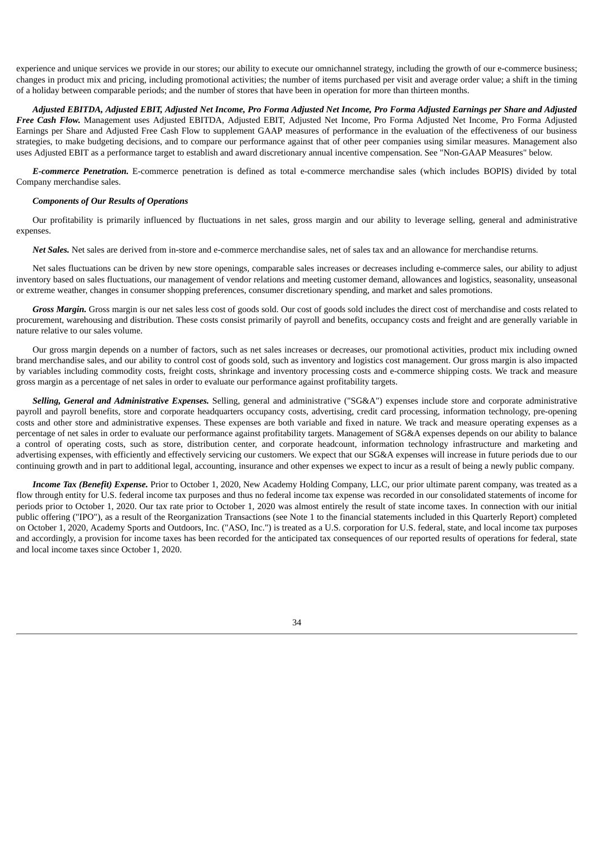experience and unique services we provide in our stores; our ability to execute our omnichannel strategy, including the growth of our e-commerce business; changes in product mix and pricing, including promotional activities; the number of items purchased per visit and average order value; a shift in the timing of a holiday between comparable periods; and the number of stores that have been in operation for more than thirteen months.

Adjusted EBITDA, Adjusted EBIT, Adjusted Net Income, Pro Forma Adjusted Net Income, Pro Forma Adjusted Earnings per Share and Adjusted *Free Cash Flow.* Management uses Adjusted EBITDA, Adjusted EBIT, Adjusted Net Income, Pro Forma Adjusted Net Income, Pro Forma Adjusted Earnings per Share and Adjusted Free Cash Flow to supplement GAAP measures of performance in the evaluation of the effectiveness of our business strategies, to make budgeting decisions, and to compare our performance against that of other peer companies using similar measures. Management also uses Adjusted EBIT as a performance target to establish and award discretionary annual incentive compensation. See "Non-GAAP Measures" below.

*E-commerce Penetration.* E-commerce penetration is defined as total e-commerce merchandise sales (which includes BOPIS) divided by total Company merchandise sales.

#### *Components of Our Results of Operations*

Our profitability is primarily influenced by fluctuations in net sales, gross margin and our ability to leverage selling, general and administrative expenses.

*Net Sales.* Net sales are derived from in-store and e-commerce merchandise sales, net of sales tax and an allowance for merchandise returns.

Net sales fluctuations can be driven by new store openings, comparable sales increases or decreases including e-commerce sales, our ability to adjust inventory based on sales fluctuations, our management of vendor relations and meeting customer demand, allowances and logistics, seasonality, unseasonal or extreme weather, changes in consumer shopping preferences, consumer discretionary spending, and market and sales promotions.

*Gross Margin.* Gross margin is our net sales less cost of goods sold. Our cost of goods sold includes the direct cost of merchandise and costs related to procurement, warehousing and distribution. These costs consist primarily of payroll and benefits, occupancy costs and freight and are generally variable in nature relative to our sales volume.

Our gross margin depends on a number of factors, such as net sales increases or decreases, our promotional activities, product mix including owned brand merchandise sales, and our ability to control cost of goods sold, such as inventory and logistics cost management. Our gross margin is also impacted by variables including commodity costs, freight costs, shrinkage and inventory processing costs and e-commerce shipping costs. We track and measure gross margin as a percentage of net sales in order to evaluate our performance against profitability targets.

*Selling, General and Administrative Expenses.* Selling, general and administrative ("SG&A") expenses include store and corporate administrative payroll and payroll benefits, store and corporate headquarters occupancy costs, advertising, credit card processing, information technology, pre-opening costs and other store and administrative expenses. These expenses are both variable and fixed in nature. We track and measure operating expenses as a percentage of net sales in order to evaluate our performance against profitability targets. Management of SG&A expenses depends on our ability to balance a control of operating costs, such as store, distribution center, and corporate headcount, information technology infrastructure and marketing and advertising expenses, with efficiently and effectively servicing our customers. We expect that our SG&A expenses will increase in future periods due to our continuing growth and in part to additional legal, accounting, insurance and other expenses we expect to incur as a result of being a newly public company.

*Income Tax (Benefit) Expense.* Prior to October 1, 2020, New Academy Holding Company, LLC, our prior ultimate parent company, was treated as a flow through entity for U.S. federal income tax purposes and thus no federal income tax expense was recorded in our consolidated statements of income for periods prior to October 1, 2020. Our tax rate prior to October 1, 2020 was almost entirely the result of state income taxes. In connection with our initial public offering ("IPO"), as a result of the Reorganization Transactions (see Note 1 to the financial statements included in this Quarterly Report) completed on October 1, 2020, Academy Sports and Outdoors, Inc. ("ASO, Inc.") is treated as a U.S. corporation for U.S. federal, state, and local income tax purposes and accordingly, a provision for income taxes has been recorded for the anticipated tax consequences of our reported results of operations for federal, state and local income taxes since October 1, 2020.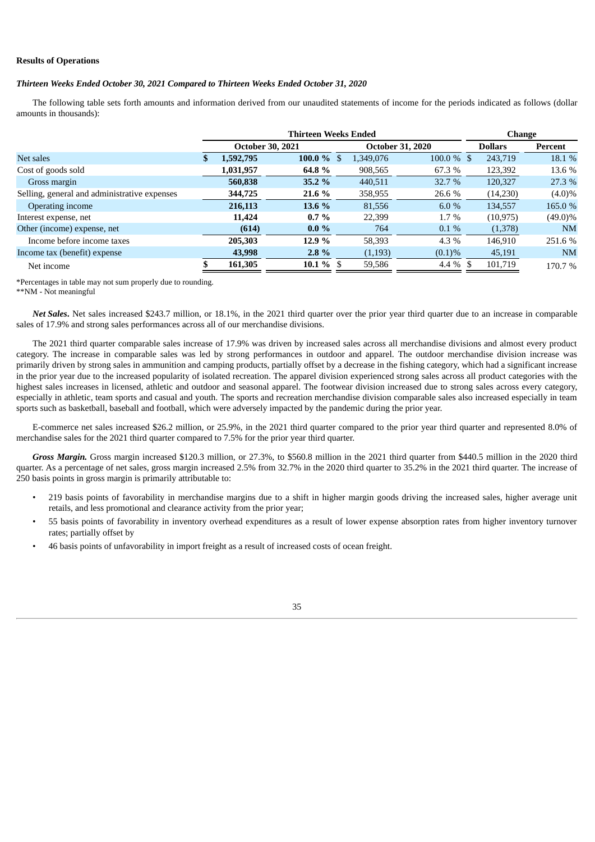# **Results of Operations**

# *Thirteen Weeks Ended October 30, 2021 Compared to Thirteen Weeks Ended October 31, 2020*

The following table sets forth amounts and information derived from our unaudited statements of income for the periods indicated as follows (dollar amounts in thousands):

|                                              | <b>Thirteen Weeks Ended</b> |                         |  |           |                         | Change         |            |  |
|----------------------------------------------|-----------------------------|-------------------------|--|-----------|-------------------------|----------------|------------|--|
|                                              |                             | <b>October 30, 2021</b> |  |           | <b>October 31, 2020</b> | <b>Dollars</b> | Percent    |  |
| Net sales                                    | 1,592,795                   | $100.0 \%$ \$           |  | 1,349,076 | $100.0 \%$ \$           | 243,719        | 18.1 %     |  |
| Cost of goods sold                           | 1,031,957                   | 64.8 %                  |  | 908,565   | 67.3 %                  | 123,392        | 13.6 %     |  |
| Gross margin                                 | 560,838                     | 35.2%                   |  | 440,511   | 32.7 %                  | 120,327        | 27.3 %     |  |
| Selling, general and administrative expenses | 344,725                     | 21.6 %                  |  | 358,955   | 26.6 %                  | (14,230)       | $(4.0)\%$  |  |
| Operating income                             | 216,113                     | 13.6 %                  |  | 81,556    | 6.0%                    | 134,557        | 165.0 %    |  |
| Interest expense, net                        | 11,424                      | $0.7 \%$                |  | 22,399    | $1.7\%$                 | (10, 975)      | $(49.0)\%$ |  |
| Other (income) expense, net                  | (614)                       | $0.0 \%$                |  | 764       | $0.1 \%$                | (1,378)        | <b>NM</b>  |  |
| Income before income taxes                   | 205,303                     | 12.9%                   |  | 58,393    | 4.3 %                   | 146,910        | 251.6 %    |  |
| Income tax (benefit) expense                 | 43,998                      | $2.8 \%$                |  | (1, 193)  | (0.1)%                  | 45,191         | <b>NM</b>  |  |
| Net income                                   | 161,305                     | $10.1 \%$ \$            |  | 59,586    | $4.4\%$ \$              | 101,719        | 170.7%     |  |

\*Percentages in table may not sum properly due to rounding.

\*\*NM - Not meaningful

*Net Sales***.** Net sales increased \$243.7 million, or 18.1%, in the 2021 third quarter over the prior year third quarter due to an increase in comparable sales of 17.9% and strong sales performances across all of our merchandise divisions.

The 2021 third quarter comparable sales increase of 17.9% was driven by increased sales across all merchandise divisions and almost every product category. The increase in comparable sales was led by strong performances in outdoor and apparel. The outdoor merchandise division increase was primarily driven by strong sales in ammunition and camping products, partially offset by a decrease in the fishing category, which had a significant increase in the prior year due to the increased popularity of isolated recreation. The apparel division experienced strong sales across all product categories with the highest sales increases in licensed, athletic and outdoor and seasonal apparel. The footwear division increased due to strong sales across every category, especially in athletic, team sports and casual and youth. The sports and recreation merchandise division comparable sales also increased especially in team sports such as basketball, baseball and football, which were adversely impacted by the pandemic during the prior year.

E-commerce net sales increased \$26.2 million, or 25.9%, in the 2021 third quarter compared to the prior year third quarter and represented 8.0% of merchandise sales for the 2021 third quarter compared to 7.5% for the prior year third quarter.

*Gross Margin.* Gross margin increased \$120.3 million, or 27.3%, to \$560.8 million in the 2021 third quarter from \$440.5 million in the 2020 third quarter. As a percentage of net sales, gross margin increased 2.5% from 32.7% in the 2020 third quarter to 35.2% in the 2021 third quarter. The increase of 250 basis points in gross margin is primarily attributable to:

- 219 basis points of favorability in merchandise margins due to a shift in higher margin goods driving the increased sales, higher average unit retails, and less promotional and clearance activity from the prior year;
- 55 basis points of favorability in inventory overhead expenditures as a result of lower expense absorption rates from higher inventory turnover rates; partially offset by
- 46 basis points of unfavorability in import freight as a result of increased costs of ocean freight.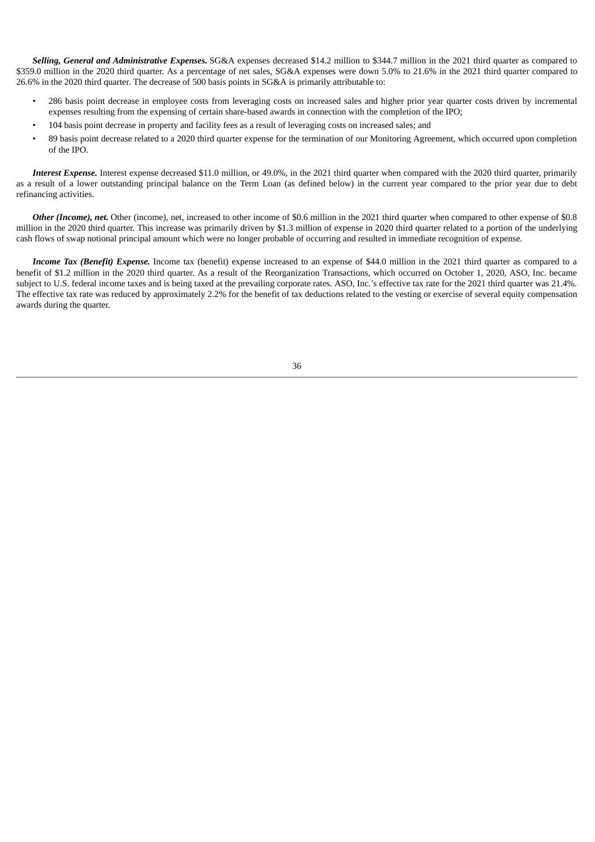*Selling, General and Administrative Expenses.* SG&A expenses decreased \$14.2 million to \$344.7 million in the 2021 third quarter as compared to \$359.0 million in the 2020 third quarter. As a percentage of net sales, SG&A expenses were down 5.0% to 21.6% in the 2021 third quarter compared to 26.6% in the 2020 third quarter. The decrease of 500 basis points in SG&A is primarily attributable to:

- 286 basis point decrease in employee costs from leveraging costs on increased sales and higher prior year quarter costs driven by incremental expenses resulting from the expensing of certain share-based awards in connection with the completion of the IPO;
- 104 basis point decrease in property and facility fees as a result of leveraging costs on increased sales; and
- 89 basis point decrease related to a 2020 third quarter expense for the termination of our Monitoring Agreement, which occurred upon completion of the IPO.

*Interest Expense.* Interest expense decreased \$11.0 million, or 49.0%, in the 2021 third quarter when compared with the 2020 third quarter, primarily as a result of a lower outstanding principal balance on the Term Loan (as defined below) in the current year compared to the prior year due to debt refinancing activities.

*Other (Income), net.* Other (income), net, increased to other income of \$0.6 million in the 2021 third quarter when compared to other expense of \$0.8 million in the 2020 third quarter. This increase was primarily driven by \$1.3 million of expense in 2020 third quarter related to a portion of the underlying cash flows of swap notional principal amount which were no longer probable of occurring and resulted in immediate recognition of expense.

*Income Tax (Benefit) Expense.* Income tax (benefit) expense increased to an expense of \$44.0 million in the 2021 third quarter as compared to a benefit of \$1.2 million in the 2020 third quarter. As a result of the Reorganization Transactions, which occurred on October 1, 2020, ASO, Inc. became subject to U.S. federal income taxes and is being taxed at the prevailing corporate rates. ASO, Inc.'s effective tax rate for the 2021 third quarter was 21.4%. The effective tax rate was reduced by approximately 2.2% for the benefit of tax deductions related to the vesting or exercise of several equity compensation awards during the quarter.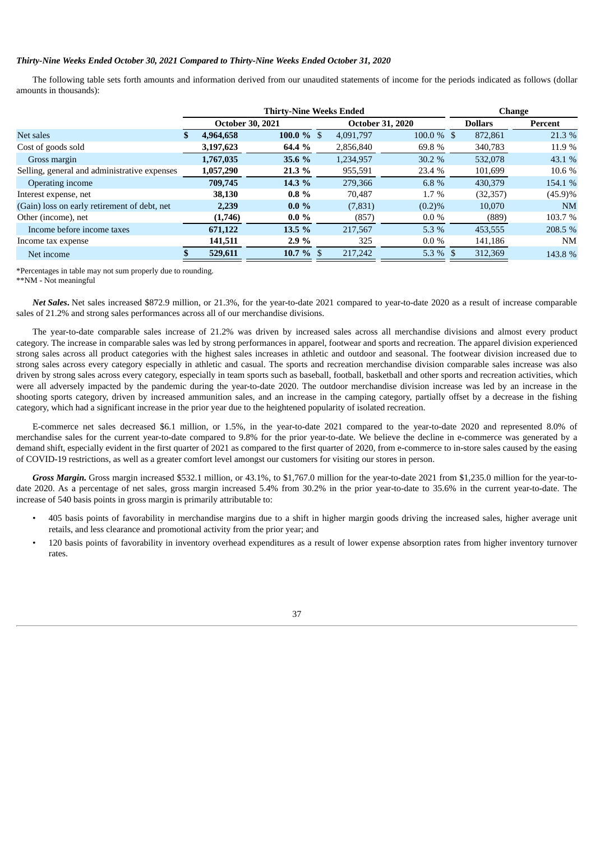### *Thirty-Nine Weeks Ended October 30, 2021 Compared to Thirty-Nine Weeks Ended October 31, 2020*

The following table sets forth amounts and information derived from our unaudited statements of income for the periods indicated as follows (dollar amounts in thousands):

|                                              |     | <b>Thirty-Nine Weeks Ended</b> |                         |  |           |                         | <b>Change</b>  |            |  |
|----------------------------------------------|-----|--------------------------------|-------------------------|--|-----------|-------------------------|----------------|------------|--|
|                                              |     |                                | <b>October 30, 2021</b> |  |           | <b>October 31, 2020</b> | <b>Dollars</b> | Percent    |  |
| Net sales                                    | \$. | 4,964,658                      | $100.0 \%$ \$           |  | 4,091,797 | $100.0\%$ \$            | 872,861        | 21.3 %     |  |
| Cost of goods sold                           |     | 3,197,623                      | 64.4 %                  |  | 2,856,840 | 69.8%                   | 340,783        | 11.9 %     |  |
| Gross margin                                 |     | 1,767,035                      | 35.6 %                  |  | 1,234,957 | 30.2 %                  | 532,078        | 43.1 %     |  |
| Selling, general and administrative expenses |     | 1,057,290                      | 21.3 %                  |  | 955,591   | 23.4 %                  | 101,699        | 10.6 %     |  |
| Operating income                             |     | 709,745                        | 14.3 %                  |  | 279,366   | 6.8 $%$                 | 430,379        | 154.1 %    |  |
| Interest expense, net                        |     | 38,130                         | $0.8 \%$                |  | 70.487    | 1.7%                    | (32, 357)      | $(45.9)\%$ |  |
| (Gain) loss on early retirement of debt, net |     | 2,239                          | $0.0\%$                 |  | (7,831)   | $(0.2)\%$               | 10,070         | <b>NM</b>  |  |
| Other (income), net                          |     | (1,746)                        | $0.0 \%$                |  | (857)     | $0.0\%$                 | (889)          | 103.7%     |  |
| Income before income taxes                   |     | 671,122                        | 13.5 %                  |  | 217,567   | 5.3 %                   | 453,555        | 208.5 %    |  |
| Income tax expense                           |     | 141,511                        | 2.9%                    |  | 325       | $0.0\%$                 | 141,186        | NM         |  |
| Net income                                   |     | 529,611                        | $10.7 \%$ \$            |  | 217,242   | $5.3\%$ \$              | 312,369        | 143.8 %    |  |

\*Percentages in table may not sum properly due to rounding.

\*\*NM - Not meaningful

*Net Sales***.** Net sales increased \$872.9 million, or 21.3%, for the year-to-date 2021 compared to year-to-date 2020 as a result of increase comparable sales of 21.2% and strong sales performances across all of our merchandise divisions.

The year-to-date comparable sales increase of 21.2% was driven by increased sales across all merchandise divisions and almost every product category. The increase in comparable sales was led by strong performances in apparel, footwear and sports and recreation. The apparel division experienced strong sales across all product categories with the highest sales increases in athletic and outdoor and seasonal. The footwear division increased due to strong sales across every category especially in athletic and casual. The sports and recreation merchandise division comparable sales increase was also driven by strong sales across every category, especially in team sports such as baseball, football, basketball and other sports and recreation activities, which were all adversely impacted by the pandemic during the year-to-date 2020. The outdoor merchandise division increase was led by an increase in the shooting sports category, driven by increased ammunition sales, and an increase in the camping category, partially offset by a decrease in the fishing category, which had a significant increase in the prior year due to the heightened popularity of isolated recreation.

E-commerce net sales decreased \$6.1 million, or 1.5%, in the year-to-date 2021 compared to the year-to-date 2020 and represented 8.0% of merchandise sales for the current year-to-date compared to 9.8% for the prior year-to-date. We believe the decline in e-commerce was generated by a demand shift, especially evident in the first quarter of 2021 as compared to the first quarter of 2020, from e-commerce to in-store sales caused by the easing of COVID-19 restrictions, as well as a greater comfort level amongst our customers for visiting our stores in person.

*Gross Margin.* Gross margin increased \$532.1 million, or 43.1%, to \$1,767.0 million for the year-to-date 2021 from \$1,235.0 million for the year-todate 2020. As a percentage of net sales, gross margin increased 5.4% from 30.2% in the prior year-to-date to 35.6% in the current year-to-date. The increase of 540 basis points in gross margin is primarily attributable to:

- 405 basis points of favorability in merchandise margins due to a shift in higher margin goods driving the increased sales, higher average unit retails, and less clearance and promotional activity from the prior year; and
- 120 basis points of favorability in inventory overhead expenditures as a result of lower expense absorption rates from higher inventory turnover rates.

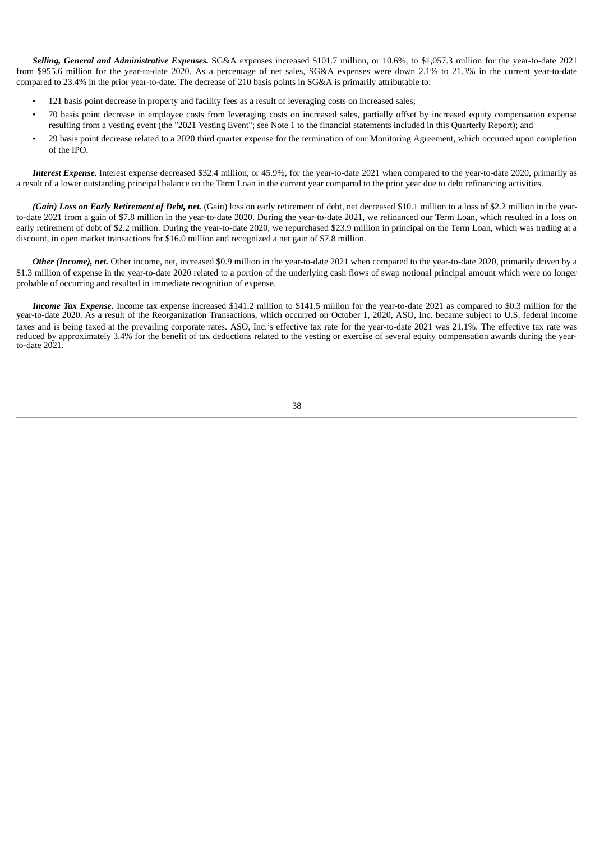*Selling, General and Administrative Expenses.* SG&A expenses increased \$101.7 million, or 10.6%, to \$1,057.3 million for the year-to-date 2021 from \$955.6 million for the year-to-date 2020. As a percentage of net sales, SG&A expenses were down 2.1% to 21.3% in the current year-to-date compared to 23.4% in the prior year-to-date. The decrease of 210 basis points in SG&A is primarily attributable to:

- 121 basis point decrease in property and facility fees as a result of leveraging costs on increased sales;
- 70 basis point decrease in employee costs from leveraging costs on increased sales, partially offset by increased equity compensation expense resulting from a vesting event (the "2021 Vesting Event"; see Note 1 to the financial statements included in this Quarterly Report); and
- 29 basis point decrease related to a 2020 third quarter expense for the termination of our Monitoring Agreement, which occurred upon completion of the IPO.

*Interest Expense.* Interest expense decreased \$32.4 million, or 45.9%, for the year-to-date 2021 when compared to the year-to-date 2020, primarily as a result of a lower outstanding principal balance on the Term Loan in the current year compared to the prior year due to debt refinancing activities.

*(Gain) Loss on Early Retirement of Debt, net.* (Gain) loss on early retirement of debt, net decreased \$10.1 million to a loss of \$2.2 million in the yearto-date 2021 from a gain of \$7.8 million in the year-to-date 2020. During the year-to-date 2021, we refinanced our Term Loan, which resulted in a loss on early retirement of debt of \$2.2 million. During the year-to-date 2020, we repurchased \$23.9 million in principal on the Term Loan, which was trading at a discount, in open market transactions for \$16.0 million and recognized a net gain of \$7.8 million.

*Other (Income), net.* Other income, net, increased \$0.9 million in the year-to-date 2021 when compared to the year-to-date 2020, primarily driven by a \$1.3 million of expense in the year-to-date 2020 related to a portion of the underlying cash flows of swap notional principal amount which were no longer probable of occurring and resulted in immediate recognition of expense.

*Income Tax Expense.* Income tax expense increased \$141.2 million to \$141.5 million for the year-to-date 2021 as compared to \$0.3 million for the year-to-date 2020. As a result of the Reorganization Transactions, which occurred on October 1, 2020, ASO, Inc. became subject to U.S. federal income taxes and is being taxed at the prevailing corporate rates. ASO, Inc.'s effective tax rate for the year-to-date 2021 was 21.1%. The effective tax rate was reduced by approximately 3.4% for the benefit of tax deductions related to the vesting or exercise of several equity compensation awards during the yearto-date 2021.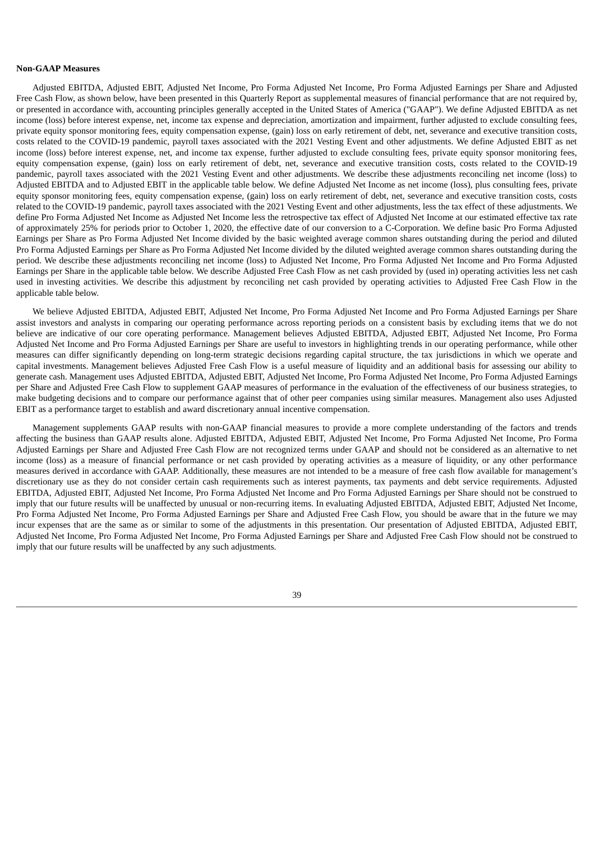#### **Non-GAAP Measures**

Adjusted EBITDA, Adjusted EBIT, Adjusted Net Income, Pro Forma Adjusted Net Income, Pro Forma Adjusted Earnings per Share and Adjusted Free Cash Flow, as shown below, have been presented in this Quarterly Report as supplemental measures of financial performance that are not required by, or presented in accordance with, accounting principles generally accepted in the United States of America ("GAAP"). We define Adjusted EBITDA as net income (loss) before interest expense, net, income tax expense and depreciation, amortization and impairment, further adjusted to exclude consulting fees, private equity sponsor monitoring fees, equity compensation expense, (gain) loss on early retirement of debt, net, severance and executive transition costs, costs related to the COVID-19 pandemic, payroll taxes associated with the 2021 Vesting Event and other adjustments. We define Adjusted EBIT as net income (loss) before interest expense, net, and income tax expense, further adjusted to exclude consulting fees, private equity sponsor monitoring fees, equity compensation expense, (gain) loss on early retirement of debt, net, severance and executive transition costs, costs related to the COVID-19 pandemic, payroll taxes associated with the 2021 Vesting Event and other adjustments. We describe these adjustments reconciling net income (loss) to Adjusted EBITDA and to Adjusted EBIT in the applicable table below. We define Adjusted Net Income as net income (loss), plus consulting fees, private equity sponsor monitoring fees, equity compensation expense, (gain) loss on early retirement of debt, net, severance and executive transition costs, costs related to the COVID-19 pandemic, payroll taxes associated with the 2021 Vesting Event and other adjustments, less the tax effect of these adjustments. We define Pro Forma Adjusted Net Income as Adjusted Net Income less the retrospective tax effect of Adjusted Net Income at our estimated effective tax rate of approximately 25% for periods prior to October 1, 2020, the effective date of our conversion to a C-Corporation. We define basic Pro Forma Adjusted Earnings per Share as Pro Forma Adjusted Net Income divided by the basic weighted average common shares outstanding during the period and diluted Pro Forma Adjusted Earnings per Share as Pro Forma Adjusted Net Income divided by the diluted weighted average common shares outstanding during the period. We describe these adjustments reconciling net income (loss) to Adjusted Net Income, Pro Forma Adjusted Net Income and Pro Forma Adjusted Earnings per Share in the applicable table below. We describe Adjusted Free Cash Flow as net cash provided by (used in) operating activities less net cash used in investing activities. We describe this adjustment by reconciling net cash provided by operating activities to Adjusted Free Cash Flow in the applicable table below.

We believe Adjusted EBITDA, Adjusted EBIT, Adjusted Net Income, Pro Forma Adjusted Net Income and Pro Forma Adjusted Earnings per Share assist investors and analysts in comparing our operating performance across reporting periods on a consistent basis by excluding items that we do not believe are indicative of our core operating performance. Management believes Adjusted EBITDA, Adjusted EBIT, Adjusted Net Income, Pro Forma Adjusted Net Income and Pro Forma Adjusted Earnings per Share are useful to investors in highlighting trends in our operating performance, while other measures can differ significantly depending on long-term strategic decisions regarding capital structure, the tax jurisdictions in which we operate and capital investments. Management believes Adjusted Free Cash Flow is a useful measure of liquidity and an additional basis for assessing our ability to generate cash. Management uses Adjusted EBITDA, Adjusted EBIT, Adjusted Net Income, Pro Forma Adjusted Net Income, Pro Forma Adjusted Earnings per Share and Adjusted Free Cash Flow to supplement GAAP measures of performance in the evaluation of the effectiveness of our business strategies, to make budgeting decisions and to compare our performance against that of other peer companies using similar measures. Management also uses Adjusted EBIT as a performance target to establish and award discretionary annual incentive compensation.

Management supplements GAAP results with non-GAAP financial measures to provide a more complete understanding of the factors and trends affecting the business than GAAP results alone. Adjusted EBITDA, Adjusted EBIT, Adjusted Net Income, Pro Forma Adjusted Net Income, Pro Forma Adjusted Earnings per Share and Adjusted Free Cash Flow are not recognized terms under GAAP and should not be considered as an alternative to net income (loss) as a measure of financial performance or net cash provided by operating activities as a measure of liquidity, or any other performance measures derived in accordance with GAAP. Additionally, these measures are not intended to be a measure of free cash flow available for management's discretionary use as they do not consider certain cash requirements such as interest payments, tax payments and debt service requirements. Adjusted EBITDA, Adjusted EBIT, Adjusted Net Income, Pro Forma Adjusted Net Income and Pro Forma Adjusted Earnings per Share should not be construed to imply that our future results will be unaffected by unusual or non-recurring items. In evaluating Adjusted EBITDA, Adjusted EBIT, Adjusted Net Income, Pro Forma Adjusted Net Income, Pro Forma Adjusted Earnings per Share and Adjusted Free Cash Flow, you should be aware that in the future we may incur expenses that are the same as or similar to some of the adjustments in this presentation. Our presentation of Adjusted EBITDA, Adjusted EBIT, Adjusted Net Income, Pro Forma Adjusted Net Income, Pro Forma Adjusted Earnings per Share and Adjusted Free Cash Flow should not be construed to imply that our future results will be unaffected by any such adjustments.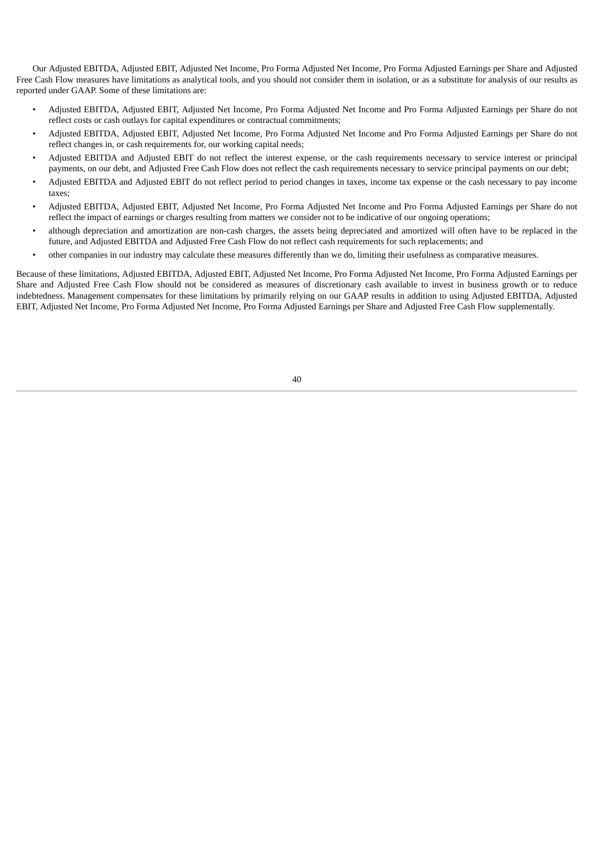Our Adjusted EBITDA, Adjusted EBIT, Adjusted Net Income, Pro Forma Adjusted Net Income, Pro Forma Adjusted Earnings per Share and Adjusted Free Cash Flow measures have limitations as analytical tools, and you should not consider them in isolation, or as a substitute for analysis of our results as reported under GAAP. Some of these limitations are:

- Adjusted EBITDA, Adjusted EBIT, Adjusted Net Income, Pro Forma Adjusted Net Income and Pro Forma Adjusted Earnings per Share do not reflect costs or cash outlays for capital expenditures or contractual commitments;
- Adjusted EBITDA, Adjusted EBIT, Adjusted Net Income, Pro Forma Adjusted Net Income and Pro Forma Adjusted Earnings per Share do not reflect changes in, or cash requirements for, our working capital needs;
- Adjusted EBITDA and Adjusted EBIT do not reflect the interest expense, or the cash requirements necessary to service interest or principal payments, on our debt, and Adjusted Free Cash Flow does not reflect the cash requirements necessary to service principal payments on our debt;
- Adjusted EBITDA and Adjusted EBIT do not reflect period to period changes in taxes, income tax expense or the cash necessary to pay income taxes;
- Adjusted EBITDA, Adjusted EBIT, Adjusted Net Income, Pro Forma Adjusted Net Income and Pro Forma Adjusted Earnings per Share do not reflect the impact of earnings or charges resulting from matters we consider not to be indicative of our ongoing operations;
- although depreciation and amortization are non-cash charges, the assets being depreciated and amortized will often have to be replaced in the future, and Adjusted EBITDA and Adjusted Free Cash Flow do not reflect cash requirements for such replacements; and
- other companies in our industry may calculate these measures differently than we do, limiting their usefulness as comparative measures.

Because of these limitations, Adjusted EBITDA, Adjusted EBIT, Adjusted Net Income, Pro Forma Adjusted Net Income, Pro Forma Adjusted Earnings per Share and Adjusted Free Cash Flow should not be considered as measures of discretionary cash available to invest in business growth or to reduce indebtedness. Management compensates for these limitations by primarily relying on our GAAP results in addition to using Adjusted EBITDA, Adjusted EBIT, Adjusted Net Income, Pro Forma Adjusted Net Income, Pro Forma Adjusted Earnings per Share and Adjusted Free Cash Flow supplementally.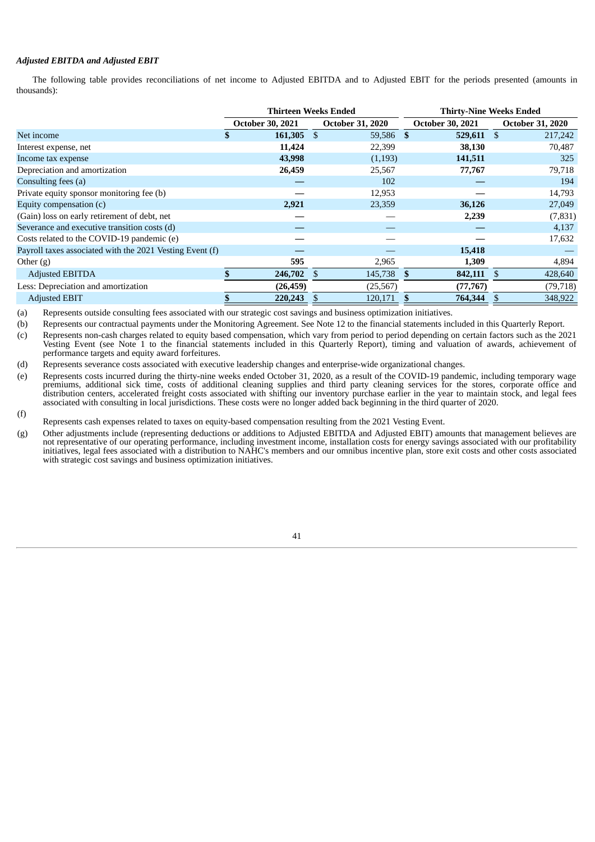# *Adjusted EBITDA and Adjusted EBIT*

The following table provides reconciliations of net income to Adjusted EBITDA and to Adjusted EBIT for the periods presented (amounts in thousands):

|                                                          | <b>Thirteen Weeks Ended</b> |                         |  |                         | <b>Thirty-Nine Weeks Ended</b> |                         |               |                         |
|----------------------------------------------------------|-----------------------------|-------------------------|--|-------------------------|--------------------------------|-------------------------|---------------|-------------------------|
|                                                          |                             | <b>October 30, 2021</b> |  | <b>October 31, 2020</b> |                                | <b>October 30, 2021</b> |               | <b>October 31, 2020</b> |
| Net income                                               |                             | $161,305$ \$            |  | 59,586 \$               |                                | 529,611                 | <sup>\$</sup> | 217,242                 |
| Interest expense, net                                    |                             | 11,424                  |  | 22,399                  |                                | 38,130                  |               | 70,487                  |
| Income tax expense                                       |                             | 43,998                  |  | (1,193)                 |                                | 141,511                 |               | 325                     |
| Depreciation and amortization                            |                             | 26,459                  |  | 25,567                  |                                | 77,767                  |               | 79,718                  |
| Consulting fees (a)                                      |                             |                         |  | 102                     |                                |                         |               | 194                     |
| Private equity sponsor monitoring fee (b)                |                             |                         |  | 12,953                  |                                |                         |               | 14,793                  |
| Equity compensation $(c)$                                |                             | 2,921                   |  | 23,359                  |                                | 36,126                  |               | 27,049                  |
| (Gain) loss on early retirement of debt, net             |                             |                         |  |                         |                                | 2,239                   |               | (7, 831)                |
| Severance and executive transition costs (d)             |                             |                         |  |                         |                                |                         |               | 4,137                   |
| Costs related to the COVID-19 pandemic (e)               |                             |                         |  |                         |                                |                         |               | 17,632                  |
| Payroll taxes associated with the 2021 Vesting Event (f) |                             |                         |  |                         |                                | 15,418                  |               |                         |
| Other $(g)$                                              |                             | 595                     |  | 2,965                   |                                | 1,309                   |               | 4,894                   |
| <b>Adjusted EBITDA</b>                                   |                             | 246,702 \$              |  | 145,738 \$              |                                | 842,111 \$              |               | 428,640                 |
| Less: Depreciation and amortization                      |                             | (26, 459)               |  | (25, 567)               |                                | (77, 767)               |               | (79, 718)               |
| <b>Adjusted EBIT</b>                                     |                             | 220,243                 |  | 120,171                 | S                              | 764,344                 |               | 348,922                 |

(a) Represents outside consulting fees associated with our strategic cost savings and business optimization initiatives.

(b) Represents our contractual payments under the Monitoring Agreement. See Note 12 to the financial statements included in this Quarterly Report. (c) Represents non-cash charges related to equity based compensation, which vary from period to period depending on certain factors such as the 2021 Vesting Event (see Note 1 to the financial statements included in this Quarterly Report), timing and valuation of awards, achievement of performance targets and equity award forfeitures.

(d) Represents severance costs associated with executive leadership changes and enterprise-wide organizational changes.

(e) Represents costs incurred during the thirty-nine weeks ended October 31, 2020, as a result of the COVID-19 pandemic, including temporary wage premiums, additional sick time, costs of additional cleaning supplies and third party cleaning services for the stores, corporate office and distribution centers, accelerated freight costs associated with shifting our inventory purchase earlier in the year to maintain stock, and legal fees associated with consulting in local jurisdictions. These costs were no longer added back beginning in the third quarter of 2020.

(f)

Represents cash expenses related to taxes on equity-based compensation resulting from the 2021 Vesting Event.

(g) Other adjustments include (representing deductions or additions to Adjusted EBITDA and Adjusted EBIT) amounts that management believes are not representative of our operating performance, including investment income, installation costs for energy savings associated with our profitability initiatives, legal fees associated with a distribution to NAHC's members and our omnibus incentive plan, store exit costs and other costs associated with strategic cost savings and business optimization initiatives.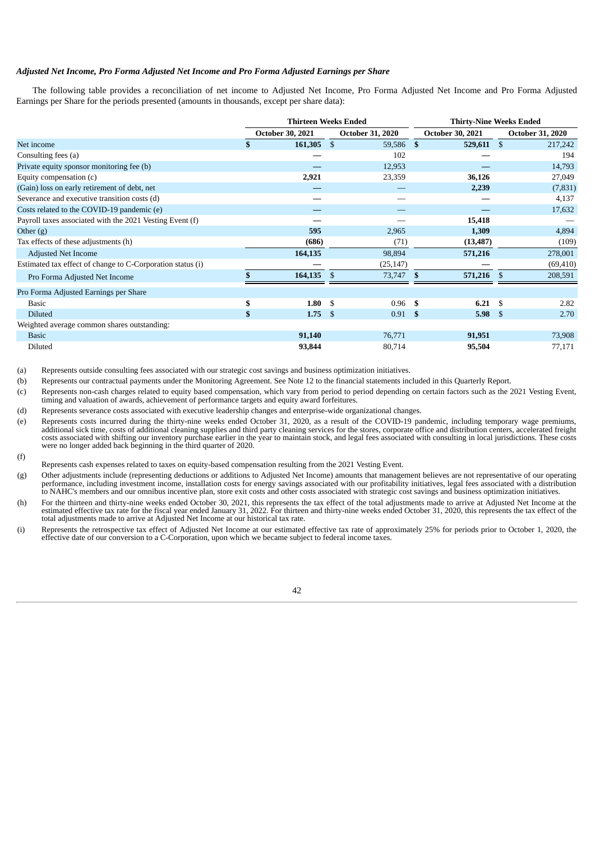### *Adjusted Net Income, Pro Forma Adjusted Net Income and Pro Forma Adjusted Earnings per Share*

The following table provides a reconciliation of net income to Adjusted Net Income, Pro Forma Adjusted Net Income and Pro Forma Adjusted Earnings per Share for the periods presented (amounts in thousands, except per share data):

|                                                            | <b>Thirteen Weeks Ended</b> |                         |              |                         | <b>Thirty-Nine Weeks Ended</b> |                         |      |                         |
|------------------------------------------------------------|-----------------------------|-------------------------|--------------|-------------------------|--------------------------------|-------------------------|------|-------------------------|
|                                                            |                             | <b>October 30, 2021</b> |              | <b>October 31, 2020</b> |                                | <b>October 30, 2021</b> |      | <b>October 31, 2020</b> |
| Net income                                                 | \$                          | 161,305                 | $\mathbf{s}$ | 59,586                  | $\mathbf{s}$                   | 529,611 \$              |      | 217,242                 |
| Consulting fees (a)                                        |                             |                         |              | 102                     |                                |                         |      | 194                     |
| Private equity sponsor monitoring fee (b)                  |                             |                         |              | 12,953                  |                                |                         |      | 14,793                  |
| Equity compensation (c)                                    |                             | 2,921                   |              | 23,359                  |                                | 36,126                  |      | 27,049                  |
| (Gain) loss on early retirement of debt, net               |                             |                         |              |                         |                                | 2,239                   |      | (7,831)                 |
| Severance and executive transition costs (d)               |                             |                         |              |                         |                                |                         |      | 4,137                   |
| Costs related to the COVID-19 pandemic (e)                 |                             |                         |              |                         |                                |                         |      | 17,632                  |
| Payroll taxes associated with the 2021 Vesting Event (f)   |                             |                         |              |                         |                                | 15,418                  |      |                         |
| Other $(g)$                                                |                             | 595                     |              | 2,965                   |                                | 1,309                   |      | 4,894                   |
| Tax effects of these adjustments (h)                       |                             | (686)                   |              | (71)                    |                                | (13, 487)               |      | (109)                   |
| <b>Adjusted Net Income</b>                                 |                             | 164,135                 |              | 98,894                  |                                | 571,216                 |      | 278,001                 |
| Estimated tax effect of change to C-Corporation status (i) |                             |                         |              | (25, 147)               |                                |                         |      | (69, 410)               |
| Pro Forma Adjusted Net Income                              |                             | 164,135                 |              | 73,747                  | -S                             | 571,216                 | -\$  | 208,591                 |
| Pro Forma Adjusted Earnings per Share                      |                             |                         |              |                         |                                |                         |      |                         |
| <b>Basic</b>                                               | \$                          | 1.80                    | \$           | 0.96                    | -\$                            | 6.21                    | -\$  | 2.82                    |
| <b>Diluted</b>                                             |                             | $1.75\quad$             |              | 0.91                    | - \$                           | 5.98                    | - \$ | 2.70                    |
| Weighted average common shares outstanding:                |                             |                         |              |                         |                                |                         |      |                         |
| <b>Basic</b>                                               |                             | 91,140                  |              | 76,771                  |                                | 91,951                  |      | 73,908                  |
| Diluted                                                    |                             | 93,844                  |              | 80,714                  |                                | 95,504                  |      | 77,171                  |

(a) Represents outside consulting fees associated with our strategic cost savings and business optimization initiatives.

(b) Represents our contractual payments under the Monitoring Agreement. See Note 12 to the financial statements included in this Quarterly Report.

(c) Represents non-cash charges related to equity based compensation, which vary from period to period depending on certain factors such as the 2021 Vesting Event, timing and valuation of awards, achievement of performance targets and equity award forfeitures.

(d) Represents severance costs associated with executive leadership changes and enterprise-wide organizational changes.

(e) Represents costs incurred during the thirty-nine weeks ended October 31, 2020, as a result of the COVID-19 pandemic, including temporary wage premiums, additional sick time, costs of additional cleaning supplies and third party cleaning services for the stores, corporate office and distribution centers, accelerated freight costs associated with shifting our inventory purchase earlier in the year to maintain stock, and legal fees associated with consulting in local jurisdictions. These costs were no longer added back beginning in the third quarter of 2020.

(f) Represents cash expenses related to taxes on equity-based compensation resulting from the 2021 Vesting Event.

(g) Other adjustments include (representing deductions or additions to Adjusted Net Income) amounts that management believes are not representative of our operating performance, including investment income, installation costs for energy savings associated with our profitability initiatives, legal fees associated with a distribution to NAHC's members and our omnibus incentive plan, store exit costs and other costs associated with strategic cost savings and business optimization initiatives.

(h) For the thirteen and thirty-nine weeks ended October 30, 2021, this represents the tax effect of the total adjustments made to arrive at Adjusted Net Income at the estimated effective tax rate for the fiscal year ended January 31, 2022. For thirteen and thirty-nine weeks ended October 31, 2020, this represents the tax effect of the total adjustments made to arrive at Adjusted Net Income at our historical tax rate.

(i) Represents the retrospective tax effect of Adjusted Net Income at our estimated effective tax rate of approximately 25% for periods prior to October 1, 2020, the effective date of our conversion to a C-Corporation, upon which we became subject to federal income taxes.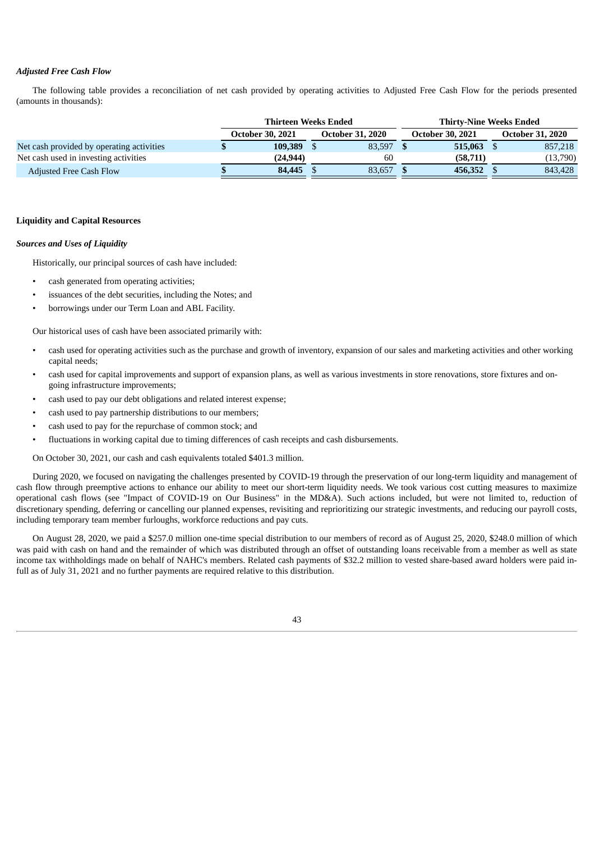# *Adjusted Free Cash Flow*

The following table provides a reconciliation of net cash provided by operating activities to Adjusted Free Cash Flow for the periods presented (amounts in thousands):

|                                           | <b>Thirteen Weeks Ended</b> |  |                         |  | <b>Thirty-Nine Weeks Ended</b> |  |                         |  |
|-------------------------------------------|-----------------------------|--|-------------------------|--|--------------------------------|--|-------------------------|--|
|                                           | <b>October 30, 2021</b>     |  | <b>October 31, 2020</b> |  | <b>October 30, 2021</b>        |  | <b>October 31, 2020</b> |  |
| Net cash provided by operating activities | 109,389                     |  | 83.597                  |  | 515,063                        |  | 857,218                 |  |
| Net cash used in investing activities     | (24,944)                    |  | 60                      |  | (58,711)                       |  | (13,790)                |  |
| <b>Adjusted Free Cash Flow</b>            | 84,445                      |  | 83.657                  |  | 456,352                        |  | 843,428                 |  |

# **Liquidity and Capital Resources**

# *Sources and Uses of Liquidity*

Historically, our principal sources of cash have included:

- cash generated from operating activities;
- issuances of the debt securities, including the Notes; and
- borrowings under our Term Loan and ABL Facility.

Our historical uses of cash have been associated primarily with:

- cash used for operating activities such as the purchase and growth of inventory, expansion of our sales and marketing activities and other working capital needs;
- cash used for capital improvements and support of expansion plans, as well as various investments in store renovations, store fixtures and ongoing infrastructure improvements;
- cash used to pay our debt obligations and related interest expense;
- cash used to pay partnership distributions to our members;
- cash used to pay for the repurchase of common stock; and
- fluctuations in working capital due to timing differences of cash receipts and cash disbursements.

On October 30, 2021, our cash and cash equivalents totaled \$401.3 million.

During 2020, we focused on navigating the challenges presented by COVID-19 through the preservation of our long-term liquidity and management of cash flow through preemptive actions to enhance our ability to meet our short-term liquidity needs. We took various cost cutting measures to maximize operational cash flows (see "Impact of COVID-19 on Our Business" in the MD&A). Such actions included, but were not limited to, reduction of discretionary spending, deferring or cancelling our planned expenses, revisiting and reprioritizing our strategic investments, and reducing our payroll costs, including temporary team member furloughs, workforce reductions and pay cuts.

On August 28, 2020, we paid a \$257.0 million one-time special distribution to our members of record as of August 25, 2020, \$248.0 million of which was paid with cash on hand and the remainder of which was distributed through an offset of outstanding loans receivable from a member as well as state income tax withholdings made on behalf of NAHC's members. Related cash payments of \$32.2 million to vested share-based award holders were paid infull as of July 31, 2021 and no further payments are required relative to this distribution.

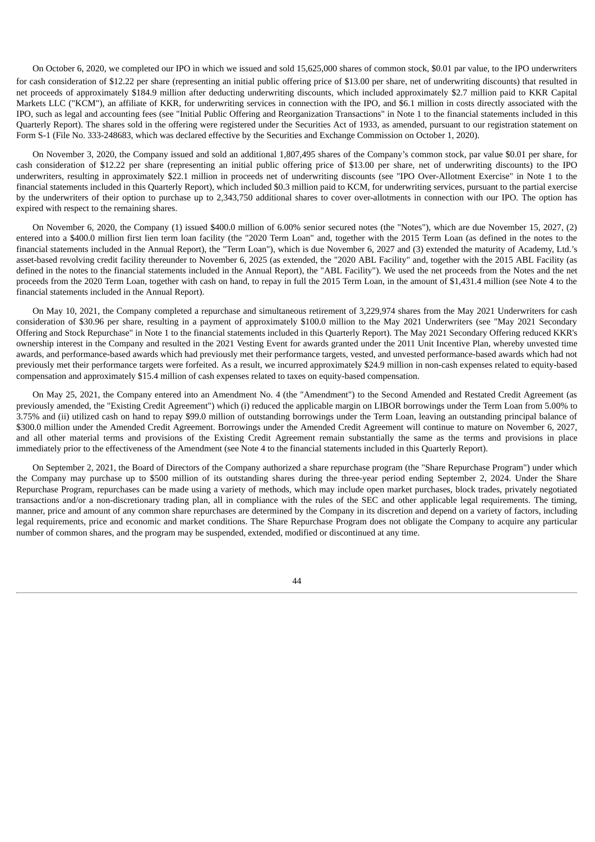On October 6, 2020, we completed our IPO in which we issued and sold 15,625,000 shares of common stock, \$0.01 par value, to the IPO underwriters for cash consideration of \$12.22 per share (representing an initial public offering price of \$13.00 per share, net of underwriting discounts) that resulted in net proceeds of approximately \$184.9 million after deducting underwriting discounts, which included approximately \$2.7 million paid to KKR Capital Markets LLC ("KCM"), an affiliate of KKR, for underwriting services in connection with the IPO, and \$6.1 million in costs directly associated with the IPO, such as legal and accounting fees (see "Initial Public Offering and Reorganization Transactions" in Note 1 to the financial statements included in this Quarterly Report). The shares sold in the offering were registered under the Securities Act of 1933, as amended, pursuant to our registration statement on Form S-1 (File No. 333-248683, which was declared effective by the Securities and Exchange Commission on October 1, 2020).

On November 3, 2020, the Company issued and sold an additional 1,807,495 shares of the Company's common stock, par value \$0.01 per share, for cash consideration of \$12.22 per share (representing an initial public offering price of \$13.00 per share, net of underwriting discounts) to the IPO underwriters, resulting in approximately \$22.1 million in proceeds net of underwriting discounts (see "IPO Over-Allotment Exercise" in Note 1 to the financial statements included in this Quarterly Report), which included \$0.3 million paid to KCM, for underwriting services, pursuant to the partial exercise by the underwriters of their option to purchase up to 2,343,750 additional shares to cover over-allotments in connection with our IPO. The option has expired with respect to the remaining shares.

On November 6, 2020, the Company (1) issued \$400.0 million of 6.00% senior secured notes (the "Notes"), which are due November 15, 2027, (2) entered into a \$400.0 million first lien term loan facility (the "2020 Term Loan" and, together with the 2015 Term Loan (as defined in the notes to the financial statements included in the Annual Report), the "Term Loan"), which is due November 6, 2027 and (3) extended the maturity of Academy, Ltd.'s asset-based revolving credit facility thereunder to November 6, 2025 (as extended, the "2020 ABL Facility" and, together with the 2015 ABL Facility (as defined in the notes to the financial statements included in the Annual Report), the "ABL Facility"). We used the net proceeds from the Notes and the net proceeds from the 2020 Term Loan, together with cash on hand, to repay in full the 2015 Term Loan, in the amount of \$1,431.4 million (see Note 4 to the financial statements included in the Annual Report).

On May 10, 2021, the Company completed a repurchase and simultaneous retirement of 3,229,974 shares from the May 2021 Underwriters for cash consideration of \$30.96 per share, resulting in a payment of approximately \$100.0 million to the May 2021 Underwriters (see "May 2021 Secondary Offering and Stock Repurchase" in Note 1 to the financial statements included in this Quarterly Report). The May 2021 Secondary Offering reduced KKR's ownership interest in the Company and resulted in the 2021 Vesting Event for awards granted under the 2011 Unit Incentive Plan, whereby unvested time awards, and performance-based awards which had previously met their performance targets, vested, and unvested performance-based awards which had not previously met their performance targets were forfeited. As a result, we incurred approximately \$24.9 million in non-cash expenses related to equity-based compensation and approximately \$15.4 million of cash expenses related to taxes on equity-based compensation.

On May 25, 2021, the Company entered into an Amendment No. 4 (the "Amendment") to the Second Amended and Restated Credit Agreement (as previously amended, the "Existing Credit Agreement") which (i) reduced the applicable margin on LIBOR borrowings under the Term Loan from 5.00% to 3.75% and (ii) utilized cash on hand to repay \$99.0 million of outstanding borrowings under the Term Loan, leaving an outstanding principal balance of \$300.0 million under the Amended Credit Agreement. Borrowings under the Amended Credit Agreement will continue to mature on November 6, 2027, and all other material terms and provisions of the Existing Credit Agreement remain substantially the same as the terms and provisions in place immediately prior to the effectiveness of the Amendment (see Note 4 to the financial statements included in this Quarterly Report).

On September 2, 2021, the Board of Directors of the Company authorized a share repurchase program (the "Share Repurchase Program") under which the Company may purchase up to \$500 million of its outstanding shares during the three-year period ending September 2, 2024. Under the Share Repurchase Program, repurchases can be made using a variety of methods, which may include open market purchases, block trades, privately negotiated transactions and/or a non-discretionary trading plan, all in compliance with the rules of the SEC and other applicable legal requirements. The timing, manner, price and amount of any common share repurchases are determined by the Company in its discretion and depend on a variety of factors, including legal requirements, price and economic and market conditions. The Share Repurchase Program does not obligate the Company to acquire any particular number of common shares, and the program may be suspended, extended, modified or discontinued at any time.

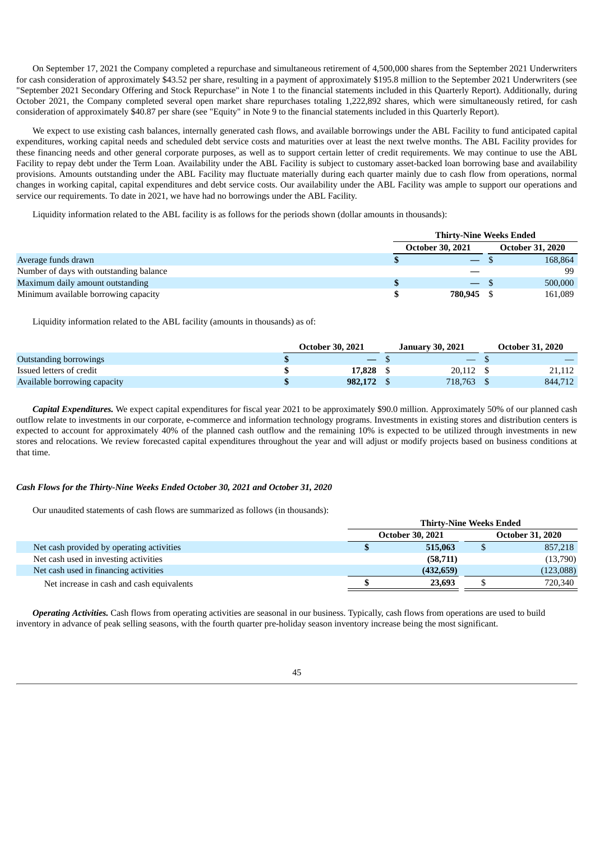On September 17, 2021 the Company completed a repurchase and simultaneous retirement of 4,500,000 shares from the September 2021 Underwriters for cash consideration of approximately \$43.52 per share, resulting in a payment of approximately \$195.8 million to the September 2021 Underwriters (see "September 2021 Secondary Offering and Stock Repurchase" in Note 1 to the financial statements included in this Quarterly Report). Additionally, during October 2021, the Company completed several open market share repurchases totaling 1,222,892 shares, which were simultaneously retired, for cash consideration of approximately \$40.87 per share (see "Equity" in Note 9 to the financial statements included in this Quarterly Report).

We expect to use existing cash balances, internally generated cash flows, and available borrowings under the ABL Facility to fund anticipated capital expenditures, working capital needs and scheduled debt service costs and maturities over at least the next twelve months. The ABL Facility provides for these financing needs and other general corporate purposes, as well as to support certain letter of credit requirements. We may continue to use the ABL Facility to repay debt under the Term Loan. Availability under the ABL Facility is subject to customary asset-backed loan borrowing base and availability provisions. Amounts outstanding under the ABL Facility may fluctuate materially during each quarter mainly due to cash flow from operations, normal changes in working capital, capital expenditures and debt service costs. Our availability under the ABL Facility was ample to support our operations and service our requirements. To date in 2021, we have had no borrowings under the ABL Facility.

Liquidity information related to the ABL facility is as follows for the periods shown (dollar amounts in thousands):

|                                         | <b>Thirty-Nine Weeks Ended</b> |  |                         |
|-----------------------------------------|--------------------------------|--|-------------------------|
|                                         | <b>October 30, 2021</b>        |  | <b>October 31, 2020</b> |
| Average funds drawn                     |                                |  | 168,864                 |
| Number of days with outstanding balance |                                |  | .99                     |
| Maximum daily amount outstanding        |                                |  | 500,000                 |
| Minimum available borrowing capacity    | 780,945                        |  | 161.089                 |

Liquidity information related to the ABL facility (amounts in thousands) as of:

|                               | <b>October 30, 2021</b>  | January 30, 2021 | <b>October 31, 2020</b> |
|-------------------------------|--------------------------|------------------|-------------------------|
| <b>Outstanding borrowings</b> | $\overline{\phantom{0}}$ | <u>—</u>         |                         |
| Issued letters of credit      | 17.828                   | 20,112           | 21,112                  |
| Available borrowing capacity  | 982,172                  | 718,763          | 844,712                 |

*Capital Expenditures.* We expect capital expenditures for fiscal year 2021 to be approximately \$90.0 million. Approximately 50% of our planned cash outflow relate to investments in our corporate, e-commerce and information technology programs. Investments in existing stores and distribution centers is expected to account for approximately 40% of the planned cash outflow and the remaining 10% is expected to be utilized through investments in new stores and relocations. We review forecasted capital expenditures throughout the year and will adjust or modify projects based on business conditions at that time.

#### *Cash Flows for the Thirty-Nine Weeks Ended October 30, 2021 and October 31, 2020*

Our unaudited statements of cash flows are summarized as follows (in thousands):

|                                           | <b>Thirty-Nine Weeks Ended</b> |                         |  |                         |  |
|-------------------------------------------|--------------------------------|-------------------------|--|-------------------------|--|
|                                           |                                | <b>October 30, 2021</b> |  | <b>October 31, 2020</b> |  |
| Net cash provided by operating activities |                                | 515,063                 |  | 857,218                 |  |
| Net cash used in investing activities     |                                | (58,711)                |  | (13,790)                |  |
| Net cash used in financing activities     |                                | (432,659)               |  | (123,088)               |  |
| Net increase in cash and cash equivalents |                                | 23,693                  |  | 720,340                 |  |

*Operating Activities.* Cash flows from operating activities are seasonal in our business. Typically, cash flows from operations are used to build inventory in advance of peak selling seasons, with the fourth quarter pre-holiday season inventory increase being the most significant.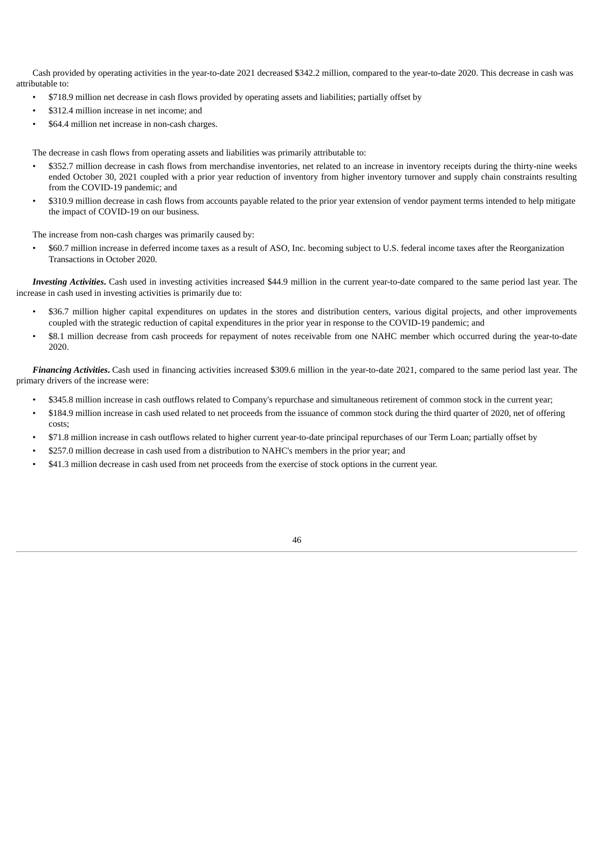Cash provided by operating activities in the year-to-date 2021 decreased \$342.2 million, compared to the year-to-date 2020. This decrease in cash was attributable to:

- \$718.9 million net decrease in cash flows provided by operating assets and liabilities; partially offset by
- \$312.4 million increase in net income; and
- \$64.4 million net increase in non-cash charges.

The decrease in cash flows from operating assets and liabilities was primarily attributable to:

- \$352.7 million decrease in cash flows from merchandise inventories, net related to an increase in inventory receipts during the thirty-nine weeks ended October 30, 2021 coupled with a prior year reduction of inventory from higher inventory turnover and supply chain constraints resulting from the COVID-19 pandemic; and
- \$310.9 million decrease in cash flows from accounts payable related to the prior year extension of vendor payment terms intended to help mitigate the impact of COVID-19 on our business.

The increase from non-cash charges was primarily caused by:

• \$60.7 million increase in deferred income taxes as a result of ASO, Inc. becoming subject to U.S. federal income taxes after the Reorganization Transactions in October 2020.

*Investing Activities***.** Cash used in investing activities increased \$44.9 million in the current year-to-date compared to the same period last year. The increase in cash used in investing activities is primarily due to:

- \$36.7 million higher capital expenditures on updates in the stores and distribution centers, various digital projects, and other improvements coupled with the strategic reduction of capital expenditures in the prior year in response to the COVID-19 pandemic; and
- \$8.1 million decrease from cash proceeds for repayment of notes receivable from one NAHC member which occurred during the year-to-date 2020.

*Financing Activities***.** Cash used in financing activities increased \$309.6 million in the year-to-date 2021, compared to the same period last year. The primary drivers of the increase were:

- \$345.8 million increase in cash outflows related to Company's repurchase and simultaneous retirement of common stock in the current year;
- \$184.9 million increase in cash used related to net proceeds from the issuance of common stock during the third quarter of 2020, net of offering costs;
- \$71.8 million increase in cash outflows related to higher current year-to-date principal repurchases of our Term Loan; partially offset by
- \$257.0 million decrease in cash used from a distribution to NAHC's members in the prior year; and
- \$41.3 million decrease in cash used from net proceeds from the exercise of stock options in the current year.

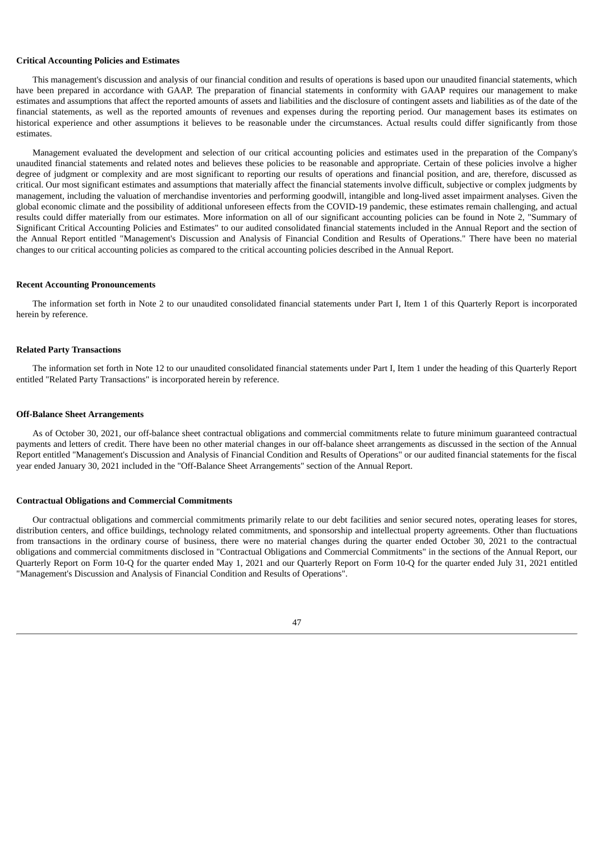#### **Critical Accounting Policies and Estimates**

This management's discussion and analysis of our financial condition and results of operations is based upon our unaudited financial statements, which have been prepared in accordance with GAAP. The preparation of financial statements in conformity with GAAP requires our management to make estimates and assumptions that affect the reported amounts of assets and liabilities and the disclosure of contingent assets and liabilities as of the date of the financial statements, as well as the reported amounts of revenues and expenses during the reporting period. Our management bases its estimates on historical experience and other assumptions it believes to be reasonable under the circumstances. Actual results could differ significantly from those estimates.

Management evaluated the development and selection of our critical accounting policies and estimates used in the preparation of the Company's unaudited financial statements and related notes and believes these policies to be reasonable and appropriate. Certain of these policies involve a higher degree of judgment or complexity and are most significant to reporting our results of operations and financial position, and are, therefore, discussed as critical. Our most significant estimates and assumptions that materially affect the financial statements involve difficult, subjective or complex judgments by management, including the valuation of merchandise inventories and performing goodwill, intangible and long-lived asset impairment analyses. Given the global economic climate and the possibility of additional unforeseen effects from the COVID-19 pandemic, these estimates remain challenging, and actual results could differ materially from our estimates. More information on all of our significant accounting policies can be found in Note 2, "Summary of Significant Critical Accounting Policies and Estimates" to our audited consolidated financial statements included in the Annual Report and the section of the Annual Report entitled "Management's Discussion and Analysis of Financial Condition and Results of Operations." There have been no material changes to our critical accounting policies as compared to the critical accounting policies described in the Annual Report.

#### **Recent Accounting Pronouncements**

The information set forth in Note 2 to our unaudited consolidated financial statements under Part I, Item 1 of this Quarterly Report is incorporated herein by reference.

#### **Related Party Transactions**

The information set forth in Note 12 to our unaudited consolidated financial statements under Part I, Item 1 under the heading of this Quarterly Report entitled "Related Party Transactions" is incorporated herein by reference.

#### **Off-Balance Sheet Arrangements**

As of October 30, 2021, our off-balance sheet contractual obligations and commercial commitments relate to future minimum guaranteed contractual payments and letters of credit. There have been no other material changes in our off-balance sheet arrangements as discussed in the section of the Annual Report entitled "Management's Discussion and Analysis of Financial Condition and Results of Operations" or our audited financial statements for the fiscal year ended January 30, 2021 included in the "Off-Balance Sheet Arrangements" section of the Annual Report.

#### **Contractual Obligations and Commercial Commitments**

<span id="page-46-0"></span>Our contractual obligations and commercial commitments primarily relate to our debt facilities and senior secured notes, operating leases for stores, distribution centers, and office buildings, technology related commitments, and sponsorship and intellectual property agreements. Other than fluctuations from transactions in the ordinary course of business, there were no material changes during the quarter ended October 30, 2021 to the contractual obligations and commercial commitments disclosed in "Contractual Obligations and Commercial Commitments" in the sections of the Annual Report, our Quarterly Report on Form 10-Q for the quarter ended May 1, 2021 and our Quarterly Report on Form 10-Q for the quarter ended July 31, 2021 entitled "Management's Discussion and Analysis of Financial Condition and Results of Operations".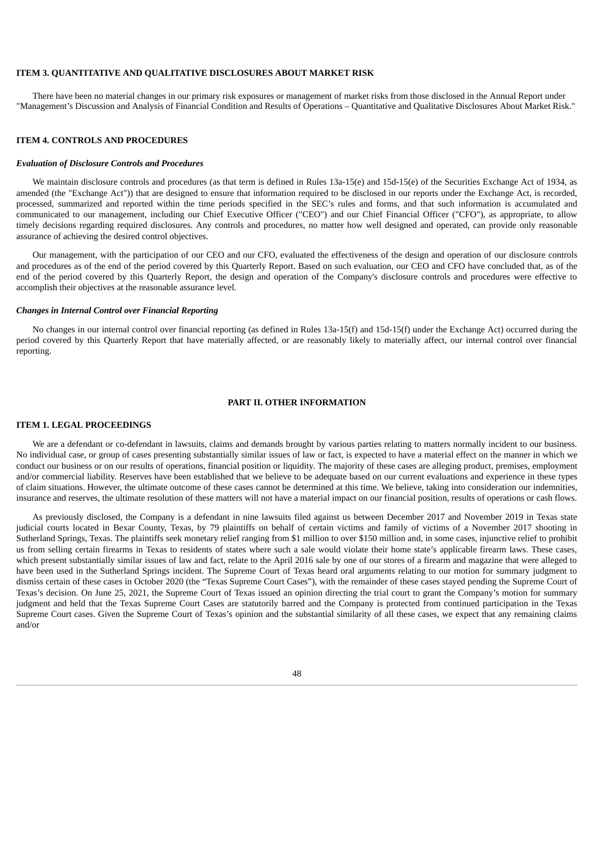# **ITEM 3. QUANTITATIVE AND QUALITATIVE DISCLOSURES ABOUT MARKET RISK**

There have been no material changes in our primary risk exposures or management of market risks from those disclosed in the Annual Report under "Management's Discussion and Analysis of Financial Condition and Results of Operations – Quantitative and Qualitative Disclosures About Market Risk."

# <span id="page-47-0"></span>**ITEM 4. CONTROLS AND PROCEDURES**

# *Evaluation of Disclosure Controls and Procedures*

We maintain disclosure controls and procedures (as that term is defined in Rules 13a-15(e) and 15d-15(e) of the Securities Exchange Act of 1934, as amended (the "Exchange Act")) that are designed to ensure that information required to be disclosed in our reports under the Exchange Act, is recorded, processed, summarized and reported within the time periods specified in the SEC's rules and forms, and that such information is accumulated and communicated to our management, including our Chief Executive Officer ("CEO") and our Chief Financial Officer ("CFO"), as appropriate, to allow timely decisions regarding required disclosures. Any controls and procedures, no matter how well designed and operated, can provide only reasonable assurance of achieving the desired control objectives.

Our management, with the participation of our CEO and our CFO, evaluated the effectiveness of the design and operation of our disclosure controls and procedures as of the end of the period covered by this Quarterly Report. Based on such evaluation, our CEO and CFO have concluded that, as of the end of the period covered by this Quarterly Report, the design and operation of the Company's disclosure controls and procedures were effective to accomplish their objectives at the reasonable assurance level.

# *Changes in Internal Control over Financial Reporting*

No changes in our internal control over financial reporting (as defined in Rules 13a-15(f) and 15d-15(f) under the Exchange Act) occurred during the period covered by this Quarterly Report that have materially affected, or are reasonably likely to materially affect, our internal control over financial reporting.

# **PART II. OTHER INFORMATION**

# <span id="page-47-2"></span><span id="page-47-1"></span>**ITEM 1. LEGAL PROCEEDINGS**

We are a defendant or co-defendant in lawsuits, claims and demands brought by various parties relating to matters normally incident to our business. No individual case, or group of cases presenting substantially similar issues of law or fact, is expected to have a material effect on the manner in which we conduct our business or on our results of operations, financial position or liquidity. The majority of these cases are alleging product, premises, employment and/or commercial liability. Reserves have been established that we believe to be adequate based on our current evaluations and experience in these types of claim situations. However, the ultimate outcome of these cases cannot be determined at this time. We believe, taking into consideration our indemnities, insurance and reserves, the ultimate resolution of these matters will not have a material impact on our financial position, results of operations or cash flows.

As previously disclosed, the Company is a defendant in nine lawsuits filed against us between December 2017 and November 2019 in Texas state judicial courts located in Bexar County, Texas, by 79 plaintiffs on behalf of certain victims and family of victims of a November 2017 shooting in Sutherland Springs, Texas. The plaintiffs seek monetary relief ranging from \$1 million to over \$150 million and, in some cases, injunctive relief to prohibit us from selling certain firearms in Texas to residents of states where such a sale would violate their home state's applicable firearm laws. These cases, which present substantially similar issues of law and fact, relate to the April 2016 sale by one of our stores of a firearm and magazine that were alleged to have been used in the Sutherland Springs incident. The Supreme Court of Texas heard oral arguments relating to our motion for summary judgment to dismiss certain of these cases in October 2020 (the "Texas Supreme Court Cases"), with the remainder of these cases stayed pending the Supreme Court of Texas's decision. On June 25, 2021, the Supreme Court of Texas issued an opinion directing the trial court to grant the Company's motion for summary judgment and held that the Texas Supreme Court Cases are statutorily barred and the Company is protected from continued participation in the Texas Supreme Court cases. Given the Supreme Court of Texas's opinion and the substantial similarity of all these cases, we expect that any remaining claims and/or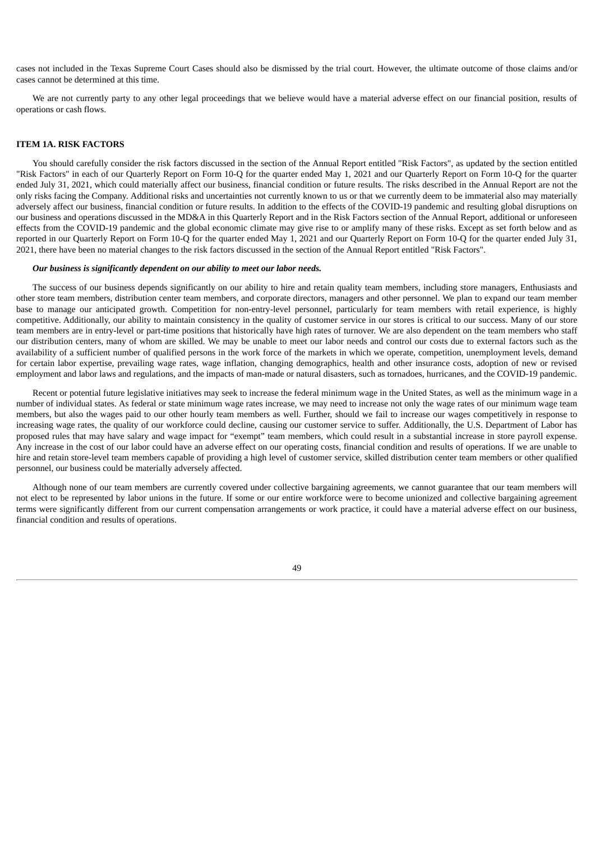cases not included in the Texas Supreme Court Cases should also be dismissed by the trial court. However, the ultimate outcome of those claims and/or cases cannot be determined at this time.

We are not currently party to any other legal proceedings that we believe would have a material adverse effect on our financial position, results of operations or cash flows.

# <span id="page-48-0"></span>**ITEM 1A. RISK FACTORS**

You should carefully consider the risk factors discussed in the section of the Annual Report entitled "Risk Factors", as updated by the section entitled "Risk Factors" in each of our Quarterly Report on Form 10-Q for the quarter ended May 1, 2021 and our Quarterly Report on Form 10-Q for the quarter ended July 31, 2021, which could materially affect our business, financial condition or future results. The risks described in the Annual Report are not the only risks facing the Company. Additional risks and uncertainties not currently known to us or that we currently deem to be immaterial also may materially adversely affect our business, financial condition or future results. In addition to the effects of the COVID-19 pandemic and resulting global disruptions on our business and operations discussed in the MD&A in this Quarterly Report and in the Risk Factors section of the Annual Report, additional or unforeseen effects from the COVID-19 pandemic and the global economic climate may give rise to or amplify many of these risks. Except as set forth below and as reported in our Quarterly Report on Form 10-Q for the quarter ended May 1, 2021 and our Quarterly Report on Form 10-Q for the quarter ended July 31, 2021, there have been no material changes to the risk factors discussed in the section of the Annual Report entitled "Risk Factors".

#### *Our business is significantly dependent on our ability to meet our labor needs.*

The success of our business depends significantly on our ability to hire and retain quality team members, including store managers, Enthusiasts and other store team members, distribution center team members, and corporate directors, managers and other personnel. We plan to expand our team member base to manage our anticipated growth. Competition for non-entry-level personnel, particularly for team members with retail experience, is highly competitive. Additionally, our ability to maintain consistency in the quality of customer service in our stores is critical to our success. Many of our store team members are in entry-level or part-time positions that historically have high rates of turnover. We are also dependent on the team members who staff our distribution centers, many of whom are skilled. We may be unable to meet our labor needs and control our costs due to external factors such as the availability of a sufficient number of qualified persons in the work force of the markets in which we operate, competition, unemployment levels, demand for certain labor expertise, prevailing wage rates, wage inflation, changing demographics, health and other insurance costs, adoption of new or revised employment and labor laws and regulations, and the impacts of man-made or natural disasters, such as tornadoes, hurricanes, and the COVID-19 pandemic.

Recent or potential future legislative initiatives may seek to increase the federal minimum wage in the United States, as well as the minimum wage in a number of individual states. As federal or state minimum wage rates increase, we may need to increase not only the wage rates of our minimum wage team members, but also the wages paid to our other hourly team members as well. Further, should we fail to increase our wages competitively in response to increasing wage rates, the quality of our workforce could decline, causing our customer service to suffer. Additionally, the U.S. Department of Labor has proposed rules that may have salary and wage impact for "exempt" team members, which could result in a substantial increase in store payroll expense. Any increase in the cost of our labor could have an adverse effect on our operating costs, financial condition and results of operations. If we are unable to hire and retain store-level team members capable of providing a high level of customer service, skilled distribution center team members or other qualified personnel, our business could be materially adversely affected.

Although none of our team members are currently covered under collective bargaining agreements, we cannot guarantee that our team members will not elect to be represented by labor unions in the future. If some or our entire workforce were to become unionized and collective bargaining agreement terms were significantly different from our current compensation arrangements or work practice, it could have a material adverse effect on our business, financial condition and results of operations.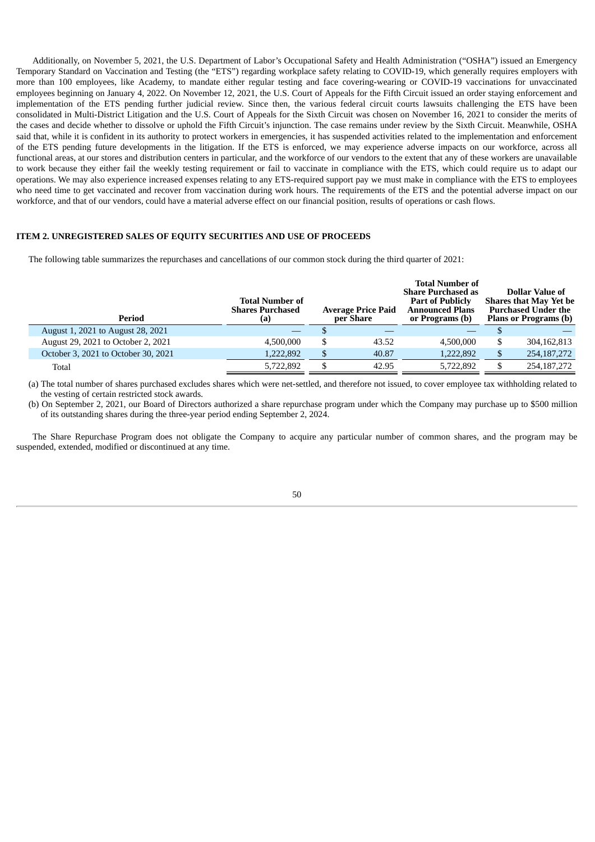Additionally, on November 5, 2021, the U.S. Department of Labor's Occupational Safety and Health Administration ("OSHA") issued an Emergency Temporary Standard on Vaccination and Testing (the "ETS") regarding workplace safety relating to COVID-19, which generally requires employers with more than 100 employees, like Academy, to mandate either regular testing and face covering-wearing or COVID-19 vaccinations for unvaccinated employees beginning on January 4, 2022. On November 12, 2021, the U.S. Court of Appeals for the Fifth Circuit issued an order staying enforcement and implementation of the ETS pending further judicial review. Since then, the various federal circuit courts lawsuits challenging the ETS have been consolidated in Multi-District Litigation and the U.S. Court of Appeals for the Sixth Circuit was chosen on November 16, 2021 to consider the merits of the cases and decide whether to dissolve or uphold the Fifth Circuit's injunction. The case remains under review by the Sixth Circuit. Meanwhile, OSHA said that, while it is confident in its authority to protect workers in emergencies, it has suspended activities related to the implementation and enforcement of the ETS pending future developments in the litigation. If the ETS is enforced, we may experience adverse impacts on our workforce, across all functional areas, at our stores and distribution centers in particular, and the workforce of our vendors to the extent that any of these workers are unavailable to work because they either fail the weekly testing requirement or fail to vaccinate in compliance with the ETS, which could require us to adapt our operations. We may also experience increased expenses relating to any ETS-required support pay we must make in compliance with the ETS to employees who need time to get vaccinated and recover from vaccination during work hours. The requirements of the ETS and the potential adverse impact on our workforce, and that of our vendors, could have a material adverse effect on our financial position, results of operations or cash flows.

### <span id="page-49-0"></span>**ITEM 2. UNREGISTERED SALES OF EQUITY SECURITIES AND USE OF PROCEEDS**

The following table summarizes the repurchases and cancellations of our common stock during the third quarter of 2021:

| Period                              | <b>Total Number of</b><br><b>Average Price Paid</b><br><b>Shares Purchased</b><br>per Share<br>(a) |    | <b>Total Number of</b><br><b>Share Purchased as</b><br><b>Part of Publicly</b><br><b>Announced Plans</b><br>or Programs (b) | <b>Dollar Value of</b><br><b>Shares that May Yet be</b><br><b>Purchased Under the</b><br><b>Plans or Programs (b)</b> |     |               |
|-------------------------------------|----------------------------------------------------------------------------------------------------|----|-----------------------------------------------------------------------------------------------------------------------------|-----------------------------------------------------------------------------------------------------------------------|-----|---------------|
| August 1, 2021 to August 28, 2021   |                                                                                                    |    |                                                                                                                             |                                                                                                                       |     |               |
| August 29, 2021 to October 2, 2021  | 4,500,000                                                                                          | \$ | 43.52                                                                                                                       | 4.500.000                                                                                                             | \$  | 304,162,813   |
| October 3, 2021 to October 30, 2021 | 1,222,892                                                                                          |    | 40.87                                                                                                                       | 1,222,892                                                                                                             | \$. | 254, 187, 272 |
| Total                               | 5,722,892                                                                                          |    | 42.95                                                                                                                       | 5.722.892                                                                                                             |     | 254, 187, 272 |

(a) The total number of shares purchased excludes shares which were net-settled, and therefore not issued, to cover employee tax withholding related to the vesting of certain restricted stock awards.

(b) On September 2, 2021, our Board of Directors authorized a share repurchase program under which the Company may purchase up to \$500 million of its outstanding shares during the three-year period ending September 2, 2024.

<span id="page-49-1"></span>The Share Repurchase Program does not obligate the Company to acquire any particular number of common shares, and the program may be suspended, extended, modified or discontinued at any time.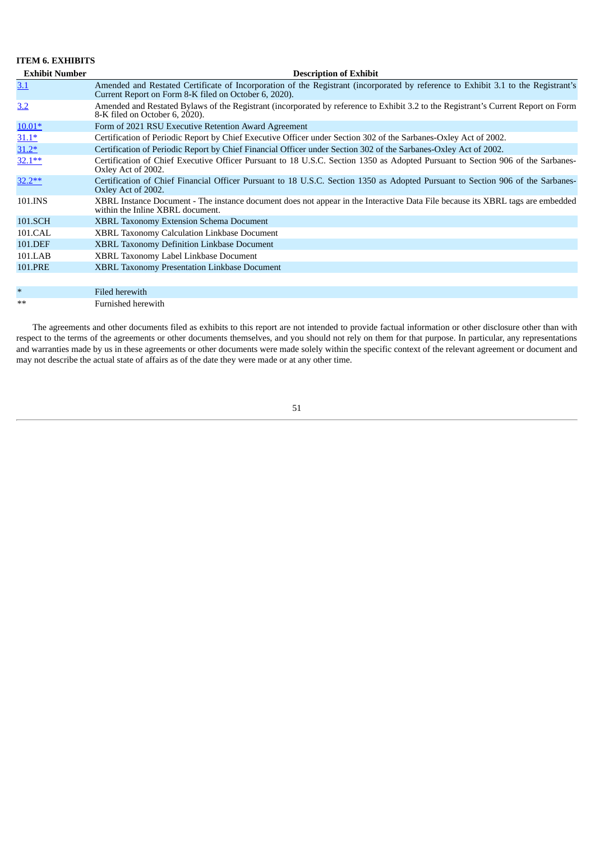# **ITEM 6. EXHIBITS**

| <b>Exhibit Number</b> | <b>Description of Exhibit</b>                                                                                                                                                              |
|-----------------------|--------------------------------------------------------------------------------------------------------------------------------------------------------------------------------------------|
| 3.1                   | Amended and Restated Certificate of Incorporation of the Registrant (incorporated by reference to Exhibit 3.1 to the Registrant's<br>Current Report on Form 8-K filed on October 6, 2020). |
| 3.2                   | Amended and Restated Bylaws of the Registrant (incorporated by reference to Exhibit 3.2 to the Registrant's Current Report on Form<br>8-K filed on October 6, 2020).                       |
| $10.01*$              | Form of 2021 RSU Executive Retention Award Agreement                                                                                                                                       |
| $31.1*$               | Certification of Periodic Report by Chief Executive Officer under Section 302 of the Sarbanes-Oxley Act of 2002.                                                                           |
| $31.2*$               | Certification of Periodic Report by Chief Financial Officer under Section 302 of the Sarbanes-Oxley Act of 2002.                                                                           |
| $32.1**$              | Certification of Chief Executive Officer Pursuant to 18 U.S.C. Section 1350 as Adopted Pursuant to Section 906 of the Sarbanes-<br>Oxley Act of 2002.                                      |
| $32.2**$              | Certification of Chief Financial Officer Pursuant to 18 U.S.C. Section 1350 as Adopted Pursuant to Section 906 of the Sarbanes-<br>Oxley Act of 2002.                                      |
| 101.INS               | XBRL Instance Document - The instance document does not appear in the Interactive Data File because its XBRL tags are embedded<br>within the Inline XBRL document.                         |
| 101.SCH               | <b>XBRL Taxonomy Extension Schema Document</b>                                                                                                                                             |
| 101.CAL               | XBRL Taxonomy Calculation Linkbase Document                                                                                                                                                |
| 101.DEF               | <b>XBRL Taxonomy Definition Linkbase Document</b>                                                                                                                                          |
| 101.LAB               | XBRL Taxonomy Label Linkbase Document                                                                                                                                                      |
| 101.PRE               | <b>XBRL Taxonomy Presentation Linkbase Document</b>                                                                                                                                        |
|                       |                                                                                                                                                                                            |
| $\ast$                | Filed herewith                                                                                                                                                                             |

\*\* Furnished herewith

<span id="page-50-0"></span>The agreements and other documents filed as exhibits to this report are not intended to provide factual information or other disclosure other than with respect to the terms of the agreements or other documents themselves, and you should not rely on them for that purpose. In particular, any representations and warranties made by us in these agreements or other documents were made solely within the specific context of the relevant agreement or document and may not describe the actual state of affairs as of the date they were made or at any other time.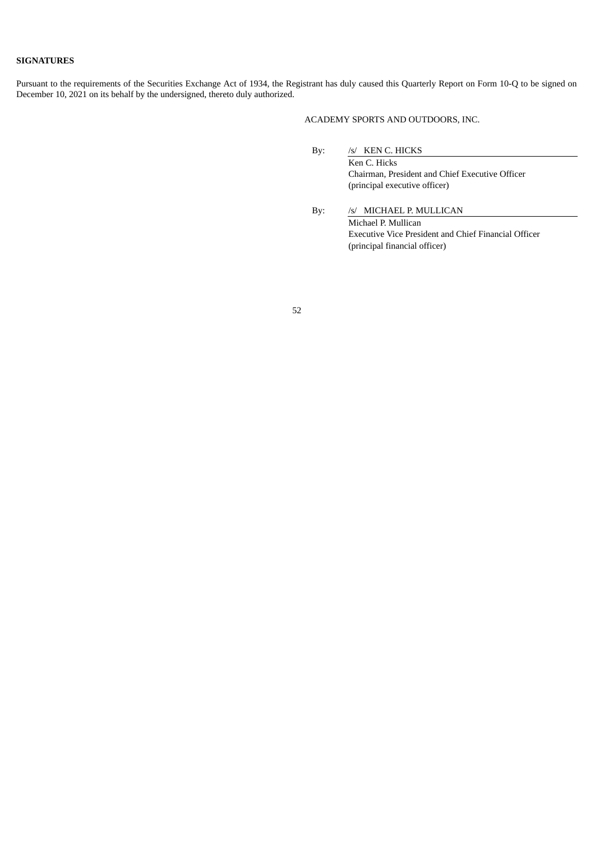# **SIGNATURES**

Pursuant to the requirements of the Securities Exchange Act of 1934, the Registrant has duly caused this Quarterly Report on Form 10-Q to be signed on December 10, 2021 on its behalf by the undersigned, thereto duly authorized.

ACADEMY SPORTS AND OUTDOORS, INC.

- By: /s/ KEN C. HICKS Ken C. Hicks Chairman, President and Chief Executive Officer (principal executive officer)
- By: /s/ MICHAEL P. MULLICAN Michael P. Mullican Executive Vice President and Chief Financial Officer (principal financial officer)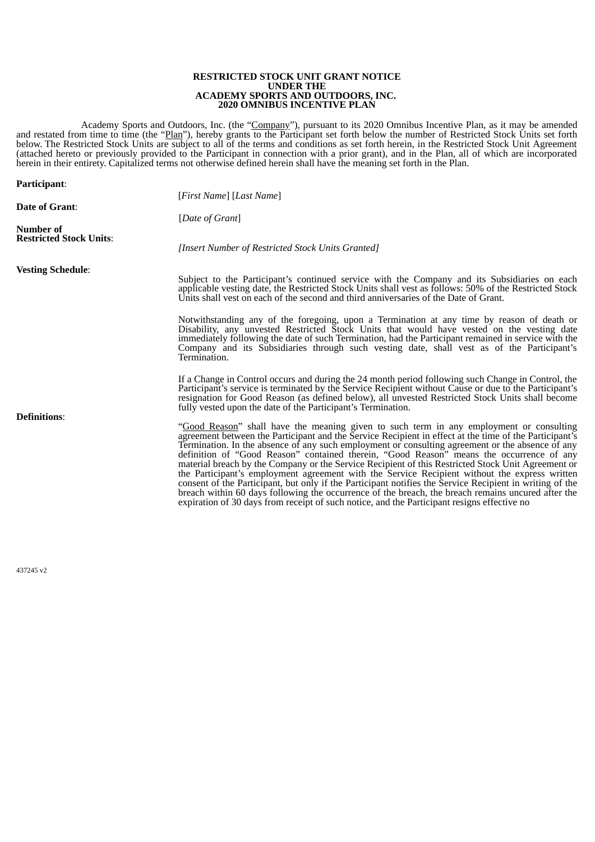### **RESTRICTED STOCK UNIT GRANT NOTICE UNDER THE ACADEMY SPORTS AND OUTDOORS, INC. 2020 OMNIBUS INCENTIVE PLAN**

<span id="page-52-0"></span>Academy Sports and Outdoors, Inc. (the "Company"), pursuant to its 2020 Omnibus Incentive Plan, as it may be amended and restated from time to time (the "Plan"), hereby grants to the Participant set forth below the number of Restricted Stock Units set forth below. The Restricted Stock Units are subject to all of the terms and conditions as set forth herein, in the Restricted Stock Unit Agreement (attached hereto or previously provided to the Participant in connection with a prior grant), and in the Plan, all of which are incorporated herein in their entirety. Capitalized terms not otherwise defined herein shall have the meaning set forth in the Plan.

| Participant:                       |                                                                                                                                                                                                                                                                                                                                                                                                                                                                                                                                                                                                                                                                                                                                                                                                                                                                                                                           |
|------------------------------------|---------------------------------------------------------------------------------------------------------------------------------------------------------------------------------------------------------------------------------------------------------------------------------------------------------------------------------------------------------------------------------------------------------------------------------------------------------------------------------------------------------------------------------------------------------------------------------------------------------------------------------------------------------------------------------------------------------------------------------------------------------------------------------------------------------------------------------------------------------------------------------------------------------------------------|
|                                    | [First Name] [Last Name]                                                                                                                                                                                                                                                                                                                                                                                                                                                                                                                                                                                                                                                                                                                                                                                                                                                                                                  |
| <b>Date of Grant:</b><br>Number of | [Date of Grant]                                                                                                                                                                                                                                                                                                                                                                                                                                                                                                                                                                                                                                                                                                                                                                                                                                                                                                           |
| <b>Restricted Stock Units:</b>     | [Insert Number of Restricted Stock Units Granted]                                                                                                                                                                                                                                                                                                                                                                                                                                                                                                                                                                                                                                                                                                                                                                                                                                                                         |
| <b>Vesting Schedule:</b>           | Subject to the Participant's continued service with the Company and its Subsidiaries on each<br>applicable vesting date, the Restricted Stock Units shall vest as follows: 50% of the Restricted Stock<br>Units shall vest on each of the second and third anniversaries of the Date of Grant.                                                                                                                                                                                                                                                                                                                                                                                                                                                                                                                                                                                                                            |
|                                    | Notwithstanding any of the foregoing, upon a Termination at any time by reason of death or<br>Disability, any unvested Restricted Stock Units that would have vested on the vesting date<br>immediately following the date of such Termination, had the Participant remained in service with the<br>Company and its Subsidiaries through such vesting date, shall vest as of the Participant's<br>Termination.                                                                                                                                                                                                                                                                                                                                                                                                                                                                                                            |
| <b>Definitions:</b>                | If a Change in Control occurs and during the 24 month period following such Change in Control, the<br>Participant's service is terminated by the Service Recipient without Cause or due to the Participant's<br>resignation for Good Reason (as defined below), all unvested Restricted Stock Units shall become<br>fully vested upon the date of the Participant's Termination.                                                                                                                                                                                                                                                                                                                                                                                                                                                                                                                                          |
|                                    | "Good Reason" shall have the meaning given to such term in any employment or consulting<br>agreement between the Participant and the Service Recipient in effect at the time of the Participant's<br>Termination. In the absence of any such employment or consulting agreement or the absence of any<br>definition of "Good Reason" contained therein, "Good Reason" means the occurrence of any<br>material breach by the Company or the Service Recipient of this Restricted Stock Unit Agreement or<br>the Participant's employment agreement with the Service Recipient without the express written<br>consent of the Participant, but only if the Participant notifies the Service Recipient in writing of the<br>breach within 60 days following the occurrence of the breach, the breach remains uncured after the<br>expiration of 30 days from receipt of such notice, and the Participant resigns effective no |

437245 v2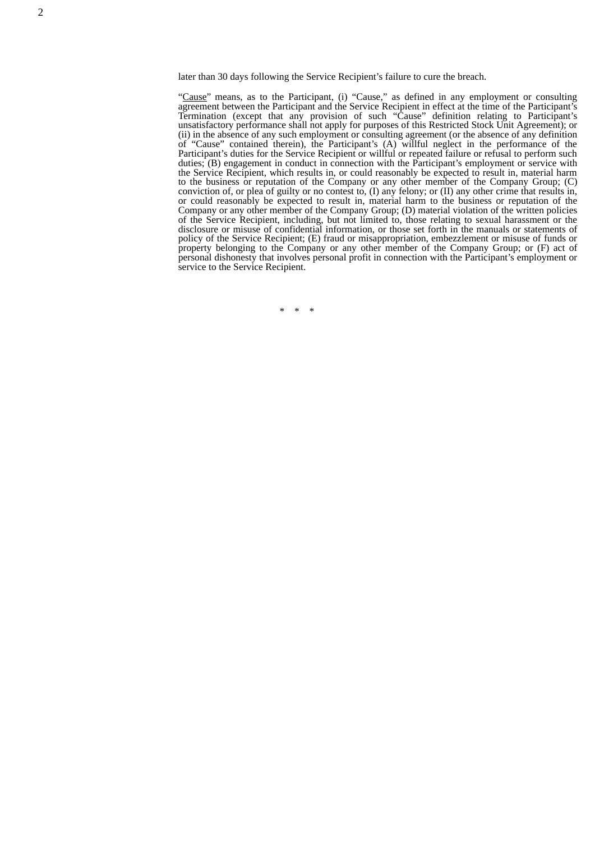later than 30 days following the Service Recipient's failure to cure the breach.

"Cause" means, as to the Participant, (i) "Cause," as defined in any employment or consulting agreement between the Participant and the Service Recipient in effect at the time of the Participant's Termination (except that any provision of such "Cause" definition relating to Participant's unsatisfactory performance shall not apply for purposes of this Restricted Stock Unit Agreement); or (ii) in the absence of any such employment or consulting agreement (or the absence of any definition of "Cause" contained therein), the Participant's (A) willful neglect in the performance of the Participant's duties for the Service Recipient or willful or repeated failure or refusal to perform such duties; (B) engagement in conduct in connection with the Participant's employment or service with the Service Recipient, which results in, or could reasonably be expected to result in, material harm to the business or reputation of the Company or any other member of the Company Group; (C) conviction of, or plea of guilty or no contest to, (I) any felony; or (II) any other crime that results in, or could reasonably be expected to result in, material harm to the business or reputation of the Company or any other member of the Company Group; (D) material violation of the written policies of the Service Recipient, including, but not limited to, those relating to sexual harassment or the disclosure or misuse of confidential information, or those set forth in the manuals or statements of policy of the Service Recipient; (E) fraud or misappropriation, embezzlement or misuse of funds or property belonging to the Company or any other member of the Company Group; or (F) act of personal dishonesty that involves personal profit in connection with the Participant's employment or service to the Service Recipient.

 $\ast$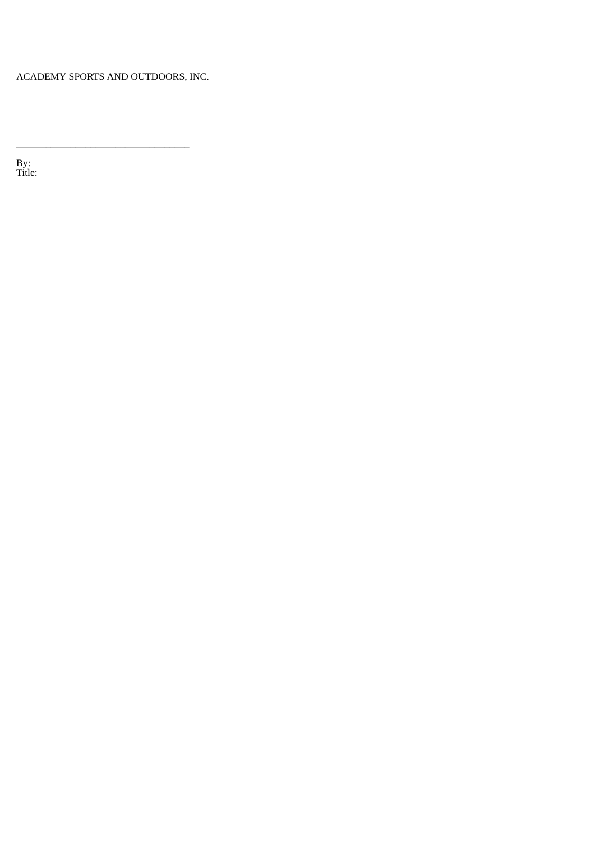ACADEMY SPORTS AND OUTDOORS, INC.

\_\_\_\_\_\_\_\_\_\_\_\_\_\_\_\_\_\_\_\_\_\_\_\_\_\_\_\_\_\_\_\_\_\_\_

By: Title: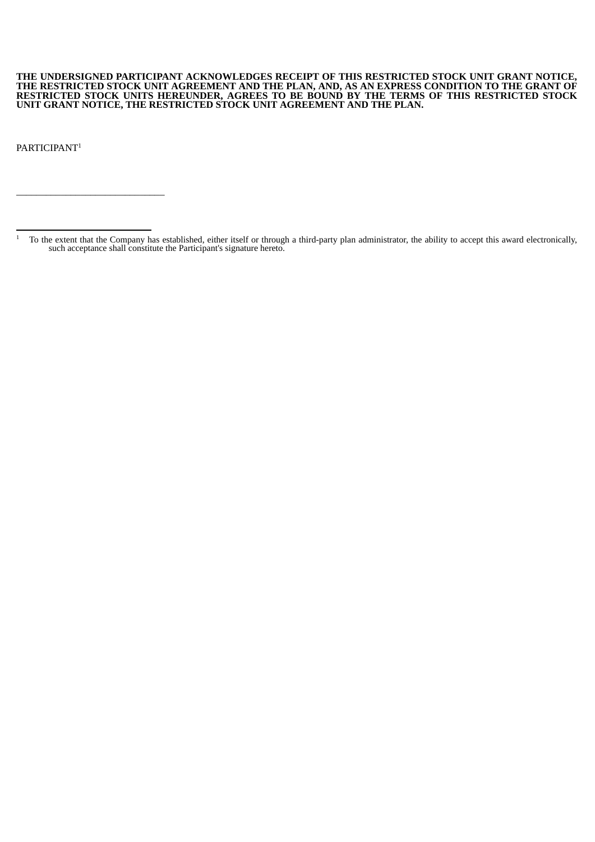**THE UNDERSIGNED PARTICIPANT ACKNOWLEDGES RECEIPT OF THIS RESTRICTED STOCK UNIT GRANT NOTICE, THE RESTRICTED STOCK UNIT AGREEMENT AND THE PLAN, AND, AS AN EXPRESS CONDITION TO THE GRANT OF RESTRICTED STOCK UNITS HEREUNDER, AGREES TO BE BOUND BY THE TERMS OF THIS RESTRICTED STOCK UNIT GRANT NOTICE, THE RESTRICTED STOCK UNIT AGREEMENT AND THE PLAN.**

PARTICIPANT<sup>1</sup>

\_\_\_\_\_\_\_\_\_\_\_\_\_\_\_\_\_\_\_\_\_\_\_\_\_\_\_\_\_\_

To the extent that the Company has established, either itself or through a third-party plan administrator, the ability to accept this award electronically, such acceptance shall constitute the Participant's signature hereto. 1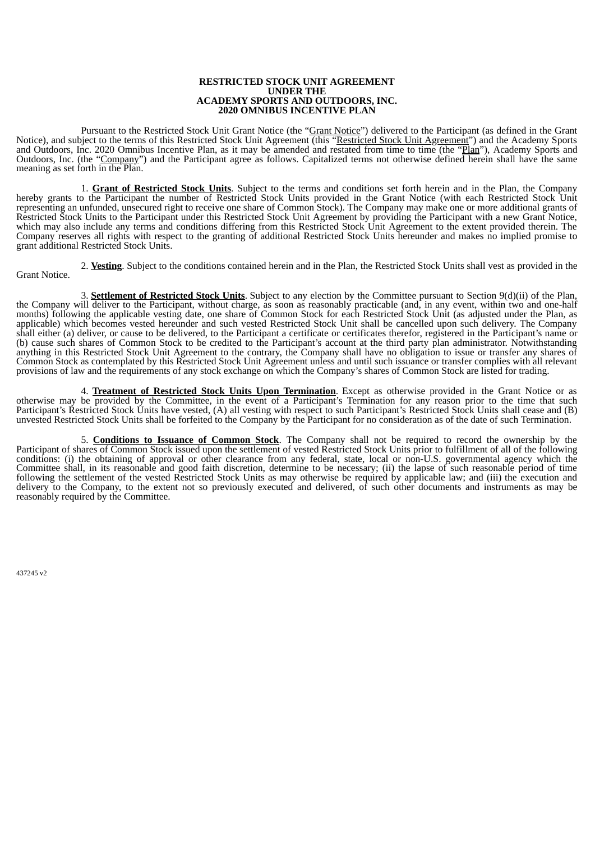### **RESTRICTED STOCK UNIT AGREEMENT UNDER THE ACADEMY SPORTS AND OUTDOORS, INC. 2020 OMNIBUS INCENTIVE PLAN**

Pursuant to the Restricted Stock Unit Grant Notice (the "Grant Notice") delivered to the Participant (as defined in the Grant Notice), and subject to the terms of this Restricted Stock Unit Agreement (this "Restricted Stock Unit Agreement") and the Academy Sports and Outdoors, Inc. 2020 Omnibus Incentive Plan, as it may be amended and restated from time to time (the "Plan"), Academy Sports and Outdoors, Inc. (the "Company") and the Participant agree as follows. Capitalized terms not otherwise defined herein shall have the same meaning as set forth in the Plan.

1. **Grant of Restricted Stock Units**. Subject to the terms and conditions set forth herein and in the Plan, the Company hereby grants to the Participant the number of Restricted Stock Units provided in the Grant Notice (with each Restricted Stock Unit representing an unfunded, unsecured right to receive one share of Common Stock). The Company may make one or more additional grants of Restricted Stock Units to the Participant under this Restricted Stock Unit Agreement by providing the Participant with a new Grant Notice, which may also include any terms and conditions differing from this Restricted Stock Unit Agreement to the extent provided therein. The Company reserves all rights with respect to the granting of additional Restricted Stock Units hereunder and makes no implied promise to grant additional Restricted Stock Units.

2. **Vesting**. Subject to the conditions contained herein and in the Plan, the Restricted Stock Units shall vest as provided in the Grant Notice.

3. **Settlement of Restricted Stock Units**. Subject to any election by the Committee pursuant to Section 9(d)(ii) of the Plan, the Company will deliver to the Participant, without charge, as soon as reasonably practicable (and, in any event, within two and one-half months) following the applicable vesting date, one share of Common Stock for each Restricted Stock Unit (as adjusted under the Plan, as applicable) which becomes vested hereunder and such vested Restricted Stock Unit shall be cancelled upon such delivery. The Company shall either (a) deliver, or cause to be delivered, to the Participant a certificate or certificates therefor, registered in the Participant's name or (b) cause such shares of Common Stock to be credited to the Participant's account at the third party plan administrator. Notwithstanding anything in this Restricted Stock Unit Agreement to the contrary, the Company shall have no obligation to issue or transfer any shares of Common Stock as contemplated by this Restricted Stock Unit Agreement unless and until such issuance or transfer complies with all relevant provisions of law and the requirements of any stock exchange on which the Company's shares of Common Stock are listed for trading.

4. **Treatment of Restricted Stock Units Upon Termination**. Except as otherwise provided in the Grant Notice or as otherwise may be provided by the Committee, in the event of a Participant's Termination for any reason prior to the time that such Participant's Restricted Stock Units have vested, (A) all vesting with respect to such Participant's Restricted Stock Units shall cease and (B) unvested Restricted Stock Units shall be forfeited to the Company by the Participant for no consideration as of the date of such Termination.

5. **Conditions to Issuance of Common Stock**. The Company shall not be required to record the ownership by the Participant of shares of Common Stock issued upon the settlement of vested Restricted Stock Units prior to fulfillment of all of the following conditions: (i) the obtaining of approval or other clearance from any federal, state, local or non-U.S. governmental agency which the Committee shall, in its reasonable and good faith discretion, determine to be necessary; (ii) the lapse of such reasonable period of time following the settlement of the vested Restricted Stock Units as may otherwise be required by applicable law; and (iii) the execution and delivery to the Company, to the extent not so previously executed and delivered, of such other documents and instruments as may be reasonably required by the Committee.

437245 v2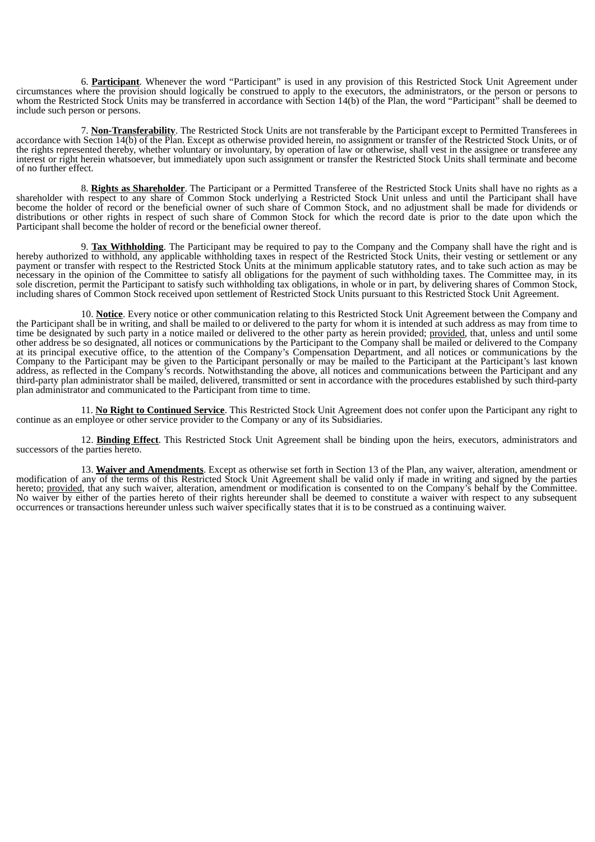6. **Participant**. Whenever the word "Participant" is used in any provision of this Restricted Stock Unit Agreement under circumstances where the provision should logically be construed to apply to the executors, the administrators, or the person or persons to whom the Restricted Stock Units may be transferred in accordance with Section 14(b) of the Plan, the word "Participant" shall be deemed to include such person or persons.

7. **Non-Transferability**. The Restricted Stock Units are not transferable by the Participant except to Permitted Transferees in accordance with Section 14(b) of the Plan. Except as otherwise provided herein, no assignment or transfer of the Restricted Stock Units, or of the rights represented thereby, whether voluntary or involuntary, by operation of law or otherwise, shall vest in the assignee or transferee any interest or right herein whatsoever, but immediately upon such assignment or transfer the Restricted Stock Units shall terminate and become of no further effect.

8. **Rights as Shareholder**. The Participant or a Permitted Transferee of the Restricted Stock Units shall have no rights as a shareholder with respect to any share of Common Stock underlying a Restricted Stock Unit unless and until the Participant shall have become the holder of record or the beneficial owner of such share of Common Stock, and no adjustment shall be made for dividends or distributions or other rights in respect of such share of Common Stock for which the record date is prior to the date upon which the Participant shall become the holder of record or the beneficial owner thereof.

9. **Tax Withholding**. The Participant may be required to pay to the Company and the Company shall have the right and is hereby authorized to withhold, any applicable withholding taxes in respect of the Restricted Stock Units, their vesting or settlement or any payment or transfer with respect to the Restricted Stock Units at the minimum applicable statutory rates, and to take such action as may be necessary in the opinion of the Committee to satisfy all obligations for the payment of such withholding taxes. The Committee may, in its sole discretion, permit the Participant to satisfy such withholding tax obligations, in whole or in part, by delivering shares of Common Stock, including shares of Common Stock received upon settlement of Restricted Stock Units pursuant to this Restricted Stock Unit Agreement.

10. **Notice**. Every notice or other communication relating to this Restricted Stock Unit Agreement between the Company and the Participant shall be in writing, and shall be mailed to or delivered to the party for whom it is intended at such address as may from time to time be designated by such party in a notice mailed or delivered to the other party as herein provided; provided, that, unless and until some other address be so designated, all notices or communications by the Participant to the Company shall be mailed or delivered to the Company at its principal executive office, to the attention of the Company's Compensation Department, and all notices or communications by the Company to the Participant may be given to the Participant personally or may be mailed to the Participant at the Participant's last known address, as reflected in the Company's records. Notwithstanding the above, all notices and communications between the Participant and any third-party plan administrator shall be mailed, delivered, transmitted or sent in accordance with the procedures established by such third-party plan administrator and communicated to the Participant from time to time.

11. **No Right to Continued Service**. This Restricted Stock Unit Agreement does not confer upon the Participant any right to continue as an employee or other service provider to the Company or any of its Subsidiaries.

12. **Binding Effect**. This Restricted Stock Unit Agreement shall be binding upon the heirs, executors, administrators and successors of the parties hereto.

13. **Waiver and Amendments**. Except as otherwise set forth in Section 13 of the Plan, any waiver, alteration, amendment or modification of any of the terms of this Restricted Stock Unit Agreement shall be valid only if made in writing and signed by the parties hereto; provided, that any such waiver, alteration, amendment or modification is consented to on the Company's behalf by the Committee. No waiver by either of the parties hereto of their rights hereunder shall be deemed to constitute a waiver with respect to any subsequent occurrences or transactions hereunder unless such waiver specifically states that it is to be construed as a continuing waiver.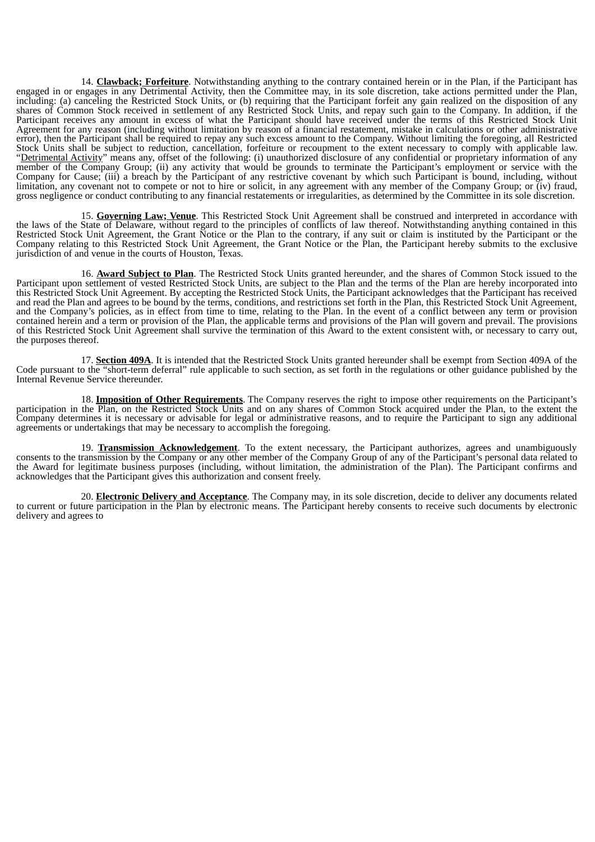14. **Clawback; Forfeiture**. Notwithstanding anything to the contrary contained herein or in the Plan, if the Participant has engaged in or engages in any Detrimental Activity, then the Committee may, in its sole discretion, take actions permitted under the Plan, including: (a) canceling the Restricted Stock Units, or (b) requiring that the Participant forfeit any gain realized on the disposition of any shares of Common Stock received in settlement of any Restricted Stock Units, and repay such gain to the Company. In addition, if the Participant receives any amount in excess of what the Participant should have received under the terms of this Restricted Stock Unit Agreement for any reason (including without limitation by reason of a financial restatement, mistake in calculations or other administrative error), then the Participant shall be required to repay any such excess amount to the Company. Without limiting the foregoing, all Restricted Stock Units shall be subject to reduction, cancellation, forfeiture or recoupment to the extent necessary to comply with applicable law. "Detrimental Activity" means any, offset of the following: (i) unauthorized disclosure of any confidential or proprietary information of any member of the Company Group; (ii) any activity that would be grounds to terminate the Participant's employment or service with the Company for Cause; (iii) a breach by the Participant of any restrictive covenant by which such Participant is bound, including, without limitation, any covenant not to compete or not to hire or solicit, in any agreement with any member of the Company Group; or (iv) fraud, gross negligence or conduct contributing to any financial restatements or irregularities, as determined by the Committee in its sole discretion.

15. **Governing Law; Venue**. This Restricted Stock Unit Agreement shall be construed and interpreted in accordance with the laws of the State of Delaware, without regard to the principles of conflicts of law thereof. Notwithstanding anything contained in this Restricted Stock Unit Agreement, the Grant Notice or the Plan to the contrary, if any suit or claim is instituted by the Participant or the Company relating to this Restricted Stock Unit Agreement, the Grant Notice or the Plan, the Participant hereby submits to the exclusive jurisdiction of and venue in the courts of Houston, Texas.

16. **Award Subject to Plan**. The Restricted Stock Units granted hereunder, and the shares of Common Stock issued to the Participant upon settlement of vested Restricted Stock Units, are subject to the Plan and the terms of the Plan are hereby incorporated into this Restricted Stock Unit Agreement. By accepting the Restricted Stock Units, the Participant acknowledges that the Participant has received and read the Plan and agrees to be bound by the terms, conditions, and restrictions set forth in the Plan, this Restricted Stock Unit Agreement, and the Company's policies, as in effect from time to time, relating to the Plan. In the event of a conflict between any term or provision contained herein and a term or provision of the Plan, the applicable terms and provisions of the Plan will govern and prevail. The provisions of this Restricted Stock Unit Agreement shall survive the termination of this Award to the extent consistent with, or necessary to carry out, the purposes thereof.

17. **Section 409A**. It is intended that the Restricted Stock Units granted hereunder shall be exempt from Section 409A of the Code pursuant to the "short-term deferral" rule applicable to such section, as set forth in the regulations or other guidance published by the Internal Revenue Service thereunder.

18. **Imposition of Other Requirements**. The Company reserves the right to impose other requirements on the Participant's participation in the Plan, on the Restricted Stock Units and on any shares of Common Stock acquired under the Plan, to the extent the Company determines it is necessary or advisable for legal or administrative reasons, and to require the Participant to sign any additional agreements or undertakings that may be necessary to accomplish the foregoing.

19. **Transmission Acknowledgement**. To the extent necessary, the Participant authorizes, agrees and unambiguously consents to the transmission by the Company or any other member of the Company Group of any of the Participant's personal data related to the Award for legitimate business purposes (including, without limitation, the administration of the Plan). The Participant confirms and acknowledges that the Participant gives this authorization and consent freely.

20. **Electronic Delivery and Acceptance**. The Company may, in its sole discretion, decide to deliver any documents related to current or future participation in the Plan by electronic means. The Participant hereby consents to receive such documents by electronic delivery and agrees to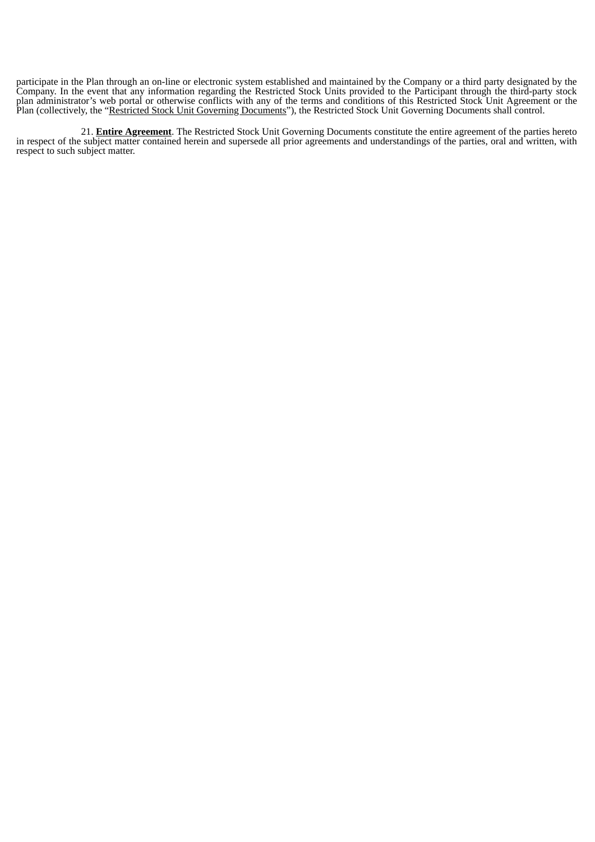participate in the Plan through an on-line or electronic system established and maintained by the Company or a third party designated by the Company. In the event that any information regarding the Restricted Stock Units provided to the Participant through the third-party stock plan administrator's web portal or otherwise conflicts with any of the terms and conditions of this Restricted Stock Unit Agreement or the Plan (collectively, the "Restricted Stock Unit Governing Documents"), the Restricted Stock Unit Governing Documents shall control.

21. **Entire Agreement**. The Restricted Stock Unit Governing Documents constitute the entire agreement of the parties hereto in respect of the subject matter contained herein and supersede all prior agreements and understandings of the parties, oral and written, with respect to such subject matter.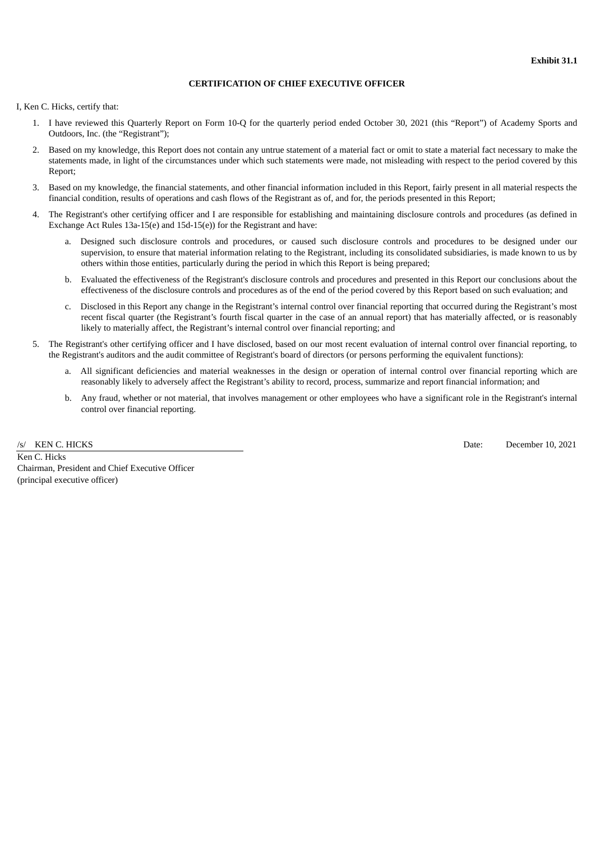# **CERTIFICATION OF CHIEF EXECUTIVE OFFICER**

<span id="page-60-0"></span>I, Ken C. Hicks, certify that:

- 1. I have reviewed this Quarterly Report on Form 10-Q for the quarterly period ended October 30, 2021 (this "Report") of Academy Sports and Outdoors, Inc. (the "Registrant");
- 2. Based on my knowledge, this Report does not contain any untrue statement of a material fact or omit to state a material fact necessary to make the statements made, in light of the circumstances under which such statements were made, not misleading with respect to the period covered by this Report;
- 3. Based on my knowledge, the financial statements, and other financial information included in this Report, fairly present in all material respects the financial condition, results of operations and cash flows of the Registrant as of, and for, the periods presented in this Report;
- 4. The Registrant's other certifying officer and I are responsible for establishing and maintaining disclosure controls and procedures (as defined in Exchange Act Rules 13a-15(e) and 15d-15(e)) for the Registrant and have:
	- a. Designed such disclosure controls and procedures, or caused such disclosure controls and procedures to be designed under our supervision, to ensure that material information relating to the Registrant, including its consolidated subsidiaries, is made known to us by others within those entities, particularly during the period in which this Report is being prepared;
	- b. Evaluated the effectiveness of the Registrant's disclosure controls and procedures and presented in this Report our conclusions about the effectiveness of the disclosure controls and procedures as of the end of the period covered by this Report based on such evaluation; and
	- c. Disclosed in this Report any change in the Registrant's internal control over financial reporting that occurred during the Registrant's most recent fiscal quarter (the Registrant's fourth fiscal quarter in the case of an annual report) that has materially affected, or is reasonably likely to materially affect, the Registrant's internal control over financial reporting; and
- 5. The Registrant's other certifying officer and I have disclosed, based on our most recent evaluation of internal control over financial reporting, to the Registrant's auditors and the audit committee of Registrant's board of directors (or persons performing the equivalent functions):
	- a. All significant deficiencies and material weaknesses in the design or operation of internal control over financial reporting which are reasonably likely to adversely affect the Registrant's ability to record, process, summarize and report financial information; and
	- b. Any fraud, whether or not material, that involves management or other employees who have a significant role in the Registrant's internal control over financial reporting.

/s/ KEN C. HICKS Date: December 10, 2021

Ken C. Hicks Chairman, President and Chief Executive Officer (principal executive officer)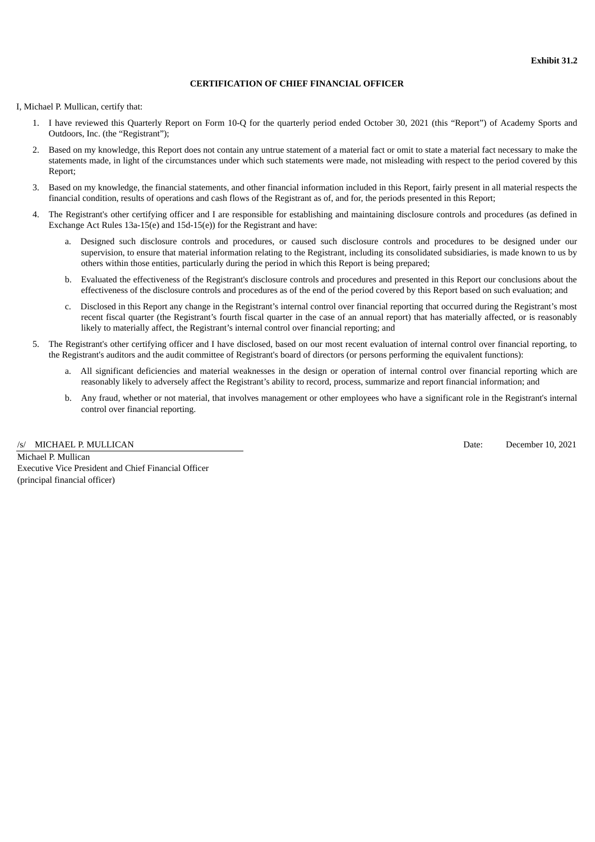# **CERTIFICATION OF CHIEF FINANCIAL OFFICER**

<span id="page-61-0"></span>I, Michael P. Mullican, certify that:

- 1. I have reviewed this Quarterly Report on Form 10-Q for the quarterly period ended October 30, 2021 (this "Report") of Academy Sports and Outdoors, Inc. (the "Registrant");
- 2. Based on my knowledge, this Report does not contain any untrue statement of a material fact or omit to state a material fact necessary to make the statements made, in light of the circumstances under which such statements were made, not misleading with respect to the period covered by this Report;
- 3. Based on my knowledge, the financial statements, and other financial information included in this Report, fairly present in all material respects the financial condition, results of operations and cash flows of the Registrant as of, and for, the periods presented in this Report;
- 4. The Registrant's other certifying officer and I are responsible for establishing and maintaining disclosure controls and procedures (as defined in Exchange Act Rules 13a-15(e) and 15d-15(e)) for the Registrant and have:
	- a. Designed such disclosure controls and procedures, or caused such disclosure controls and procedures to be designed under our supervision, to ensure that material information relating to the Registrant, including its consolidated subsidiaries, is made known to us by others within those entities, particularly during the period in which this Report is being prepared;
	- b. Evaluated the effectiveness of the Registrant's disclosure controls and procedures and presented in this Report our conclusions about the effectiveness of the disclosure controls and procedures as of the end of the period covered by this Report based on such evaluation; and
	- c. Disclosed in this Report any change in the Registrant's internal control over financial reporting that occurred during the Registrant's most recent fiscal quarter (the Registrant's fourth fiscal quarter in the case of an annual report) that has materially affected, or is reasonably likely to materially affect, the Registrant's internal control over financial reporting; and
- 5. The Registrant's other certifying officer and I have disclosed, based on our most recent evaluation of internal control over financial reporting, to the Registrant's auditors and the audit committee of Registrant's board of directors (or persons performing the equivalent functions):
	- a. All significant deficiencies and material weaknesses in the design or operation of internal control over financial reporting which are reasonably likely to adversely affect the Registrant's ability to record, process, summarize and report financial information; and
	- b. Any fraud, whether or not material, that involves management or other employees who have a significant role in the Registrant's internal control over financial reporting.

/s/ MICHAEL P. MULLICAN Date: December 10, 2021

Michael P. Mullican Executive Vice President and Chief Financial Officer (principal financial officer)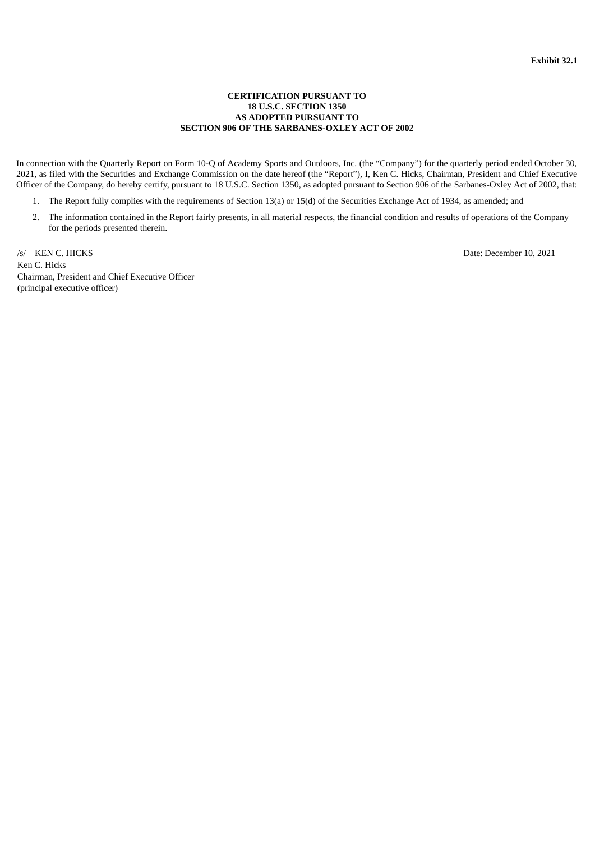# **CERTIFICATION PURSUANT TO 18 U.S.C. SECTION 1350 AS ADOPTED PURSUANT TO SECTION 906 OF THE SARBANES-OXLEY ACT OF 2002**

<span id="page-62-0"></span>In connection with the Quarterly Report on Form 10-Q of Academy Sports and Outdoors, Inc. (the "Company") for the quarterly period ended October 30, 2021, as filed with the Securities and Exchange Commission on the date hereof (the "Report"), I, Ken C. Hicks, Chairman, President and Chief Executive Officer of the Company, do hereby certify, pursuant to 18 U.S.C. Section 1350, as adopted pursuant to Section 906 of the Sarbanes-Oxley Act of 2002, that:

- 1. The Report fully complies with the requirements of Section 13(a) or 15(d) of the Securities Exchange Act of 1934, as amended; and
- 2. The information contained in the Report fairly presents, in all material respects, the financial condition and results of operations of the Company for the periods presented therein.

/s/ KEN C. HICKS Date: December 10, 2021

Ken C. Hicks Chairman, President and Chief Executive Officer (principal executive officer)